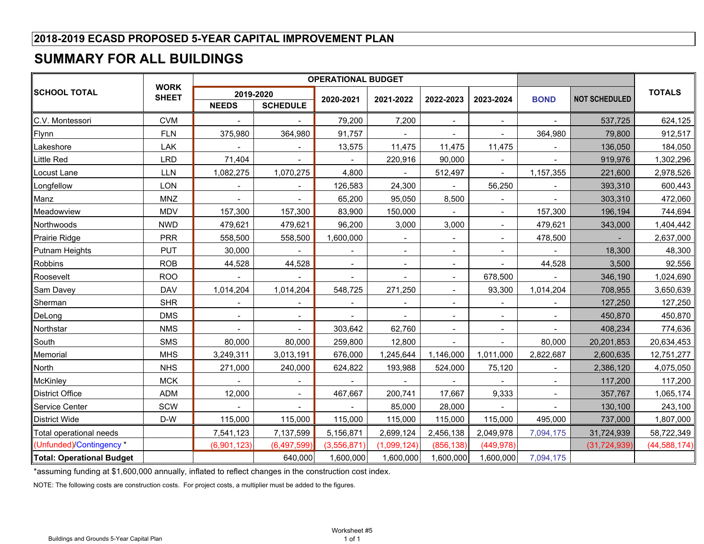# **SUMMARY FOR ALL BUILDINGS**

|                           |                             |                          |                          | <b>OPERATIONAL BUDGET</b> |                |                |                |                          |                      |                |
|---------------------------|-----------------------------|--------------------------|--------------------------|---------------------------|----------------|----------------|----------------|--------------------------|----------------------|----------------|
| ∥SCHOOL TOTAL             | <b>WORK</b><br><b>SHEET</b> |                          | 2019-2020                |                           |                |                |                |                          |                      | <b>TOTALS</b>  |
|                           |                             | <b>NEEDS</b>             | <b>SCHEDULE</b>          | 2020-2021                 | 2021-2022      | 2022-2023      | 2023-2024      | <b>BOND</b>              | <b>NOT SCHEDULED</b> |                |
| C.V. Montessori           | <b>CVM</b>                  | $\blacksquare$           |                          | 79,200                    | 7,200          | $\blacksquare$ | $\blacksquare$ | $\overline{\phantom{a}}$ | 537,725              | 624,125        |
| Flynn                     | <b>FLN</b>                  | 375,980                  | 364,980                  | 91,757                    |                |                | $\blacksquare$ | 364,980                  | 79,800               | 912,517        |
| Lakeshore                 | LAK                         | $\blacksquare$           | $\blacksquare$           | 13,575                    | 11,475         | 11,475         | 11,475         | $\blacksquare$           | 136,050              | 184,050        |
| Little Red                | <b>LRD</b>                  | 71,404                   |                          |                           | 220,916        | 90,000         | $\blacksquare$ | $\overline{\phantom{a}}$ | 919,976              | 1,302,296      |
| Locust Lane               | <b>LLN</b>                  | 1,082,275                | 1,070,275                | 4,800                     | $\blacksquare$ | 512,497        | $\blacksquare$ | 1,157,355                | 221,600              | 2,978,526      |
| Longfellow                | LON                         |                          | $\blacksquare$           | 126,583                   | 24,300         |                | 56,250         |                          | 393,310              | 600,443        |
| Manz                      | <b>MNZ</b>                  | $\blacksquare$           | $\blacksquare$           | 65,200                    | 95,050         | 8,500          | $\blacksquare$ | $\blacksquare$           | 303,310              | 472,060        |
| Meadowview                | <b>MDV</b>                  | 157,300                  | 157,300                  | 83,900                    | 150,000        |                | $\blacksquare$ | 157,300                  | 196,194              | 744,694        |
| Northwoods                | <b>NWD</b>                  | 479,621                  | 479,621                  | 96,200                    | 3,000          | 3,000          | $\blacksquare$ | 479,621                  | 343,000              | 1,404,442      |
| <b>Prairie Ridge</b>      | <b>PRR</b>                  | 558,500                  | 558,500                  | 1,600,000                 | $\blacksquare$ |                | $\blacksquare$ | 478,500                  |                      | 2,637,000      |
| <b>Putnam Heights</b>     | <b>PUT</b>                  | 30,000                   | $\blacksquare$           | $\blacksquare$            | $\blacksquare$ | $\blacksquare$ | $\blacksquare$ |                          | 18,300               | 48,300         |
| Robbins                   | <b>ROB</b>                  | 44,528                   | 44,528                   | $\blacksquare$            | $\blacksquare$ | $\blacksquare$ | $\blacksquare$ | 44,528                   | 3,500                | 92,556         |
| Roosevelt                 | <b>ROO</b>                  |                          |                          |                           |                | $\blacksquare$ | 678,500        |                          | 346,190              | 1,024,690      |
| Sam Davey                 | <b>DAV</b>                  | 1,014,204                | 1,014,204                | 548,725                   | 271,250        |                | 93,300         | 1,014,204                | 708,955              | 3,650,639      |
| Sherman                   | <b>SHR</b>                  | $\overline{\phantom{0}}$ | $\overline{\phantom{a}}$ | $\overline{\phantom{a}}$  | $\blacksquare$ | $\blacksquare$ | $\blacksquare$ | $\blacksquare$           | 127,250              | 127,250        |
| DeLong                    | <b>DMS</b>                  |                          |                          |                           | $\blacksquare$ |                | $\blacksquare$ |                          | 450,870              | 450,870        |
| Northstar                 | <b>NMS</b>                  |                          |                          | 303,642                   | 62,760         |                | $\blacksquare$ |                          | 408,234              | 774,636        |
| South                     | <b>SMS</b>                  | 80,000                   | 80,000                   | 259,800                   | 12,800         |                |                | 80,000                   | 20,201,853           | 20,634,453     |
| Memorial                  | <b>MHS</b>                  | 3,249,311                | 3,013,191                | 676,000                   | 1,245,644      | 1,146,000      | 1,011,000      | 2,822,687                | 2,600,635            | 12,751,277     |
| North                     | <b>NHS</b>                  | 271,000                  | 240,000                  | 624,822                   | 193,988        | 524,000        | 75,120         |                          | 2,386,120            | 4,075,050      |
| McKinley                  | <b>MCK</b>                  |                          |                          |                           |                |                |                |                          | 117,200              | 117,200        |
| District Office           | <b>ADM</b>                  | 12,000                   | $\blacksquare$           | 467,667                   | 200,741        | 17,667         | 9,333          | $\overline{\phantom{a}}$ | 357,767              | 1,065,174      |
| <b>Service Center</b>     | SCW                         |                          |                          |                           | 85,000         | 28,000         |                | $\overline{a}$           | 130,100              | 243,100        |
| <b>District Wide</b>      | D-W                         | 115,000                  | 115,000                  | 115,000                   | 115,000        | 115,000        | 115,000        | 495,000                  | 737,000              | 1,807,000      |
| Total operational needs   |                             | 7,541,123                | 7,137,599                | 5,156,871                 | 2,699,124      | 2,456,138      | 2,049,978      | 7,094,175                | 31,724,939           | 58,722,349     |
| (Unfunded)/Contingency*   |                             | (6,901,123)              | (6,497,599)              | (3,556,871)               | (1,099,124)    | (856, 138)     | (449, 978)     |                          | (31, 724, 939)       | (44, 588, 174) |
| Total: Operational Budget |                             |                          | 640,000                  | 1,600,000                 | 1,600,000      | 1,600,000      | 1,600,000      | 7,094,175                |                      |                |

\*assuming funding at \$1,600,000 annually, inflated to reflect changes in the construction cost index.

NOTE: The following costs are construction costs. For project costs, a multiplier must be added to the figures.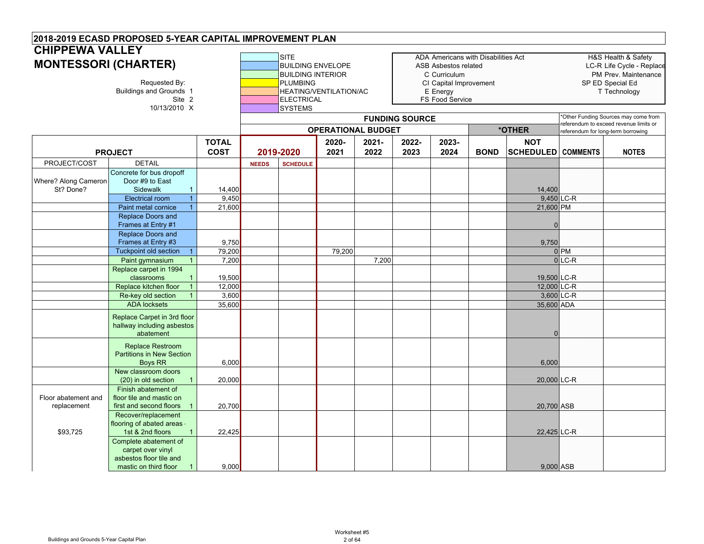|                                    | 2018-2019 ECASD PROPOSED 5-YEAR CAPITAL IMPROVEMENT PLAN                                                                           |                             |              |                                                                                                                               |                        |                                               |                       |                                                                                                                                             |             |                                          |                                                                                                              |                                                                               |
|------------------------------------|------------------------------------------------------------------------------------------------------------------------------------|-----------------------------|--------------|-------------------------------------------------------------------------------------------------------------------------------|------------------------|-----------------------------------------------|-----------------------|---------------------------------------------------------------------------------------------------------------------------------------------|-------------|------------------------------------------|--------------------------------------------------------------------------------------------------------------|-------------------------------------------------------------------------------|
|                                    | <b>CHIPPEWA VALLEY</b><br><b>MONTESSORI (CHARTER)</b><br>Requested By:<br><b>Buildings and Grounds 1</b><br>Site 2<br>10/13/2010 X |                             |              | <b>SITE</b><br><b>BUILDING ENVELOPE</b><br><b>BUILDING INTERIOR</b><br><b>PLUMBING</b><br><b>ELECTRICAL</b><br><b>SYSTEMS</b> | HEATING/VENTILATION/AC |                                               |                       | ADA Americans with Disabilities Act<br><b>ASB Asbestos related</b><br>C Curriculum<br>CI Capital Improvement<br>E Energy<br>FS Food Service |             |                                          | H&S Health & Safety<br>LC-R Life Cycle - Replace<br>PM Prev. Maintenance<br>SP ED Special Ed<br>T Technology |                                                                               |
|                                    |                                                                                                                                    |                             |              |                                                                                                                               |                        |                                               | <b>FUNDING SOURCE</b> |                                                                                                                                             |             |                                          |                                                                                                              | Other Funding Sources may come from<br>referendum to exceed revenue limits or |
|                                    | <b>PROJECT</b>                                                                                                                     | <b>TOTAL</b><br><b>COST</b> |              | 2019-2020                                                                                                                     | 2020-<br>2021          | <b>OPERATIONAL BUDGET</b><br>$2021 -$<br>2022 | 2022-<br>2023         | 2023-<br>2024                                                                                                                               | <b>BOND</b> | *OTHER<br><b>NOT</b><br><b>SCHEDULED</b> | referendum for long-term borrowing<br><b>COMMENTS</b>                                                        | <b>NOTES</b>                                                                  |
| PROJECT/COST                       | <b>DETAIL</b>                                                                                                                      |                             |              |                                                                                                                               |                        |                                               |                       |                                                                                                                                             |             |                                          |                                                                                                              |                                                                               |
| Where? Along Cameron<br>St? Done?  | Concrete for bus dropoff<br>Door #9 to East<br>Sidewalk<br>$\mathbf{1}$                                                            | 14,400                      | <b>NEEDS</b> | <b>SCHEDULE</b>                                                                                                               |                        |                                               |                       |                                                                                                                                             |             |                                          |                                                                                                              |                                                                               |
|                                    | <b>Electrical room</b><br>$\mathbf{1}$                                                                                             | 9,450                       |              |                                                                                                                               |                        |                                               |                       |                                                                                                                                             |             | 14,400                                   | 9,450 LC-R                                                                                                   |                                                                               |
|                                    | Paint metal cornice                                                                                                                | 21,600                      |              |                                                                                                                               |                        |                                               |                       |                                                                                                                                             |             | 21,600 PM                                |                                                                                                              |                                                                               |
|                                    | <b>Replace Doors and</b><br>Frames at Entry #1                                                                                     |                             |              |                                                                                                                               |                        |                                               |                       |                                                                                                                                             |             | $\Omega$                                 |                                                                                                              |                                                                               |
|                                    | <b>Replace Doors and</b><br>Frames at Entry #3                                                                                     | 9,750                       |              |                                                                                                                               |                        |                                               |                       |                                                                                                                                             |             | 9,750                                    |                                                                                                              |                                                                               |
|                                    | <b>Tuckpoint old section</b>                                                                                                       | 79,200                      |              |                                                                                                                               | 79,200                 |                                               |                       |                                                                                                                                             |             |                                          | $0$ <sub>PM</sub>                                                                                            |                                                                               |
|                                    | Paint gymnasium                                                                                                                    | 7,200                       |              |                                                                                                                               |                        | 7,200                                         |                       |                                                                                                                                             |             |                                          | $0$ LC-R                                                                                                     |                                                                               |
|                                    | Replace carpet in 1994<br>classrooms                                                                                               | 19,500                      |              |                                                                                                                               |                        |                                               |                       |                                                                                                                                             |             | 19,500 LC-R                              |                                                                                                              |                                                                               |
|                                    | Replace kitchen floor<br>$\overline{1}$                                                                                            | 12,000                      |              |                                                                                                                               |                        |                                               |                       |                                                                                                                                             |             | 12,000 LC-R                              |                                                                                                              |                                                                               |
|                                    | Re-key old section                                                                                                                 | 3,600                       |              |                                                                                                                               |                        |                                               |                       |                                                                                                                                             |             |                                          | 3,600 LC-R                                                                                                   |                                                                               |
|                                    | <b>ADA</b> locksets<br>Replace Carpet in 3rd floor<br>hallway including asbestos<br>abatement                                      | 35.600                      |              |                                                                                                                               |                        |                                               |                       |                                                                                                                                             |             | 35,600 ADA<br>$\mathbf{0}$               |                                                                                                              |                                                                               |
|                                    | <b>Replace Restroom</b><br><b>Partitions in New Section</b><br><b>Boys RR</b>                                                      | 6,000                       |              |                                                                                                                               |                        |                                               |                       |                                                                                                                                             |             | 6,000                                    |                                                                                                              |                                                                               |
|                                    | New classroom doors<br>(20) in old section<br>$\mathbf{1}$                                                                         | 20,000                      |              |                                                                                                                               |                        |                                               |                       |                                                                                                                                             |             | 20,000 LC-R                              |                                                                                                              |                                                                               |
| Floor abatement and<br>replacement | Finish abatement of<br>floor tile and mastic on<br>first and second floors<br>Recover/replacement                                  | 20,700                      |              |                                                                                                                               |                        |                                               |                       |                                                                                                                                             |             | 20,700 ASB                               |                                                                                                              |                                                                               |
| \$93,725                           | flooring of abated areas -<br>1st & 2nd floors<br>Complete abatement of                                                            | 22,425                      |              |                                                                                                                               |                        |                                               |                       |                                                                                                                                             |             | 22,425 LC-R                              |                                                                                                              |                                                                               |
|                                    | carpet over vinyl<br>asbestos floor tile and<br>mastic on third floor<br>$\mathbf{1}$                                              | 9,000                       |              |                                                                                                                               |                        |                                               |                       |                                                                                                                                             |             | 9,000 ASB                                |                                                                                                              |                                                                               |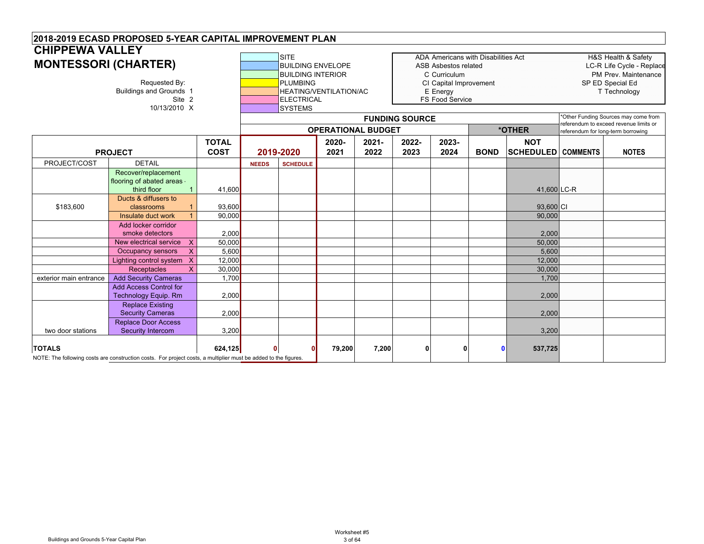|                        | 2018-2019 ECASD PROPOSED 5-YEAR CAPITAL IMPROVEMENT PLAN                                                                   |                             |              |                 |                                                                                                                               |                  |                       |                                                                                                      |                                     |                                         |                                    |                                                                                                              |
|------------------------|----------------------------------------------------------------------------------------------------------------------------|-----------------------------|--------------|-----------------|-------------------------------------------------------------------------------------------------------------------------------|------------------|-----------------------|------------------------------------------------------------------------------------------------------|-------------------------------------|-----------------------------------------|------------------------------------|--------------------------------------------------------------------------------------------------------------|
| <b>CHIPPEWA VALLEY</b> |                                                                                                                            |                             |              |                 |                                                                                                                               |                  |                       |                                                                                                      |                                     |                                         |                                    |                                                                                                              |
|                        | <b>MONTESSORI (CHARTER)</b><br>Requested By:<br><b>Buildings and Grounds 1</b><br>Site 2<br>10/13/2010 X                   |                             |              |                 | <b>BUILDING ENVELOPE</b><br><b>BUILDING INTERIOR</b><br><b>PLUMBING</b><br><b>HEATING/VENTILATION/AC</b><br><b>ELECTRICAL</b> |                  |                       | ASB Asbestos related<br>C Curriculum<br>CI Capital Improvement<br>E Energy<br><b>FS Food Service</b> | ADA Americans with Disabilities Act |                                         |                                    | H&S Health & Safety<br>LC-R Life Cycle - Replace<br>PM Prev. Maintenance<br>SP ED Special Ed<br>T Technology |
|                        |                                                                                                                            |                             |              | <b>SYSTEMS</b>  |                                                                                                                               |                  | <b>FUNDING SOURCE</b> |                                                                                                      |                                     |                                         |                                    | *Other Funding Sources may come from                                                                         |
|                        |                                                                                                                            |                             |              |                 | <b>OPERATIONAL BUDGET</b>                                                                                                     |                  |                       |                                                                                                      |                                     | *OTHER                                  | referendum for long-term borrowing | referendum to exceed revenue limits or                                                                       |
|                        | <b>PROJECT</b>                                                                                                             | <b>TOTAL</b><br><b>COST</b> |              | 2019-2020       | 2020-<br>2021                                                                                                                 | $2021 -$<br>2022 | 2022-<br>2023         | 2023-<br>2024                                                                                        | <b>BOND</b>                         | <b>NOT</b><br><b>SCHEDULED COMMENTS</b> |                                    | <b>NOTES</b>                                                                                                 |
| PROJECT/COST           | <b>DETAIL</b>                                                                                                              |                             | <b>NEEDS</b> | <b>SCHEDULE</b> |                                                                                                                               |                  |                       |                                                                                                      |                                     |                                         |                                    |                                                                                                              |
|                        | Recover/replacement<br>flooring of abated areas -<br>third floor<br>$\mathbf{1}$                                           | 41,600                      |              |                 |                                                                                                                               |                  |                       |                                                                                                      |                                     | 41,600 LC-R                             |                                    |                                                                                                              |
| \$183,600              | Ducts & diffusers to<br>classrooms                                                                                         | 93,600                      |              |                 |                                                                                                                               |                  |                       |                                                                                                      |                                     | 93,600 CI                               |                                    |                                                                                                              |
|                        | Insulate duct work                                                                                                         | 90,000                      |              |                 |                                                                                                                               |                  |                       |                                                                                                      |                                     | 90,000                                  |                                    |                                                                                                              |
|                        | Add locker corridor<br>smoke detectors                                                                                     | 2,000                       |              |                 |                                                                                                                               |                  |                       |                                                                                                      |                                     | 2,000                                   |                                    |                                                                                                              |
|                        | X<br>New electrical service                                                                                                | 50,000                      |              |                 |                                                                                                                               |                  |                       |                                                                                                      |                                     | 50,000                                  |                                    |                                                                                                              |
|                        | X<br>Occupancy sensors                                                                                                     | 5,600                       |              |                 |                                                                                                                               |                  |                       |                                                                                                      |                                     | 5,600                                   |                                    |                                                                                                              |
|                        | Lighting control system<br>$\mathsf{X}$<br>$\mathsf{x}$<br>Receptacles                                                     | 12,000<br>30,000            |              |                 |                                                                                                                               |                  |                       |                                                                                                      |                                     | 12,000<br>30,000                        |                                    |                                                                                                              |
| exterior main entrance | <b>Add Security Cameras</b>                                                                                                | 1.700                       |              |                 |                                                                                                                               |                  |                       |                                                                                                      |                                     | 1,700                                   |                                    |                                                                                                              |
|                        | <b>Add Access Control for</b><br><b>Technology Equip. Rm</b>                                                               | 2,000                       |              |                 |                                                                                                                               |                  |                       |                                                                                                      |                                     | 2,000                                   |                                    |                                                                                                              |
|                        | <b>Replace Existing</b><br><b>Security Cameras</b>                                                                         | 2,000                       |              |                 |                                                                                                                               |                  |                       |                                                                                                      |                                     | 2,000                                   |                                    |                                                                                                              |
| two door stations      | <b>Replace Door Access</b><br><b>Security Intercom</b>                                                                     | 3,200                       |              |                 |                                                                                                                               |                  |                       |                                                                                                      |                                     | 3,200                                   |                                    |                                                                                                              |
| <b>TOTALS</b>          | 624,125<br>NOTE: The following costs are construction costs. For project costs, a multiplier must be added to the figures. |                             |              |                 | 79,200                                                                                                                        | 7,200            | 0                     | 0                                                                                                    | 0                                   | 537,725                                 |                                    |                                                                                                              |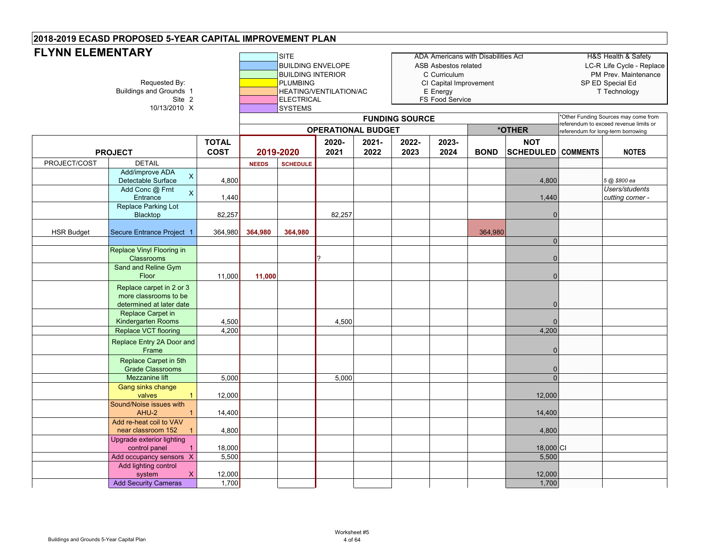| <b>FLYNN ELEMENTARY</b><br>Requested By:<br><b>Buildings and Grounds 1</b><br>Site 2<br>10/13/2010 X |                                                                               |                             |              | SITE<br><b>BUILDING INTERIOR</b><br><b>PLUMBING</b><br><b>ELECTRICAL</b><br><b>SYSTEMS</b> | <b>BUILDING ENVELOPE</b><br>HEATING/VENTILATION/AC |               | <b>FUNDING SOURCE</b> | ASB Asbestos related<br>C Curriculum<br>CI Capital Improvement<br>E Energy<br>FS Food Service | <b>ADA Americans with Disabilities Act</b> |                                |                 | <b>H&amp;S Health &amp; Safety</b><br>LC-R Life Cycle - Replace<br>PM Prev. Maintenance<br>SP ED Special Ed<br>T Technology<br>'Other Funding Sources may come from |
|------------------------------------------------------------------------------------------------------|-------------------------------------------------------------------------------|-----------------------------|--------------|--------------------------------------------------------------------------------------------|----------------------------------------------------|---------------|-----------------------|-----------------------------------------------------------------------------------------------|--------------------------------------------|--------------------------------|-----------------|---------------------------------------------------------------------------------------------------------------------------------------------------------------------|
|                                                                                                      |                                                                               |                             |              |                                                                                            | <b>OPERATIONAL BUDGET</b>                          |               |                       |                                                                                               |                                            | *OTHER                         |                 | referendum to exceed revenue limits or<br>referendum for long-term borrowing                                                                                        |
|                                                                                                      | <b>PROJECT</b>                                                                | <b>TOTAL</b><br><b>COST</b> |              | 2019-2020                                                                                  | 2020-<br>2021                                      | 2021-<br>2022 | 2022-<br>2023         | 2023-<br>2024                                                                                 | <b>BOND</b>                                | <b>NOT</b><br><b>SCHEDULED</b> | <b>COMMENTS</b> | <b>NOTES</b>                                                                                                                                                        |
| PROJECT/COST                                                                                         | <b>DETAIL</b>                                                                 |                             | <b>NEEDS</b> | <b>SCHEDULE</b>                                                                            |                                                    |               |                       |                                                                                               |                                            |                                |                 |                                                                                                                                                                     |
|                                                                                                      | Add/improve ADA<br>$\times$<br>Detectable Surface                             | 4,800                       |              |                                                                                            |                                                    |               |                       |                                                                                               |                                            | 4,800                          |                 | 5 @ \$800 ea                                                                                                                                                        |
|                                                                                                      | Add Conc @ Frnt<br>$\mathsf X$<br>Entrance                                    | 1,440                       |              |                                                                                            |                                                    |               |                       |                                                                                               |                                            | 1,440                          |                 | Users/students<br>cutting corner -                                                                                                                                  |
|                                                                                                      | Replace Parking Lot<br>Blacktop                                               | 82,257                      |              |                                                                                            | 82,257                                             |               |                       |                                                                                               |                                            | $\overline{0}$                 |                 |                                                                                                                                                                     |
| <b>HSR Budget</b>                                                                                    | Secure Entrance Project 1                                                     | 364,980                     | 364,980      | 364,980                                                                                    |                                                    |               |                       |                                                                                               | 364,980                                    |                                |                 |                                                                                                                                                                     |
|                                                                                                      |                                                                               |                             |              |                                                                                            |                                                    |               |                       |                                                                                               |                                            | $\mathbf{0}$                   |                 |                                                                                                                                                                     |
|                                                                                                      | Replace Vinyl Flooring in<br><b>Classrooms</b>                                |                             |              |                                                                                            |                                                    |               |                       |                                                                                               |                                            | $\mathbf{0}$                   |                 |                                                                                                                                                                     |
|                                                                                                      | Sand and Reline Gym<br>Floor                                                  | 11,000                      | 11,000       |                                                                                            |                                                    |               |                       |                                                                                               |                                            | $\mathbf{0}$                   |                 |                                                                                                                                                                     |
|                                                                                                      | Replace carpet in 2 or 3<br>more classrooms to be<br>determined at later date |                             |              |                                                                                            |                                                    |               |                       |                                                                                               |                                            | $\mathbf{0}$                   |                 |                                                                                                                                                                     |
|                                                                                                      | Replace Carpet in<br>Kindergarten Rooms                                       | 4,500                       |              |                                                                                            | 4,500                                              |               |                       |                                                                                               |                                            | $\Omega$                       |                 |                                                                                                                                                                     |
|                                                                                                      | Replace VCT flooring                                                          | 4,200                       |              |                                                                                            |                                                    |               |                       |                                                                                               |                                            | 4,200                          |                 |                                                                                                                                                                     |
|                                                                                                      | Replace Entry 2A Door and<br>Frame                                            |                             |              |                                                                                            |                                                    |               |                       |                                                                                               |                                            | $\Omega$                       |                 |                                                                                                                                                                     |
|                                                                                                      | Replace Carpet in 5th<br><b>Grade Classrooms</b>                              |                             |              |                                                                                            |                                                    |               |                       |                                                                                               |                                            | $\mathbf{0}$                   |                 |                                                                                                                                                                     |
|                                                                                                      | Mezzanine lift                                                                | 5,000                       |              |                                                                                            | 5,000                                              |               |                       |                                                                                               |                                            | $\Omega$                       |                 |                                                                                                                                                                     |
|                                                                                                      | Gang sinks change<br>valves                                                   | 12,000                      |              |                                                                                            |                                                    |               |                       |                                                                                               |                                            | 12,000                         |                 |                                                                                                                                                                     |
|                                                                                                      | Sound/Noise issues with<br>AHU-2                                              | 14,400                      |              |                                                                                            |                                                    |               |                       |                                                                                               |                                            | 14,400                         |                 |                                                                                                                                                                     |
|                                                                                                      | Add re-heat coil to VAV<br>near classroom 152<br>$\overline{1}$               | 4,800                       |              |                                                                                            |                                                    |               |                       |                                                                                               |                                            | 4,800                          |                 |                                                                                                                                                                     |
|                                                                                                      | Upgrade exterior lighting<br>control panel<br>$\overline{1}$                  | 18,000                      |              |                                                                                            |                                                    |               |                       |                                                                                               |                                            | 18,000 CI                      |                 |                                                                                                                                                                     |
|                                                                                                      | Add occupancy sensors X                                                       | 5,500                       |              |                                                                                            |                                                    |               |                       |                                                                                               |                                            | 5,500                          |                 |                                                                                                                                                                     |
|                                                                                                      | Add lighting control<br>system<br>$\boldsymbol{\mathsf{X}}$                   | 12,000                      |              |                                                                                            |                                                    |               |                       |                                                                                               |                                            | 12,000                         |                 |                                                                                                                                                                     |
|                                                                                                      | <b>Add Security Cameras</b>                                                   | 1,700                       |              |                                                                                            |                                                    |               |                       |                                                                                               |                                            | 1,700                          |                 |                                                                                                                                                                     |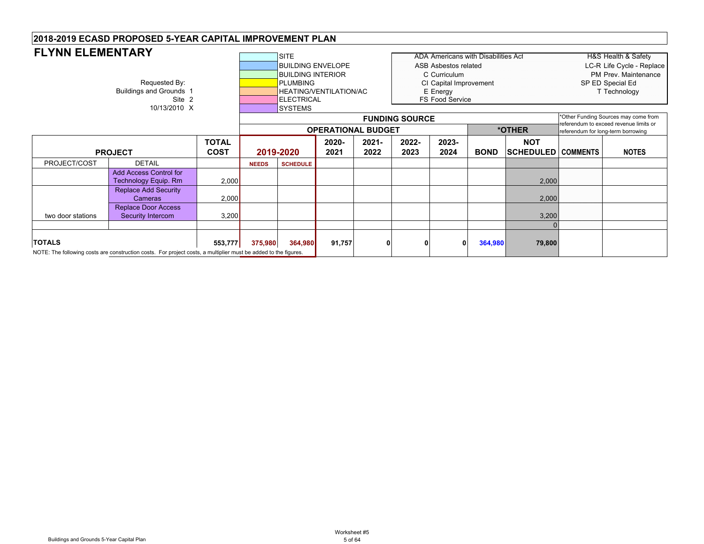| <b>FLYNN ELEMENTARY</b>                       |                                                                                                                 | <b>SITE</b><br>ADA Americans with Disabilities Act |                                                              |                                                                                                                 |                        |                  |               |                                                                                                      | <b>H&amp;S Health &amp; Safety</b> |                                         |                                                                                       |                                                                                                                      |  |
|-----------------------------------------------|-----------------------------------------------------------------------------------------------------------------|----------------------------------------------------|--------------------------------------------------------------|-----------------------------------------------------------------------------------------------------------------|------------------------|------------------|---------------|------------------------------------------------------------------------------------------------------|------------------------------------|-----------------------------------------|---------------------------------------------------------------------------------------|----------------------------------------------------------------------------------------------------------------------|--|
|                                               | Requested By:<br>Buildings and Grounds 1<br>Site 2<br>10/13/2010 X                                              |                                                    |                                                              | <b>BUILDING ENVELOPE</b><br><b>BUILDING INTERIOR</b><br><b>PLUMBING</b><br><b>IELECTRICAL</b><br><b>SYSTEMS</b> | HEATING/VENTILATION/AC |                  |               | ASB Asbestos related<br>C Curriculum<br>CI Capital Improvement<br>E Energy<br><b>FS Food Service</b> |                                    |                                         | LC-R Life Cycle - Replace<br>PM Prev. Maintenance<br>SP ED Special Ed<br>T Technology |                                                                                                                      |  |
|                                               |                                                                                                                 |                                                    | <b>FUNDING SOURCE</b><br>*OTHER<br><b>OPERATIONAL BUDGET</b> |                                                                                                                 |                        |                  |               |                                                                                                      |                                    |                                         |                                                                                       | *Other Funding Sources may come from<br>referendum to exceed revenue limits or<br>referendum for long-term borrowing |  |
| <b>TOTAL</b><br><b>COST</b><br><b>PROJECT</b> |                                                                                                                 |                                                    |                                                              | 2019-2020                                                                                                       | 2020-<br>2021          | $2021 -$<br>2022 | 2022-<br>2023 | 2023-<br>2024                                                                                        | <b>BOND</b>                        | <b>NOT</b><br><b>SCHEDULED COMMENTS</b> |                                                                                       | <b>NOTES</b>                                                                                                         |  |
| PROJECT/COST                                  | <b>DETAIL</b>                                                                                                   |                                                    | <b>NEEDS</b>                                                 | <b>SCHEDULE</b>                                                                                                 |                        |                  |               |                                                                                                      |                                    |                                         |                                                                                       |                                                                                                                      |  |
|                                               | <b>Add Access Control for</b><br><b>Technology Equip. Rm</b>                                                    | 2,000                                              |                                                              |                                                                                                                 |                        |                  |               |                                                                                                      |                                    | 2,000                                   |                                                                                       |                                                                                                                      |  |
|                                               | <b>Replace Add Security</b><br>Cameras                                                                          | 2,000                                              |                                                              |                                                                                                                 |                        |                  |               |                                                                                                      |                                    | 2,000                                   |                                                                                       |                                                                                                                      |  |
| two door stations                             |                                                                                                                 |                                                    |                                                              |                                                                                                                 |                        |                  |               | 3,200                                                                                                |                                    |                                         |                                                                                       |                                                                                                                      |  |
|                                               |                                                                                                                 |                                                    |                                                              |                                                                                                                 |                        |                  |               |                                                                                                      |                                    |                                         |                                                                                       |                                                                                                                      |  |
| <b>TOTALS</b>                                 | NOTE: The following costs are construction costs. For project costs, a multiplier must be added to the figures. | 553,777                                            | 375,980                                                      | 364,980                                                                                                         | 91,757                 |                  | 0             | 0                                                                                                    | 364,980                            | 79,800                                  |                                                                                       |                                                                                                                      |  |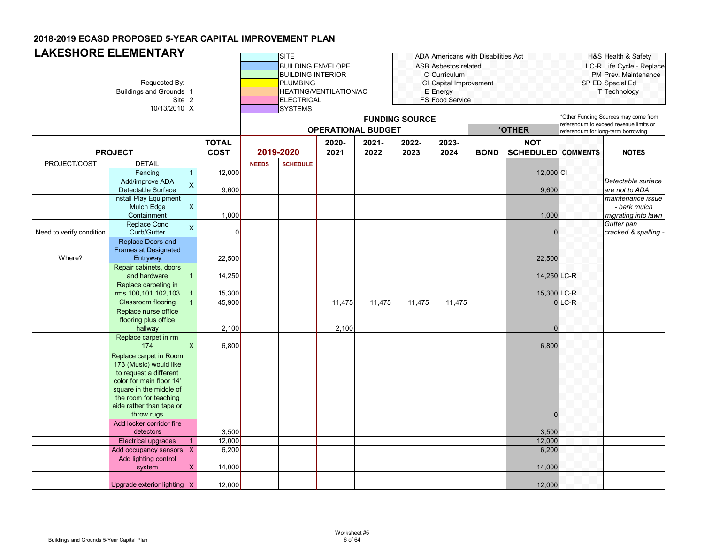# **LAKESHORE ELEMENTARY**

| LANEJNUKE ELEIVIEN I AK I | Buildings and Grounds 1<br>Site 2<br>10/13/2010 X                                                                                                                                                    | <b>SITE</b><br><b>BUILDING ENVELOPE</b><br><b>BUILDING INTERIOR</b><br><b>PLUMBING</b><br>HEATING/VENTILATION/AC<br><b>ELECTRICAL</b><br><b>SYSTEMS</b><br><b>FUNDING SOURCE</b><br><b>OPERATIONAL BUDGET</b> |              |                 |               |                  | <b>ADA Americans with Disabilities Act</b><br>ASB Asbestos related<br>C Curriculum<br>CI Capital Improvement<br>E Energy<br>FS Food Service | *OTHER        |             | H&S Health & Safety<br>LC-R Life Cycle - Replace<br>PM Prev. Maintenance<br>SP ED Special Ed<br>T Technology<br>*Other Funding Sources may come from<br>eferendum to exceed revenue limits or<br>referendum for long-term borrowing |                     |                                                          |
|---------------------------|------------------------------------------------------------------------------------------------------------------------------------------------------------------------------------------------------|---------------------------------------------------------------------------------------------------------------------------------------------------------------------------------------------------------------|--------------|-----------------|---------------|------------------|---------------------------------------------------------------------------------------------------------------------------------------------|---------------|-------------|-------------------------------------------------------------------------------------------------------------------------------------------------------------------------------------------------------------------------------------|---------------------|----------------------------------------------------------|
|                           | <b>PROJECT</b>                                                                                                                                                                                       | <b>TOTAL</b><br><b>COST</b>                                                                                                                                                                                   |              | 2019-2020       | 2020-<br>2021 | $2021 -$<br>2022 | 2022-<br>2023                                                                                                                               | 2023-<br>2024 | <b>BOND</b> | <b>NOT</b><br><b>SCHEDULED</b> COMMENTS                                                                                                                                                                                             |                     | <b>NOTES</b>                                             |
| PROJECT/COST              | <b>DETAIL</b>                                                                                                                                                                                        |                                                                                                                                                                                                               | <b>NEEDS</b> | <b>SCHEDULE</b> |               |                  |                                                                                                                                             |               |             |                                                                                                                                                                                                                                     |                     |                                                          |
|                           | Fencing<br>$\mathbf{1}$                                                                                                                                                                              | 12,000                                                                                                                                                                                                        |              |                 |               |                  |                                                                                                                                             |               |             | 12,000 CI                                                                                                                                                                                                                           |                     |                                                          |
|                           | Add/improve ADA<br>X<br>Detectable Surface                                                                                                                                                           | 9,600                                                                                                                                                                                                         |              |                 |               |                  |                                                                                                                                             |               |             | 9,600                                                                                                                                                                                                                               |                     | Detectable surface<br>are not to ADA                     |
|                           | <b>Install Play Equipment</b><br>Mulch Edge<br>X<br>Containment                                                                                                                                      | 1,000                                                                                                                                                                                                         |              |                 |               |                  |                                                                                                                                             |               |             | 1,000                                                                                                                                                                                                                               |                     | maintenance issue<br>- bark mulch<br>migrating into lawn |
| Need to verify condition  | Replace Conc<br>$\times$<br>Curb/Gutter                                                                                                                                                              | $\Omega$                                                                                                                                                                                                      |              |                 |               |                  |                                                                                                                                             |               |             | $\Omega$                                                                                                                                                                                                                            |                     | Gutter pan<br>cracked & spalling .                       |
| Where?                    | Replace Doors and<br><b>Frames at Designated</b><br>Entryway                                                                                                                                         | 22,500                                                                                                                                                                                                        |              |                 |               |                  |                                                                                                                                             |               |             | 22,500                                                                                                                                                                                                                              |                     |                                                          |
|                           | Repair cabinets, doors<br>and hardware<br>$\mathbf{1}$                                                                                                                                               | 14,250                                                                                                                                                                                                        |              |                 |               |                  |                                                                                                                                             |               |             | 14,250 LC-R                                                                                                                                                                                                                         |                     |                                                          |
|                           | Replace carpeting in<br>rms 100,101,102,103<br>$\overline{1}$                                                                                                                                        | 15,300                                                                                                                                                                                                        |              |                 |               |                  |                                                                                                                                             |               |             | 15,300 LC-R                                                                                                                                                                                                                         |                     |                                                          |
|                           | <b>Classroom flooring</b><br>$\mathbf{1}$                                                                                                                                                            | 45,900                                                                                                                                                                                                        |              |                 | 11,475        | 11,475           | 11,475                                                                                                                                      | 11,475        |             |                                                                                                                                                                                                                                     | $0$ <sub>LC-R</sub> |                                                          |
|                           | Replace nurse office<br>flooring plus office<br>hallway<br>Replace carpet in rm                                                                                                                      | 2,100                                                                                                                                                                                                         |              |                 | 2,100         |                  |                                                                                                                                             |               |             | $\Omega$                                                                                                                                                                                                                            |                     |                                                          |
|                           | 174<br>X                                                                                                                                                                                             | 6,800                                                                                                                                                                                                         |              |                 |               |                  |                                                                                                                                             |               |             | 6,800                                                                                                                                                                                                                               |                     |                                                          |
|                           | Replace carpet in Room<br>173 (Music) would like<br>to request a different<br>color for main floor 14'<br>square in the middle of<br>the room for teaching<br>aide rather than tape or<br>throw rugs |                                                                                                                                                                                                               |              |                 |               |                  |                                                                                                                                             |               |             | $\Omega$                                                                                                                                                                                                                            |                     |                                                          |
|                           | Add locker corridor fire<br>detectors                                                                                                                                                                | 3,500                                                                                                                                                                                                         |              |                 |               |                  |                                                                                                                                             |               |             | 3,500                                                                                                                                                                                                                               |                     |                                                          |
|                           | <b>Electrical upgrades</b><br>$\overline{1}$                                                                                                                                                         | 12,000                                                                                                                                                                                                        |              |                 |               |                  |                                                                                                                                             |               |             | 12,000                                                                                                                                                                                                                              |                     |                                                          |
|                           | Add occupancy sensors X                                                                                                                                                                              | 6,200                                                                                                                                                                                                         |              |                 |               |                  |                                                                                                                                             |               |             | 6,200                                                                                                                                                                                                                               |                     |                                                          |
|                           | Add lighting control<br>system<br>$\times$                                                                                                                                                           | 14,000                                                                                                                                                                                                        |              |                 |               |                  |                                                                                                                                             |               |             | 14,000                                                                                                                                                                                                                              |                     |                                                          |
|                           | Upgrade exterior lighting X                                                                                                                                                                          | 12,000                                                                                                                                                                                                        |              |                 |               |                  |                                                                                                                                             |               |             | 12,000                                                                                                                                                                                                                              |                     |                                                          |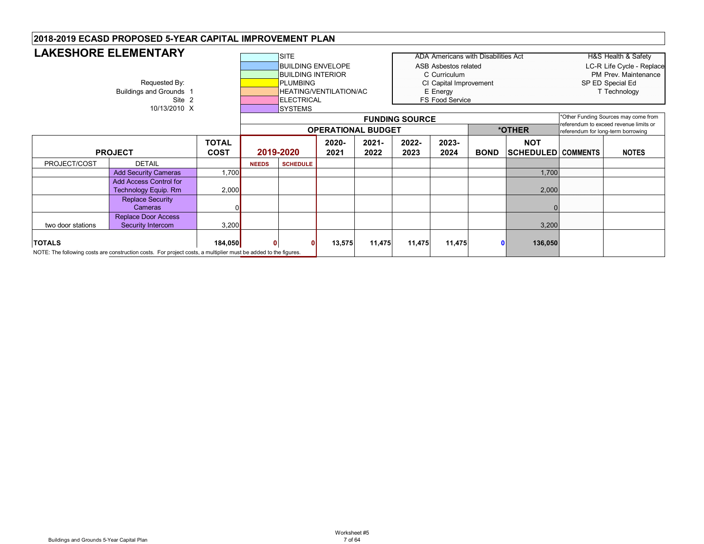|                   | <b>LAKESHORE ELEMENTARY</b>                                                                                     |             |              |                                     |                               |        |                       |                                            |              |                           |  |                                                                              |  |
|-------------------|-----------------------------------------------------------------------------------------------------------------|-------------|--------------|-------------------------------------|-------------------------------|--------|-----------------------|--------------------------------------------|--------------|---------------------------|--|------------------------------------------------------------------------------|--|
|                   |                                                                                                                 |             |              | <b>SITE</b>                         |                               |        |                       | <b>ADA Americans with Disabilities Act</b> |              |                           |  | H&S Health & Safety                                                          |  |
|                   |                                                                                                                 |             |              |                                     | <b>BUILDING ENVELOPE</b>      |        |                       | ASB Asbestos related                       |              |                           |  | LC-R Life Cycle - Replace                                                    |  |
|                   |                                                                                                                 |             |              | <b>BUILDING INTERIOR</b>            |                               |        |                       | C Curriculum                               |              |                           |  | PM Prev. Maintenance                                                         |  |
|                   | Requested By:                                                                                                   |             |              | <b>PLUMBING</b>                     |                               |        |                       | CI Capital Improvement                     |              |                           |  | SP ED Special Ed                                                             |  |
|                   | <b>Buildings and Grounds 1</b>                                                                                  |             |              |                                     | <b>HEATING/VENTILATION/AC</b> |        |                       | E Energy                                   |              |                           |  | T Technology                                                                 |  |
|                   | Site 2                                                                                                          |             |              | <b>ELECTRICAL</b>                   |                               |        |                       | FS Food Service                            |              |                           |  |                                                                              |  |
|                   | 10/13/2010 X                                                                                                    |             |              | <b>SYSTEMS</b>                      |                               |        |                       |                                            |              |                           |  |                                                                              |  |
|                   |                                                                                                                 |             |              |                                     |                               |        | <b>FUNDING SOURCE</b> |                                            |              |                           |  | *Other Funding Sources may come from                                         |  |
|                   |                                                                                                                 |             |              | *OTHER<br><b>OPERATIONAL BUDGET</b> |                               |        |                       |                                            |              |                           |  | referendum to exceed revenue limits or<br>referendum for long-term borrowing |  |
|                   |                                                                                                                 | 2020-       | $2021 -$     | 2022-                               | 2023-                         |        | <b>NOT</b>            |                                            |              |                           |  |                                                                              |  |
|                   | <b>PROJECT</b>                                                                                                  | <b>COST</b> |              | 2019-2020                           | 2021                          | 2022   | 2023                  | 2024                                       | <b>BOND</b>  | <b>SCHEDULED COMMENTS</b> |  | <b>NOTES</b>                                                                 |  |
| PROJECT/COST      | <b>DETAIL</b>                                                                                                   |             | <b>NEEDS</b> | <b>SCHEDULE</b>                     |                               |        |                       |                                            |              |                           |  |                                                                              |  |
|                   | <b>Add Security Cameras</b>                                                                                     | 1,700       |              |                                     |                               |        |                       |                                            |              | 1,700                     |  |                                                                              |  |
|                   | <b>Add Access Control for</b><br><b>Technology Equip. Rm</b>                                                    | 2,000       |              |                                     |                               |        |                       |                                            |              | 2,000                     |  |                                                                              |  |
|                   | <b>Replace Security</b>                                                                                         |             |              |                                     |                               |        |                       |                                            |              |                           |  |                                                                              |  |
|                   | Cameras                                                                                                         |             |              |                                     |                               |        |                       |                                            |              |                           |  |                                                                              |  |
|                   | Replace Door Access                                                                                             |             |              |                                     |                               |        |                       |                                            |              |                           |  |                                                                              |  |
| two door stations | Security Intercom                                                                                               | 3,200       |              |                                     |                               |        |                       |                                            |              | 3,200                     |  |                                                                              |  |
| <b>TOTALS</b>     |                                                                                                                 | 184,050     |              |                                     | 13,575                        | 11,475 | 11,475                | 11,475                                     | $\mathbf{0}$ | 136,050                   |  |                                                                              |  |
|                   | NOTE: The following costs are construction costs. For project costs, a multiplier must be added to the figures. |             |              |                                     |                               |        |                       |                                            |              |                           |  |                                                                              |  |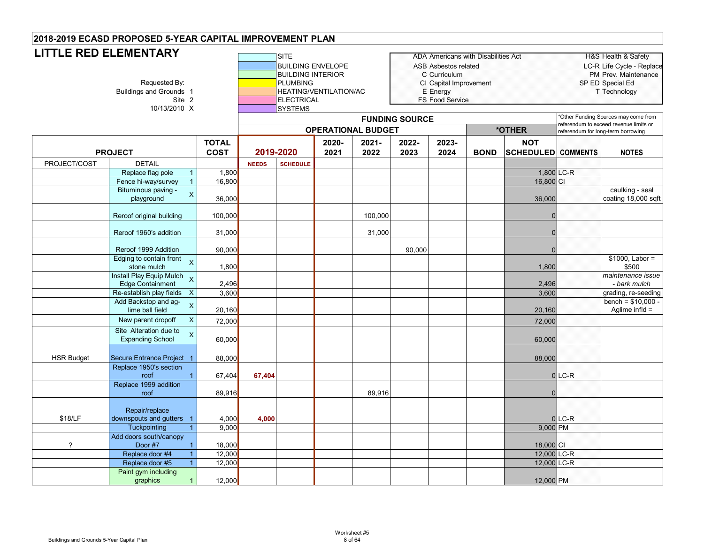#### **SITE BUILDING ENVELOPE** BUILDING INTERIOR<br>PLUMBING Buildings and Grounds 1 Site 2 HEATING/VENTILATION/AC ELECTRICAL  $10/13/2010 \times$ **LITTLE RED ELEMENTARY**

| NIART           | <b>ISITE</b>                  | ADA Americans with Disabilities Act | H&S Health & Safety      |
|-----------------|-------------------------------|-------------------------------------|--------------------------|
|                 | <b>BUILDING ENVELOPE</b>      | ASB Asbestos related                | LC-R Life Cycle - Replac |
|                 | <b>IBUILDING INTERIOR</b>     | C. Curriculum                       | PM Prev. Maintenance     |
| Requested By:   | PLUMBING                      | CI Capital Improvement              | SP ED Special Ed         |
| s and Grounds 1 | <b>HEATING/VENTILATION/AC</b> | E Energy                            | T Technoloav             |
| Site            | <b>IELECTRICAL</b>            | <b>FS Food Service</b>              |                          |

|                          | $101102010$ A                                                      |                             | <b>PIPILING</b><br>*Other Funding Sources may come from<br><b>FUNDING SOURCE</b> |                 |               |                           |               |               |             |                                         |          |                                                    |
|--------------------------|--------------------------------------------------------------------|-----------------------------|----------------------------------------------------------------------------------|-----------------|---------------|---------------------------|---------------|---------------|-------------|-----------------------------------------|----------|----------------------------------------------------|
|                          |                                                                    |                             |                                                                                  |                 |               | <b>OPERATIONAL BUDGET</b> |               |               |             | *OTHER                                  |          | referendum to exceed revenue limits or             |
|                          | <b>PROJECT</b>                                                     | <b>TOTAL</b><br><b>COST</b> |                                                                                  | 2019-2020       | 2020-<br>2021 | 2021-<br>2022             | 2022-<br>2023 | 2023-<br>2024 | <b>BOND</b> | <b>NOT</b><br><b>SCHEDULED COMMENTS</b> |          | referendum for long-term borrowing<br><b>NOTES</b> |
| PROJECT/COST             | <b>DETAIL</b>                                                      |                             | <b>NEEDS</b>                                                                     | <b>SCHEDULE</b> |               |                           |               |               |             |                                         |          |                                                    |
|                          | Replace flag pole                                                  | 1,800                       |                                                                                  |                 |               |                           |               |               |             | 1,800 LC-R                              |          |                                                    |
|                          | Fence hi-way/survey                                                | 16,800                      |                                                                                  |                 |               |                           |               |               |             | $16,800$ CI                             |          |                                                    |
|                          | Bituminous paving -<br>$\mathsf X$<br>playground                   | 36,000                      |                                                                                  |                 |               |                           |               |               |             | 36,000                                  |          | caulking - seal<br>coating 18,000 sqft             |
|                          | Reroof original building                                           | 100,000                     |                                                                                  |                 |               | 100,000                   |               |               |             | $\Omega$                                |          |                                                    |
|                          | Reroof 1960's addition                                             | 31,000                      |                                                                                  |                 |               | 31,000                    |               |               |             | $\Omega$                                |          |                                                    |
|                          | Reroof 1999 Addition                                               | 90,000                      |                                                                                  |                 |               |                           | 90,000        |               |             |                                         |          |                                                    |
|                          | Edging to contain front $\chi$<br>stone mulch                      | 1,800                       |                                                                                  |                 |               |                           |               |               | 1,800       |                                         |          | $$1000,$ Labor =<br>\$500                          |
|                          | Install Play Equip Mulch X<br>Edge Containment                     | 2,496                       |                                                                                  |                 |               |                           |               |               |             | 2,496                                   |          | maintenance issue<br>- bark mulch                  |
|                          | Re-establish play fields X                                         | 3,600                       |                                                                                  |                 |               |                           |               |               |             | 3,600                                   |          | grading, re-seeding                                |
|                          | Add Backstop and ag-<br>$\overline{\mathsf{X}}$<br>lime ball field | 20,160                      |                                                                                  |                 |               |                           |               |               |             | 20,160                                  |          | $bench = $10,000 -$<br>Aglime infld $=$            |
|                          | New parent dropoff<br>$\mathsf{X}$                                 | 72,000                      |                                                                                  |                 |               |                           |               |               |             | 72,000                                  |          |                                                    |
|                          | Site Alteration due to<br>$\mathsf X$<br><b>Expanding School</b>   | 60,000                      |                                                                                  |                 |               |                           |               |               |             | 60,000                                  |          |                                                    |
| <b>HSR Budget</b>        | Secure Entrance Project 1                                          | 88,000                      |                                                                                  |                 |               |                           |               |               |             | 88,000                                  |          |                                                    |
|                          | Replace 1950's section<br>roof                                     | 67,404                      | 67,404                                                                           |                 |               |                           |               |               |             |                                         | $0$ LC-R |                                                    |
|                          | Replace 1999 addition<br>roof                                      | 89,916                      |                                                                                  |                 |               | 89,916                    |               |               |             |                                         |          |                                                    |
| \$18/LF                  | Repair/replace<br>downspouts and gutters                           | 4,000                       | 4,000                                                                            |                 |               |                           |               |               |             |                                         | $0$ LC-R |                                                    |
|                          | Tuckpointing                                                       | 9,000                       |                                                                                  |                 |               |                           |               |               |             | 9,000 PM                                |          |                                                    |
| $\overline{\phantom{0}}$ | Add doors south/canopy<br>Door #7                                  | 18,000                      |                                                                                  |                 |               |                           |               |               |             | 18,000 CI                               |          |                                                    |
|                          | Replace door #4                                                    | 12,000                      |                                                                                  |                 |               |                           |               |               |             | 12,000 LC-R                             |          |                                                    |
|                          | Replace door #5                                                    | 12,000                      |                                                                                  |                 |               |                           |               |               |             | 12,000 LC-R                             |          |                                                    |
|                          | Paint gym including<br>graphics<br>$\mathbf{1}$                    | 12,000                      |                                                                                  |                 |               |                           |               |               |             | 12,000 PM                               |          |                                                    |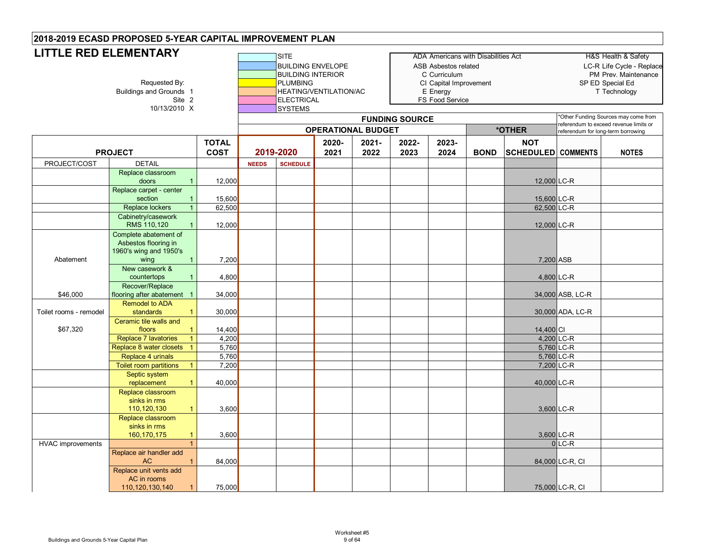| LITTLE RED ELEMENTARY<br>Requested By:<br><b>Buildings and Grounds 1</b><br>Site 2<br>10/13/2010 X |                                                                                                 |              |              | <b>SITE</b><br><b>BUILDING ENVELOPE</b><br><b>BUILDING INTERIOR</b><br><b>PLUMBING</b><br><b>ELECTRICAL</b><br><b>SYSTEMS</b> | HEATING/VENTILATION/AC |                           |                       | <b>ADA Americans with Disabilities Act</b><br><b>ASB Asbestos related</b><br>C Curriculum<br>CI Capital Improvement<br>E Energy<br>FS Food Service |             | SP ED Special Ed          | <b>H&amp;S Health &amp; Safety</b><br>LC-R Life Cycle - Replace<br>PM Prev. Maintenance<br>T Technology |                                      |
|----------------------------------------------------------------------------------------------------|-------------------------------------------------------------------------------------------------|--------------|--------------|-------------------------------------------------------------------------------------------------------------------------------|------------------------|---------------------------|-----------------------|----------------------------------------------------------------------------------------------------------------------------------------------------|-------------|---------------------------|---------------------------------------------------------------------------------------------------------|--------------------------------------|
|                                                                                                    |                                                                                                 |              |              |                                                                                                                               |                        | <b>OPERATIONAL BUDGET</b> | <b>FUNDING SOURCE</b> |                                                                                                                                                    |             | *OTHER                    | referendum to exceed revenue limits or                                                                  | *Other Funding Sources may come from |
|                                                                                                    |                                                                                                 | <b>TOTAL</b> |              |                                                                                                                               | 2020-                  | 2021-                     | 2022-                 | 2023-                                                                                                                                              |             | <b>NOT</b>                | referendum for long-term borrowing                                                                      |                                      |
|                                                                                                    | <b>PROJECT</b>                                                                                  | <b>COST</b>  |              | 2019-2020                                                                                                                     | 2021                   | 2022                      | 2023                  | 2024                                                                                                                                               | <b>BOND</b> | <b>SCHEDULED</b> COMMENTS |                                                                                                         | <b>NOTES</b>                         |
| PROJECT/COST                                                                                       | <b>DETAIL</b>                                                                                   |              | <b>NEEDS</b> | <b>SCHEDULE</b>                                                                                                               |                        |                           |                       |                                                                                                                                                    |             |                           |                                                                                                         |                                      |
|                                                                                                    | Replace classroom                                                                               |              |              |                                                                                                                               |                        |                           |                       |                                                                                                                                                    |             |                           |                                                                                                         |                                      |
|                                                                                                    | doors<br>$\mathbf{1}$                                                                           | 12,000       |              |                                                                                                                               |                        |                           |                       |                                                                                                                                                    |             | 12,000 LC-R               |                                                                                                         |                                      |
|                                                                                                    | Replace carpet - center                                                                         |              |              |                                                                                                                               |                        |                           |                       |                                                                                                                                                    |             |                           |                                                                                                         |                                      |
|                                                                                                    | section<br>$\mathbf{1}$                                                                         | 15,600       |              |                                                                                                                               |                        |                           |                       |                                                                                                                                                    |             | 15,600 LC-R               |                                                                                                         |                                      |
|                                                                                                    | Replace lockers                                                                                 | 62,500       |              |                                                                                                                               |                        |                           |                       |                                                                                                                                                    |             | 62,500 LC-R               |                                                                                                         |                                      |
|                                                                                                    | Cabinetry/casework<br>RMS 110,120<br>$\mathbf{1}$                                               | 12,000       |              |                                                                                                                               |                        |                           |                       |                                                                                                                                                    |             | 12,000 LC-R               |                                                                                                         |                                      |
| Abatement                                                                                          | Complete abatement of<br>Asbestos flooring in<br>1960's wing and 1950's<br>$\mathbf{1}$<br>wing | 7,200        |              |                                                                                                                               |                        |                           |                       |                                                                                                                                                    |             | 7,200 ASB                 |                                                                                                         |                                      |
|                                                                                                    | New casework &<br>countertops<br>$\mathbf{1}$                                                   | 4,800        |              |                                                                                                                               |                        |                           |                       |                                                                                                                                                    |             | 4,800 LC-R                |                                                                                                         |                                      |
| \$46,000                                                                                           | Recover/Replace<br>flooring after abatement 1                                                   | 34,000       |              |                                                                                                                               |                        |                           |                       |                                                                                                                                                    |             |                           | 34,000 ASB, LC-R                                                                                        |                                      |
|                                                                                                    | <b>Remodel to ADA</b>                                                                           |              |              |                                                                                                                               |                        |                           |                       |                                                                                                                                                    |             |                           |                                                                                                         |                                      |
| Toilet rooms - remodel                                                                             | standards<br>$\mathbf{1}$                                                                       | 30,000       |              |                                                                                                                               |                        |                           |                       |                                                                                                                                                    |             |                           | 30,000 ADA, LC-R                                                                                        |                                      |
| \$67,320                                                                                           | Ceramic tile walls and<br>floors<br>$\mathbf{1}$                                                | 14,400       |              |                                                                                                                               |                        |                           |                       |                                                                                                                                                    |             | 14,400 CI                 |                                                                                                         |                                      |
|                                                                                                    | <b>Replace 7 lavatories</b><br>$\mathbf{1}$                                                     | 4,200        |              |                                                                                                                               |                        |                           |                       |                                                                                                                                                    |             | 4,200 LC-R                |                                                                                                         |                                      |
|                                                                                                    | Replace 8 water closets<br>$\overline{1}$                                                       | 5,760        |              |                                                                                                                               |                        |                           |                       |                                                                                                                                                    |             | 5,760 LC-R                |                                                                                                         |                                      |
|                                                                                                    | Replace 4 urinals                                                                               | 5,760        |              |                                                                                                                               |                        |                           |                       |                                                                                                                                                    |             | 5,760 LC-R                |                                                                                                         |                                      |
|                                                                                                    | <b>Toilet room partitions</b><br>$\overline{1}$                                                 | 7,200        |              |                                                                                                                               |                        |                           |                       |                                                                                                                                                    |             |                           | 7,200 LC-R                                                                                              |                                      |
|                                                                                                    | Septic system<br>replacement<br>$\mathbf{1}$                                                    | 40,000       |              |                                                                                                                               |                        |                           |                       |                                                                                                                                                    |             | 40,000 LC-R               |                                                                                                         |                                      |
|                                                                                                    | Replace classroom<br>sinks in rms<br>110,120,130<br>$\mathbf{1}$                                | 3,600        |              |                                                                                                                               |                        |                           |                       |                                                                                                                                                    |             |                           | 3,600 LC-R                                                                                              |                                      |
|                                                                                                    | Replace classroom<br>sinks in rms<br>160,170,175<br>$\mathbf{1}$                                | 3,600        |              |                                                                                                                               |                        |                           |                       |                                                                                                                                                    |             |                           | 3,600 LC-R                                                                                              |                                      |
| <b>HVAC</b> improvements                                                                           | $\mathbf{1}$                                                                                    |              |              |                                                                                                                               |                        |                           |                       |                                                                                                                                                    |             |                           | $0$ LC-R                                                                                                |                                      |
|                                                                                                    | Replace air handler add<br><b>AC</b><br>$\mathbf{1}$                                            | 84,000       |              |                                                                                                                               |                        |                           |                       |                                                                                                                                                    |             |                           | 84,000 LC-R, CI                                                                                         |                                      |
|                                                                                                    | Replace unit vents add<br>AC in rooms<br>110,120,130,140                                        | 75,000       |              |                                                                                                                               |                        |                           |                       |                                                                                                                                                    |             |                           | 75,000 LC-R, CI                                                                                         |                                      |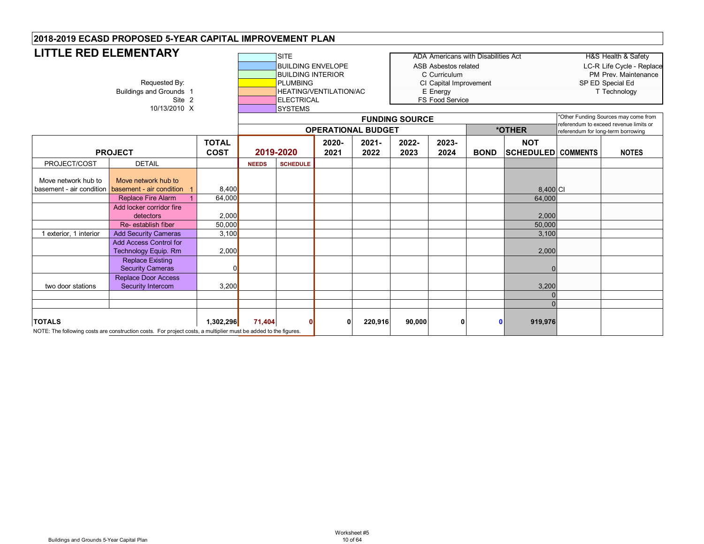| <b>LITTLE RED ELEMENTARY</b>                                            | Requested By:<br><b>Buildings and Grounds 1</b><br>Site 2<br>10/13/2010 X                                                                                                                                                                  |                                                      | <b>SITE</b><br><b>ADA Americans with Disabilities Act</b><br><b>BUILDING ENVELOPE</b><br>ASB Asbestos related<br><b>BUILDING INTERIOR</b><br>C Curriculum<br><b>PLUMBING</b><br>CI Capital Improvement<br><b>HEATING/VENTILATION/AC</b><br>E Energy<br>FS Food Service<br><b>ELECTRICAL</b><br><b>SYSTEMS</b><br><b>FUNDING SOURCE</b><br>*OTHER<br><b>OPERATIONAL BUDGET</b> |                 |               |                  |               |               |              | <b>H&amp;S Health &amp; Safety</b><br>LC-R Life Cycle - Replace<br>PM Prev. Maintenance<br>SP ED Special Ed<br>T Technology<br>*Other Funding Sources may come from<br>referendum to exceed revenue limits or<br>referendum for long-term borrowing |  |              |
|-------------------------------------------------------------------------|--------------------------------------------------------------------------------------------------------------------------------------------------------------------------------------------------------------------------------------------|------------------------------------------------------|-------------------------------------------------------------------------------------------------------------------------------------------------------------------------------------------------------------------------------------------------------------------------------------------------------------------------------------------------------------------------------|-----------------|---------------|------------------|---------------|---------------|--------------|-----------------------------------------------------------------------------------------------------------------------------------------------------------------------------------------------------------------------------------------------------|--|--------------|
|                                                                         | <b>PROJECT</b>                                                                                                                                                                                                                             | <b>TOTAL</b><br><b>COST</b>                          |                                                                                                                                                                                                                                                                                                                                                                               | 2019-2020       | 2020-<br>2021 | $2021 -$<br>2022 | 2022-<br>2023 | 2023-<br>2024 | <b>BOND</b>  | <b>NOT</b><br><b>SCHEDULED COMMENTS</b>                                                                                                                                                                                                             |  | <b>NOTES</b> |
| PROJECT/COST                                                            | <b>DETAIL</b>                                                                                                                                                                                                                              |                                                      | <b>NEEDS</b>                                                                                                                                                                                                                                                                                                                                                                  | <b>SCHEDULE</b> |               |                  |               |               |              |                                                                                                                                                                                                                                                     |  |              |
| Move network hub to<br>basement - air condition<br>exterior, 1 interior | Move network hub to<br>basement - air condition<br><b>Replace Fire Alarm</b><br>Add locker corridor fire<br>detectors<br>Re-establish fiber<br><b>Add Security Cameras</b><br><b>Add Access Control for</b><br><b>Technology Equip. Rm</b> | 8,400<br>64,000<br>2,000<br>50,000<br>3,100<br>2,000 |                                                                                                                                                                                                                                                                                                                                                                               |                 |               |                  |               |               |              | 8.400 C<br>64,000<br>2,000<br>50,000<br>3,100<br>2,000                                                                                                                                                                                              |  |              |
| two door stations                                                       | <b>Replace Existing</b><br><b>Security Cameras</b><br><b>Replace Door Access</b><br><b>Security Intercom</b>                                                                                                                               | 3,200                                                |                                                                                                                                                                                                                                                                                                                                                                               |                 |               |                  |               |               |              | 3,200                                                                                                                                                                                                                                               |  |              |
|                                                                         |                                                                                                                                                                                                                                            |                                                      |                                                                                                                                                                                                                                                                                                                                                                               |                 |               |                  |               |               |              | ∩                                                                                                                                                                                                                                                   |  |              |
| <b>TOTALS</b>                                                           | NOTE: The following costs are construction costs. For project costs, a multiplier must be added to the figures.                                                                                                                            | 1,302,296                                            | 71,404                                                                                                                                                                                                                                                                                                                                                                        | $\Omega$        | $\mathbf 0$   | 220,916          | 90,000        | O             | $\mathbf{0}$ | 919,976                                                                                                                                                                                                                                             |  |              |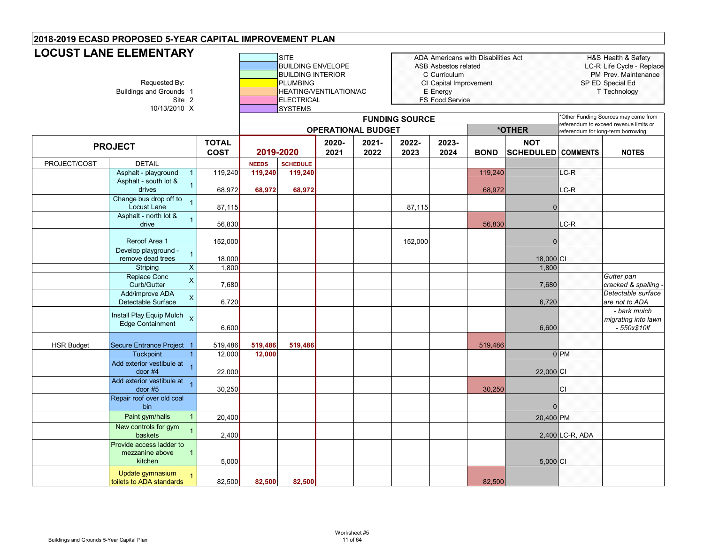| <b>LOCUST LANE ELEMENTARY</b><br>Requested By:<br>Buildings and Grounds 1<br>Site 2<br>10/13/2010 X |                                                                        |                             |              | SITE<br><b>BUILDING ENVELOPE</b><br><b>BUILDING INTERIOR</b><br><b>PLUMBING</b><br>HEATING/VENTILATION/AC<br><b>ELECTRICAL</b><br>SYSTEMS |               |                           |                       | ADA Americans with Disabilities Act<br>ASB Asbestos related<br>C Curriculum<br>CI Capital Improvement<br>E Energy<br><b>FS Food Service</b> |             |                                         | H&S Health & Safety<br>LC-R Life Cycle - Replace<br>PM Prev. Maintenance<br>SP ED Special Ed<br>T Technology<br>*Other Funding Sources may come from |                                                     |
|-----------------------------------------------------------------------------------------------------|------------------------------------------------------------------------|-----------------------------|--------------|-------------------------------------------------------------------------------------------------------------------------------------------|---------------|---------------------------|-----------------------|---------------------------------------------------------------------------------------------------------------------------------------------|-------------|-----------------------------------------|------------------------------------------------------------------------------------------------------------------------------------------------------|-----------------------------------------------------|
|                                                                                                     |                                                                        |                             |              |                                                                                                                                           |               |                           | <b>FUNDING SOURCE</b> |                                                                                                                                             |             |                                         |                                                                                                                                                      | eferendum to exceed revenue limits or               |
|                                                                                                     |                                                                        |                             |              |                                                                                                                                           |               | <b>OPERATIONAL BUDGET</b> |                       |                                                                                                                                             |             | *OTHER                                  |                                                                                                                                                      | referendum for long-term borrowing                  |
|                                                                                                     | <b>PROJECT</b>                                                         | <b>TOTAL</b><br><b>COST</b> | 2019-2020    |                                                                                                                                           | 2020-<br>2021 | $2021 -$<br>2022          | 2022-<br>2023         | 2023-<br>2024                                                                                                                               | <b>BOND</b> | <b>NOT</b><br><b>SCHEDULED COMMENTS</b> |                                                                                                                                                      | <b>NOTES</b>                                        |
| PROJECT/COST                                                                                        | <b>DETAIL</b>                                                          |                             | <b>NEEDS</b> | <b>SCHEDULE</b>                                                                                                                           |               |                           |                       |                                                                                                                                             |             |                                         |                                                                                                                                                      |                                                     |
|                                                                                                     | Asphalt - playground                                                   | 119,240                     | 119,240      | 119,240                                                                                                                                   |               |                           |                       |                                                                                                                                             | 119,240     |                                         | $LC-R$                                                                                                                                               |                                                     |
|                                                                                                     | Asphalt - south lot &<br>$\mathbf{1}$<br>drives                        | 68,972                      | 68,972       | 68,972                                                                                                                                    |               |                           |                       |                                                                                                                                             | 68,972      |                                         | LC-R                                                                                                                                                 |                                                     |
|                                                                                                     | Change bus drop off to<br>Locust Lane                                  | 87,115                      |              |                                                                                                                                           |               |                           | 87,115                |                                                                                                                                             |             | $\Omega$                                |                                                                                                                                                      |                                                     |
|                                                                                                     | Asphalt - north lot &<br>$\mathbf{1}$<br>drive                         | 56,830                      |              |                                                                                                                                           |               |                           |                       |                                                                                                                                             | 56,830      |                                         | LC-R                                                                                                                                                 |                                                     |
|                                                                                                     |                                                                        |                             |              |                                                                                                                                           |               |                           |                       |                                                                                                                                             |             |                                         |                                                                                                                                                      |                                                     |
|                                                                                                     | Reroof Area 1<br>Develop playground -                                  | 152,000                     |              |                                                                                                                                           |               |                           | 152,000               |                                                                                                                                             |             | $\overline{0}$                          |                                                                                                                                                      |                                                     |
|                                                                                                     | 1<br>remove dead trees                                                 | 18,000                      |              |                                                                                                                                           |               |                           |                       |                                                                                                                                             |             | 18,000 CI                               |                                                                                                                                                      |                                                     |
|                                                                                                     | $\overline{X}$<br>Striping                                             | 1,800                       |              |                                                                                                                                           |               |                           |                       |                                                                                                                                             |             | 1,800                                   |                                                                                                                                                      |                                                     |
|                                                                                                     | Replace Conc<br>$\overline{\mathsf{X}}$<br>Curb/Gutter                 | 7,680                       |              |                                                                                                                                           |               |                           |                       |                                                                                                                                             |             | 7,680                                   |                                                                                                                                                      | Gutter pan<br>cracked & spalling                    |
|                                                                                                     | Add/improve ADA<br>X<br>Detectable Surface                             | 6,720                       |              |                                                                                                                                           |               |                           |                       |                                                                                                                                             |             | 6,720                                   |                                                                                                                                                      | Detectable surface<br>are not to ADA                |
|                                                                                                     | Install Play Equip Mulch <sub>X</sub><br>Edge Containment              | 6,600                       |              |                                                                                                                                           |               |                           |                       |                                                                                                                                             |             | 6,600                                   |                                                                                                                                                      | - bark mulch<br>migrating into lawn<br>- 550x\$10lf |
| <b>HSR Budget</b>                                                                                   | Secure Entrance Project 1                                              | 519,486                     | 519,486      | 519,486                                                                                                                                   |               |                           |                       |                                                                                                                                             | 519,486     |                                         |                                                                                                                                                      |                                                     |
|                                                                                                     | <b>Tuckpoint</b>                                                       | 12,000                      | 12,000       |                                                                                                                                           |               |                           |                       |                                                                                                                                             |             |                                         | $0$ <sub>PM</sub>                                                                                                                                    |                                                     |
|                                                                                                     | Add exterior vestibule at<br>door $#4$                                 | 22,000                      |              |                                                                                                                                           |               |                           |                       |                                                                                                                                             |             | 22,000 CI                               |                                                                                                                                                      |                                                     |
|                                                                                                     | Add exterior vestibule at<br>door $#5$                                 | 30,250                      |              |                                                                                                                                           |               |                           |                       |                                                                                                                                             | 30,250      |                                         | <b>CI</b>                                                                                                                                            |                                                     |
|                                                                                                     | Repair roof over old coal<br>bin                                       |                             |              |                                                                                                                                           |               |                           |                       |                                                                                                                                             |             | $\Omega$                                |                                                                                                                                                      |                                                     |
|                                                                                                     | Paint gym/halls<br>$\mathbf{1}$                                        | 20,400                      |              |                                                                                                                                           |               |                           |                       |                                                                                                                                             |             | 20,400 PM                               |                                                                                                                                                      |                                                     |
|                                                                                                     | New controls for gym<br>$\mathbf 1$<br>baskets                         | 2,400                       |              |                                                                                                                                           |               |                           |                       |                                                                                                                                             |             |                                         | 2,400 LC-R, ADA                                                                                                                                      |                                                     |
|                                                                                                     | Provide access ladder to<br>mezzanine above<br>$\mathbf{1}$<br>kitchen | 5,000                       |              |                                                                                                                                           |               |                           |                       |                                                                                                                                             |             | $5,000$ CI                              |                                                                                                                                                      |                                                     |
|                                                                                                     | Update gymnasium<br>$\mathbf{1}$<br>toilets to ADA standards           | 82,500                      | 82,500       | 82,500                                                                                                                                    |               |                           |                       |                                                                                                                                             | 82,500      |                                         |                                                                                                                                                      |                                                     |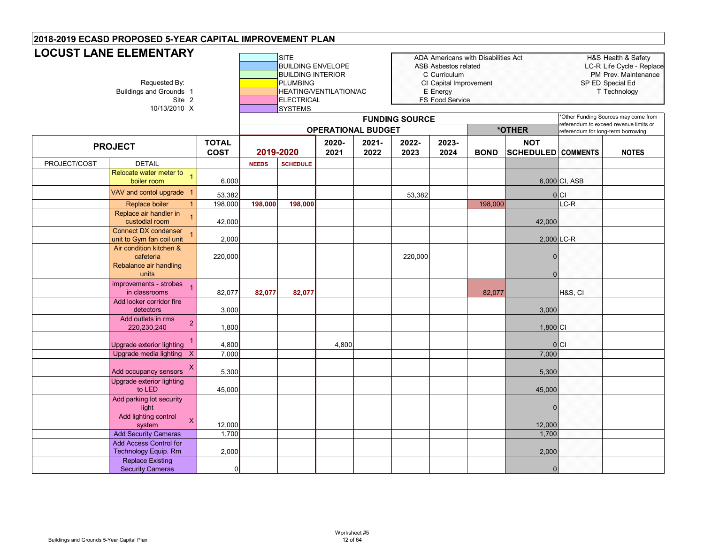|              | <b>LOCUST LANE ELEMENTARY</b><br>Requested By:<br>Buildings and Grounds 1<br>Site 2<br>10/13/2010 X |              |              |                 | <b>BUILDING ENVELOPE</b><br><b>BUILDING INTERIOR</b><br><b>PLUMBING</b><br>HEATING/VENTILATION/AC<br><b>ELECTRICAL</b> |          |                       | <b>ASB Asbestos related</b><br>C Curriculum<br>CI Capital Improvement<br>E Energy<br><b>FS Food Service</b> | ADA Americans with Disabilities Act |                      |                                    | H&S Health & Safety<br>LC-R Life Cycle - Replace<br>PM Prev. Maintenance<br>SP ED Special Ed<br>T Technology |
|--------------|-----------------------------------------------------------------------------------------------------|--------------|--------------|-----------------|------------------------------------------------------------------------------------------------------------------------|----------|-----------------------|-------------------------------------------------------------------------------------------------------------|-------------------------------------|----------------------|------------------------------------|--------------------------------------------------------------------------------------------------------------|
|              |                                                                                                     |              |              |                 |                                                                                                                        |          | <b>FUNDING SOURCE</b> |                                                                                                             |                                     |                      |                                    | Other Funding Sources may come from<br>referendum to exceed revenue limits or                                |
|              |                                                                                                     | <b>TOTAL</b> |              |                 | <b>OPERATIONAL BUDGET</b><br>2020-                                                                                     | $2021 -$ | 2022-                 | 2023-                                                                                                       |                                     | *OTHER<br><b>NOT</b> | referendum for long-term borrowing |                                                                                                              |
|              | <b>PROJECT</b>                                                                                      | <b>COST</b>  |              | 2019-2020       | 2021                                                                                                                   | 2022     | 2023                  | 2024                                                                                                        | <b>BOND</b>                         | SCHEDULED COMMENTS   |                                    | <b>NOTES</b>                                                                                                 |
| PROJECT/COST | <b>DETAIL</b>                                                                                       |              | <b>NEEDS</b> | <b>SCHEDULE</b> |                                                                                                                        |          |                       |                                                                                                             |                                     |                      |                                    |                                                                                                              |
|              | Relocate water meter to 1<br>boiler room                                                            | 6,000        |              |                 |                                                                                                                        |          |                       |                                                                                                             |                                     |                      | 6,000 CI, ASB                      |                                                                                                              |
|              | VAV and contol upgrade 1                                                                            | 53,382       |              |                 |                                                                                                                        |          | 53,382                |                                                                                                             |                                     |                      | 0 C                                |                                                                                                              |
|              | Replace boiler                                                                                      | 198,000      | 198,000      | 198,000         |                                                                                                                        |          |                       |                                                                                                             | 198,000                             |                      | $\overline{\text{LC-R}}$           |                                                                                                              |
|              | Replace air handler in<br>custodial room                                                            | 42,000       |              |                 |                                                                                                                        |          |                       |                                                                                                             |                                     | 42,000               |                                    |                                                                                                              |
|              | <b>Connect DX condenser</b><br>unit to Gym fan coil unit                                            | 2,000        |              |                 |                                                                                                                        |          |                       |                                                                                                             |                                     |                      | 2,000 LC-R                         |                                                                                                              |
|              | Air condition kitchen &<br>cafeteria                                                                | 220,000      |              |                 |                                                                                                                        |          | 220,000               |                                                                                                             |                                     | $\Omega$             |                                    |                                                                                                              |
|              | Rebalance air handling<br>units                                                                     |              |              |                 |                                                                                                                        |          |                       |                                                                                                             |                                     | $\Omega$             |                                    |                                                                                                              |
|              | improvements - strobes<br>$\overline{1}$<br>in classrooms                                           | 82,077       | 82,077       | 82,077          |                                                                                                                        |          |                       |                                                                                                             | 82,077                              |                      | H&S, CI                            |                                                                                                              |
|              | Add locker corridor fire<br>detectors                                                               | 3,000        |              |                 |                                                                                                                        |          |                       |                                                                                                             |                                     | 3,000                |                                    |                                                                                                              |
|              | Add outlets in rms<br>$\overline{2}$<br>220,230,240                                                 | 1,800        |              |                 |                                                                                                                        |          |                       |                                                                                                             |                                     | $1,800$ CI           |                                    |                                                                                                              |
|              | Upgrade exterior lighting                                                                           | 4,800        |              |                 | 4,800                                                                                                                  |          |                       |                                                                                                             |                                     |                      | 0 C                                |                                                                                                              |
|              | Upgrade media lighting X                                                                            | 7,000        |              |                 |                                                                                                                        |          |                       |                                                                                                             |                                     | 7,000                |                                    |                                                                                                              |
|              | X<br>Add occupancy sensors                                                                          | 5,300        |              |                 |                                                                                                                        |          |                       |                                                                                                             |                                     | 5,300                |                                    |                                                                                                              |
|              | Upgrade exterior lighting<br>to LED                                                                 | 45,000       |              |                 |                                                                                                                        |          |                       |                                                                                                             |                                     | 45,000               |                                    |                                                                                                              |
|              | Add parking lot security<br>light                                                                   |              |              |                 |                                                                                                                        |          |                       |                                                                                                             |                                     | $\Omega$             |                                    |                                                                                                              |
|              | Add lighting control<br>X<br>system                                                                 | 12,000       |              |                 |                                                                                                                        |          |                       |                                                                                                             |                                     | 12,000               |                                    |                                                                                                              |
|              | <b>Add Security Cameras</b>                                                                         | 1,700        |              |                 |                                                                                                                        |          |                       |                                                                                                             |                                     | 1,700                |                                    |                                                                                                              |
|              | <b>Add Access Control for</b><br>Technology Equip. Rm                                               | 2,000        |              |                 |                                                                                                                        |          |                       |                                                                                                             |                                     | 2,000                |                                    |                                                                                                              |
|              | <b>Replace Existing</b><br><b>Security Cameras</b>                                                  | $\Omega$     |              |                 |                                                                                                                        |          |                       |                                                                                                             |                                     | $\mathbf{0}$         |                                    |                                                                                                              |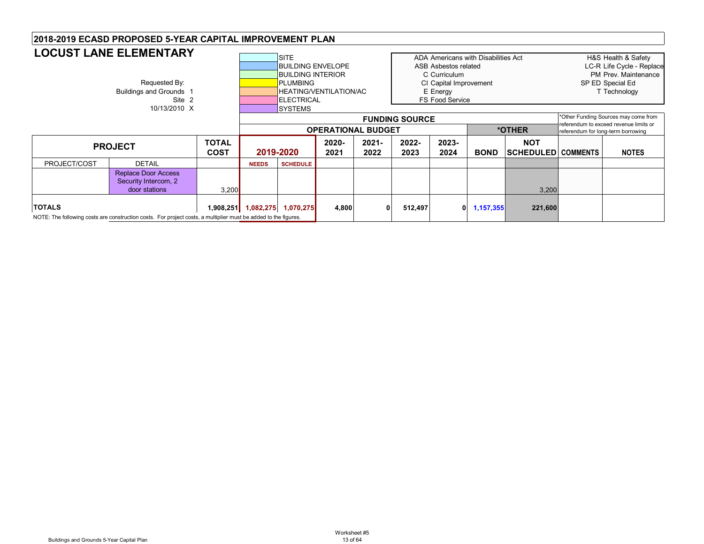| <b>LOCUST LANE ELEMENTARY</b><br><b>SITE</b><br>ADA Americans with Disabilities Act<br><b>BUILDING ENVELOPE</b><br>ASB Asbestos related<br><b>BUILDING INTERIOR</b><br>C Curriculum<br>Requested By:<br><b>PLUMBING</b><br>CI Capital Improvement<br>Buildings and Grounds 1<br><b>HEATING/VENTILATION/AC</b><br>E Energy<br><b>FS Food Service</b><br>Site 2<br><b>ELECTRICAL</b><br>10/13/2010 X<br><b>SYSTEMS</b><br><b>FUNDING SOURCE</b><br>*OTHER<br><b>OPERATIONAL BUDGET</b> | H&S Health & Safety<br>LC-R Life Cycle - Replace<br>PM Prev. Maintenance<br>SP ED Special Ed<br>T Technology |
|--------------------------------------------------------------------------------------------------------------------------------------------------------------------------------------------------------------------------------------------------------------------------------------------------------------------------------------------------------------------------------------------------------------------------------------------------------------------------------------|--------------------------------------------------------------------------------------------------------------|
|                                                                                                                                                                                                                                                                                                                                                                                                                                                                                      |                                                                                                              |
|                                                                                                                                                                                                                                                                                                                                                                                                                                                                                      |                                                                                                              |
|                                                                                                                                                                                                                                                                                                                                                                                                                                                                                      |                                                                                                              |
|                                                                                                                                                                                                                                                                                                                                                                                                                                                                                      |                                                                                                              |
|                                                                                                                                                                                                                                                                                                                                                                                                                                                                                      |                                                                                                              |
|                                                                                                                                                                                                                                                                                                                                                                                                                                                                                      |                                                                                                              |
|                                                                                                                                                                                                                                                                                                                                                                                                                                                                                      |                                                                                                              |
|                                                                                                                                                                                                                                                                                                                                                                                                                                                                                      | *Other Funding Sources may come from                                                                         |
|                                                                                                                                                                                                                                                                                                                                                                                                                                                                                      | referendum to exceed revenue limits or<br>referendum for long-term borrowing                                 |
| <b>TOTAL</b><br>2023-<br>2022-<br><b>NOT</b><br>2020-<br>$2021 -$                                                                                                                                                                                                                                                                                                                                                                                                                    |                                                                                                              |
| <b>PROJECT</b><br>2019-2020<br><b>COST</b><br>2024<br><b>BOND</b><br><b>SCHEDULED COMMENTS</b><br>2021<br>2022<br>2023                                                                                                                                                                                                                                                                                                                                                               | <b>NOTES</b>                                                                                                 |
| PROJECT/COST<br><b>DETAIL</b><br><b>SCHEDULE</b><br><b>NEEDS</b>                                                                                                                                                                                                                                                                                                                                                                                                                     |                                                                                                              |
| <b>Replace Door Access</b>                                                                                                                                                                                                                                                                                                                                                                                                                                                           |                                                                                                              |
| Security Intercom, 2                                                                                                                                                                                                                                                                                                                                                                                                                                                                 |                                                                                                              |
| 3,200<br>door stations<br>3,200                                                                                                                                                                                                                                                                                                                                                                                                                                                      |                                                                                                              |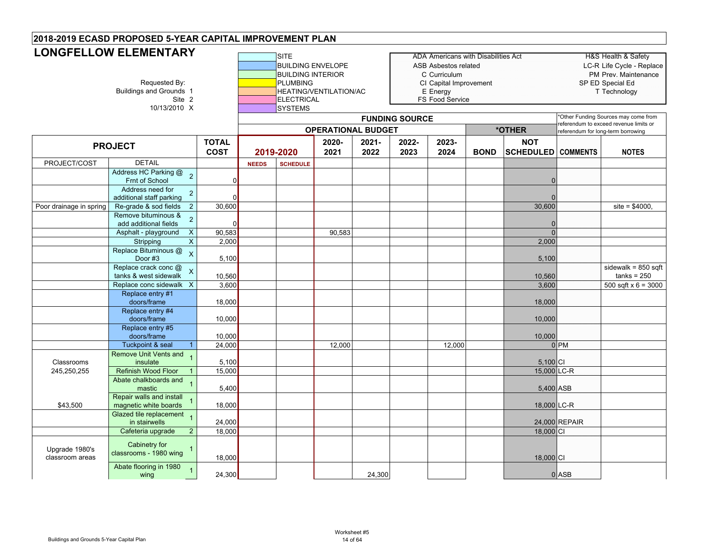| <b>LONGFELLOW ELEMENTARY</b><br>Requested By:<br><b>Buildings and Grounds 1</b><br>Site 2<br>10/13/2010 X |                                                                |                             |              | SITE<br><b>BUILDING ENVELOPE</b><br><b>BUILDING INTERIOR</b><br><b>PLUMBING</b><br>ELECTRICAL<br>SYSTEMS | HEATING/VENTILATION/AC    |               |                       | <b>ADA Americans with Disabilities Act</b><br>ASB Asbestos related<br>C Curriculum<br>CI Capital Improvement<br>E Energy<br><b>FS Food Service</b> |             |                                         | H&S Health & Safety<br>LC-R Life Cycle - Replace<br>PM Prev. Maintenance<br>SP ED Special Ed<br>T Technology |                                                                              |
|-----------------------------------------------------------------------------------------------------------|----------------------------------------------------------------|-----------------------------|--------------|----------------------------------------------------------------------------------------------------------|---------------------------|---------------|-----------------------|----------------------------------------------------------------------------------------------------------------------------------------------------|-------------|-----------------------------------------|--------------------------------------------------------------------------------------------------------------|------------------------------------------------------------------------------|
|                                                                                                           |                                                                |                             |              |                                                                                                          |                           |               | <b>FUNDING SOURCE</b> |                                                                                                                                                    |             |                                         |                                                                                                              | *Other Funding Sources may come from                                         |
|                                                                                                           |                                                                |                             |              |                                                                                                          | <b>OPERATIONAL BUDGET</b> |               |                       |                                                                                                                                                    |             | *OTHER                                  |                                                                                                              | referendum to exceed revenue limits or<br>referendum for long-term borrowing |
|                                                                                                           | <b>PROJECT</b>                                                 | <b>TOTAL</b><br><b>COST</b> |              | 2019-2020                                                                                                | 2020-<br>2021             | 2021-<br>2022 | 2022-<br>2023         | 2023-<br>2024                                                                                                                                      | <b>BOND</b> | <b>NOT</b><br><b>SCHEDULED COMMENTS</b> |                                                                                                              | <b>NOTES</b>                                                                 |
| PROJECT/COST                                                                                              | <b>DETAIL</b>                                                  |                             | <b>NEEDS</b> | <b>SCHEDULE</b>                                                                                          |                           |               |                       |                                                                                                                                                    |             |                                         |                                                                                                              |                                                                              |
|                                                                                                           | Address HC Parking @<br>$\overline{2}$<br>Frnt of School       | ΩI                          |              |                                                                                                          |                           |               |                       |                                                                                                                                                    |             | $\Omega$                                |                                                                                                              |                                                                              |
|                                                                                                           | Address need for<br>$\overline{a}$<br>additional staff parking |                             |              |                                                                                                          |                           |               |                       |                                                                                                                                                    |             |                                         |                                                                                                              |                                                                              |
| Poor drainage in spring                                                                                   | Re-grade & sod fields<br>$\overline{2}$                        | 30,600                      |              |                                                                                                          |                           |               |                       |                                                                                                                                                    |             | 30,600                                  |                                                                                                              | $site = $4000.$                                                              |
|                                                                                                           | Remove bituminous &<br>$\overline{2}$<br>add additional fields | $\Omega$                    |              |                                                                                                          |                           |               |                       |                                                                                                                                                    |             | $\Omega$                                |                                                                                                              |                                                                              |
|                                                                                                           | Asphalt - playground<br>$\boldsymbol{\mathsf{X}}$              | 90,583                      |              |                                                                                                          | 90,583                    |               |                       |                                                                                                                                                    |             | $\Omega$                                |                                                                                                              |                                                                              |
|                                                                                                           | $\pmb{\times}$<br>Stripping                                    | 2,000                       |              |                                                                                                          |                           |               |                       |                                                                                                                                                    |             | 2,000                                   |                                                                                                              |                                                                              |
|                                                                                                           | Replace Bituminous @<br>$\mathsf{x}$<br>Door #3                | 5,100                       |              |                                                                                                          |                           |               |                       |                                                                                                                                                    |             | 5,100                                   |                                                                                                              |                                                                              |
|                                                                                                           | Replace crack conc @                                           |                             |              |                                                                                                          |                           |               |                       |                                                                                                                                                    |             |                                         |                                                                                                              | sidewalk = $850$ sqft                                                        |
|                                                                                                           | tanks & west sidewalk                                          | 10,560                      |              |                                                                                                          |                           |               |                       |                                                                                                                                                    |             | 10,560                                  |                                                                                                              | $tanks = 250$                                                                |
|                                                                                                           | Replace conc sidewalk X                                        | 3,600                       |              |                                                                                                          |                           |               |                       |                                                                                                                                                    |             | 3,600                                   |                                                                                                              | 500 sqft $x 6 = 3000$                                                        |
|                                                                                                           | Replace entry #1<br>doors/frame                                | 18,000                      |              |                                                                                                          |                           |               |                       |                                                                                                                                                    |             | 18,000                                  |                                                                                                              |                                                                              |
|                                                                                                           | Replace entry #4<br>doors/frame                                | 10,000                      |              |                                                                                                          |                           |               |                       |                                                                                                                                                    |             | 10,000                                  |                                                                                                              |                                                                              |
|                                                                                                           | Replace entry #5                                               |                             |              |                                                                                                          |                           |               |                       |                                                                                                                                                    |             |                                         |                                                                                                              |                                                                              |
|                                                                                                           | doors/frame<br><b>Tuckpoint &amp; seal</b>                     | 10,000<br>24,000            |              |                                                                                                          | 12,000                    |               |                       | 12,000                                                                                                                                             |             | 10,000                                  | 0 <sub>PM</sub>                                                                                              |                                                                              |
| Classrooms                                                                                                | <b>Remove Unit Vents and</b><br>insulate                       | 5,100                       |              |                                                                                                          |                           |               |                       |                                                                                                                                                    |             | 5,100 CI                                |                                                                                                              |                                                                              |
| 245,250,255                                                                                               | <b>Refinish Wood Floor</b>                                     | 15,000                      |              |                                                                                                          |                           |               |                       |                                                                                                                                                    |             | 15,000 LC-R                             |                                                                                                              |                                                                              |
|                                                                                                           | Abate chalkboards and<br>mastic                                | 5,400                       |              |                                                                                                          |                           |               |                       |                                                                                                                                                    |             | 5,400 ASB                               |                                                                                                              |                                                                              |
| \$43,500                                                                                                  | Repair walls and install<br>magnetic white boards              | 18,000                      |              |                                                                                                          |                           |               |                       |                                                                                                                                                    |             | 18,000 LC-R                             |                                                                                                              |                                                                              |
|                                                                                                           | Glazed tile replacement<br>$\overline{1}$<br>in stairwells     | 24,000                      |              |                                                                                                          |                           |               |                       |                                                                                                                                                    |             |                                         | 24,000 REPAIR                                                                                                |                                                                              |
|                                                                                                           | Cafeteria upgrade<br>$\overline{2}$                            | 18,000                      |              |                                                                                                          |                           |               |                       |                                                                                                                                                    |             | 18,000 CI                               |                                                                                                              |                                                                              |
| Upgrade 1980's<br>classroom areas                                                                         | Cabinetry for<br>classrooms - 1980 wing                        | 18,000                      |              |                                                                                                          |                           |               |                       |                                                                                                                                                    |             | 18,000 CI                               |                                                                                                              |                                                                              |
|                                                                                                           | Abate flooring in 1980<br>wing                                 | 24,300                      |              |                                                                                                          |                           | 24,300        |                       |                                                                                                                                                    |             |                                         | 0 ASB                                                                                                        |                                                                              |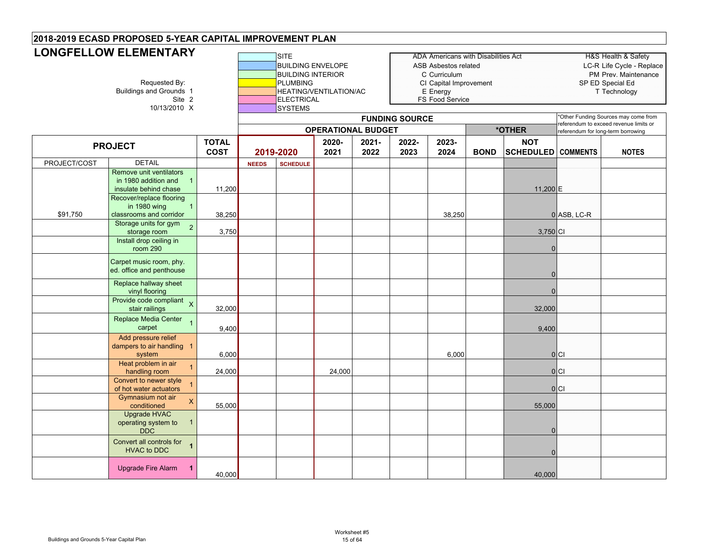|              | <b>LONGFELLOW ELEMENTARY</b>                                                               |                             |              | <b>SITE</b>                                                                                                    |                           |               |                       | <b>ADA Americans with Disabilities Act</b>                                                           |             |                                         |                                                                             | <b>H&amp;S Health &amp; Safety</b>                                |
|--------------|--------------------------------------------------------------------------------------------|-----------------------------|--------------|----------------------------------------------------------------------------------------------------------------|---------------------------|---------------|-----------------------|------------------------------------------------------------------------------------------------------|-------------|-----------------------------------------|-----------------------------------------------------------------------------|-------------------------------------------------------------------|
|              | Requested By:<br><b>Buildings and Grounds 1</b><br>Site 2<br>10/13/2010 X                  |                             |              | <b>BUILDING ENVELOPE</b><br><b>BUILDING INTERIOR</b><br><b>PLUMBING</b><br><b>ELECTRICAL</b><br><b>SYSTEMS</b> | HEATING/VENTILATION/AC    |               |                       | <b>ASB Asbestos related</b><br>C Curriculum<br>CI Capital Improvement<br>E Energy<br>FS Food Service |             |                                         | SP ED Special Ed                                                            | LC-R Life Cycle - Replace<br>PM Prev. Maintenance<br>T Technology |
|              |                                                                                            |                             |              |                                                                                                                | <b>OPERATIONAL BUDGET</b> |               | <b>FUNDING SOURCE</b> |                                                                                                      |             | *OTHER                                  | eferendum to exceed revenue limits or<br>referendum for long-term borrowing | 'Other Funding Sources may come from                              |
|              | <b>PROJECT</b>                                                                             | <b>TOTAL</b><br><b>COST</b> |              | 2019-2020                                                                                                      | 2020-<br>2021             | 2021-<br>2022 | 2022-<br>2023         | 2023-<br>2024                                                                                        | <b>BOND</b> | <b>NOT</b><br><b>SCHEDULED COMMENTS</b> |                                                                             | <b>NOTES</b>                                                      |
| PROJECT/COST | <b>DETAIL</b>                                                                              |                             | <b>NEEDS</b> | <b>SCHEDULE</b>                                                                                                |                           |               |                       |                                                                                                      |             |                                         |                                                                             |                                                                   |
|              | Remove unit ventilators<br>in 1980 addition and<br>$\overline{1}$<br>insulate behind chase | 11,200                      |              |                                                                                                                |                           |               |                       |                                                                                                      |             | 11,200 E                                |                                                                             |                                                                   |
| \$91,750     | Recover/replace flooring<br>$\overline{1}$<br>in 1980 wing<br>classrooms and corridor      | 38,250                      |              |                                                                                                                |                           |               |                       | 38,250                                                                                               |             |                                         | 0 ASB, LC-R                                                                 |                                                                   |
|              | Storage units for gym<br>$\overline{2}$<br>storage room<br>Install drop ceiling in         | 3,750                       |              |                                                                                                                |                           |               |                       |                                                                                                      |             | 3,750 CI                                |                                                                             |                                                                   |
|              | room 290                                                                                   |                             |              |                                                                                                                |                           |               |                       |                                                                                                      |             | $\overline{0}$                          |                                                                             |                                                                   |
|              | Carpet music room, phy.<br>ed. office and penthouse                                        |                             |              |                                                                                                                |                           |               |                       |                                                                                                      |             | $\Omega$                                |                                                                             |                                                                   |
|              | Replace hallway sheet<br>vinyl flooring                                                    |                             |              |                                                                                                                |                           |               |                       |                                                                                                      |             | $\Omega$                                |                                                                             |                                                                   |
|              | Provide code compliant $\chi$<br>stair railings                                            | 32,000                      |              |                                                                                                                |                           |               |                       |                                                                                                      |             | 32,000                                  |                                                                             |                                                                   |
|              | Replace Media Center<br>$\overline{1}$<br>carpet                                           | 9,400                       |              |                                                                                                                |                           |               |                       |                                                                                                      |             | 9,400                                   |                                                                             |                                                                   |
|              | Add pressure relief<br>dampers to air handling 1<br>system                                 | 6,000                       |              |                                                                                                                |                           |               |                       | 6,000                                                                                                |             |                                         | 0 C                                                                         |                                                                   |
|              | Heat problem in air<br>$\overline{1}$<br>handling room                                     | 24,000                      |              |                                                                                                                | 24,000                    |               |                       |                                                                                                      |             |                                         | 0 C                                                                         |                                                                   |
|              | Convert to newer style<br>$\overline{1}$<br>of hot water actuators                         |                             |              |                                                                                                                |                           |               |                       |                                                                                                      |             |                                         | 0 C                                                                         |                                                                   |
|              | Gymnasium not air<br>$\mathsf X$<br>conditioned                                            | 55,000                      |              |                                                                                                                |                           |               |                       |                                                                                                      |             | 55,000                                  |                                                                             |                                                                   |
|              | <b>Upgrade HVAC</b><br>operating system to<br>$\overline{1}$<br><b>DDC</b>                 |                             |              |                                                                                                                |                           |               |                       |                                                                                                      |             | $\Omega$                                |                                                                             |                                                                   |
|              | Convert all controls for<br>$\overline{1}$<br><b>HVAC to DDC</b>                           |                             |              |                                                                                                                |                           |               |                       |                                                                                                      |             | $\Omega$                                |                                                                             |                                                                   |
|              | <b>Upgrade Fire Alarm</b><br>$\mathbf{1}$                                                  | 40,000                      |              |                                                                                                                |                           |               |                       |                                                                                                      |             | 40,000                                  |                                                                             |                                                                   |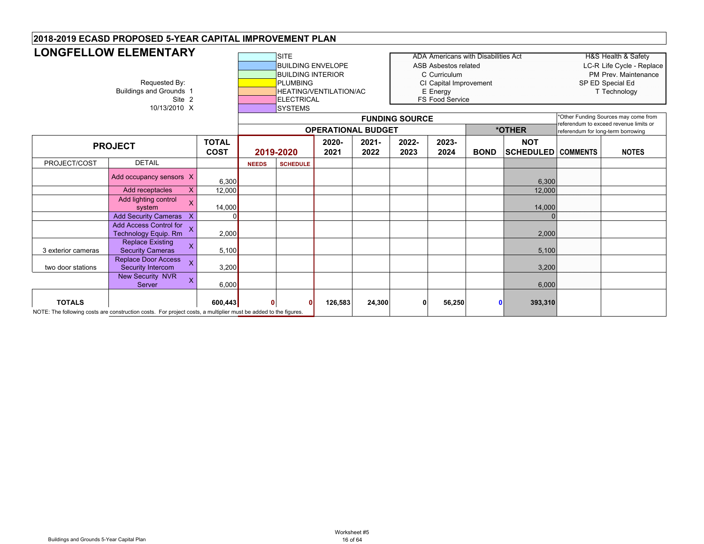|                    | <b>LONGFELLOW ELEMENTARY</b><br>Requested By:<br><b>Buildings and Grounds 1</b><br>Site 2<br>10/13/2010 X       |                             |              | <b>SITE</b><br><b>BUILDING ENVELOPE</b><br><b>BUILDING INTERIOR</b><br><b>PLUMBING</b><br><b>ELECTRICAL</b><br><b>SYSTEMS</b> | HEATING/VENTILATION/AC    |               | <b>FUNDING SOURCE</b> | <b>ADA Americans with Disabilities Act</b><br><b>ASB Asbestos related</b><br>C Curriculum<br>CI Capital Improvement<br>E Energy<br><b>FS Food Service</b> |             |                                         |                                    | <b>H&amp;S Health &amp; Safety</b><br>LC-R Life Cycle - Replace<br>PM Prev. Maintenance<br>SP ED Special Ed<br>T Technology<br>*Other Funding Sources may come from<br>referendum to exceed revenue limits or |
|--------------------|-----------------------------------------------------------------------------------------------------------------|-----------------------------|--------------|-------------------------------------------------------------------------------------------------------------------------------|---------------------------|---------------|-----------------------|-----------------------------------------------------------------------------------------------------------------------------------------------------------|-------------|-----------------------------------------|------------------------------------|---------------------------------------------------------------------------------------------------------------------------------------------------------------------------------------------------------------|
|                    |                                                                                                                 |                             |              |                                                                                                                               | <b>OPERATIONAL BUDGET</b> |               |                       |                                                                                                                                                           |             | *OTHER                                  | referendum for long-term borrowing |                                                                                                                                                                                                               |
|                    | <b>PROJECT</b>                                                                                                  | <b>TOTAL</b><br><b>COST</b> |              | 2019-2020                                                                                                                     | 2020-<br>2021             | 2021-<br>2022 | 2022-<br>2023         | 2023-<br>2024                                                                                                                                             | <b>BOND</b> | <b>NOT</b><br><b>SCHEDULED COMMENTS</b> |                                    | <b>NOTES</b>                                                                                                                                                                                                  |
| PROJECT/COST       | <b>DETAIL</b>                                                                                                   |                             | <b>NEEDS</b> | <b>SCHEDULE</b>                                                                                                               |                           |               |                       |                                                                                                                                                           |             |                                         |                                    |                                                                                                                                                                                                               |
|                    | Add occupancy sensors X                                                                                         | 6,300                       |              |                                                                                                                               |                           |               |                       |                                                                                                                                                           |             | 6,300                                   |                                    |                                                                                                                                                                                                               |
|                    | Add receptacles<br>X                                                                                            | 12,000                      |              |                                                                                                                               |                           |               |                       |                                                                                                                                                           |             | 12,000                                  |                                    |                                                                                                                                                                                                               |
|                    | Add lighting control<br>X.<br>system                                                                            | 14,000                      |              |                                                                                                                               |                           |               |                       |                                                                                                                                                           |             | 14,000                                  |                                    |                                                                                                                                                                                                               |
|                    | Add Security Cameras X                                                                                          |                             |              |                                                                                                                               |                           |               |                       |                                                                                                                                                           |             |                                         |                                    |                                                                                                                                                                                                               |
|                    | Add Access Control for<br>X<br>Technology Equip. Rm                                                             | 2,000                       |              |                                                                                                                               |                           |               |                       |                                                                                                                                                           |             | 2,000                                   |                                    |                                                                                                                                                                                                               |
| 3 exterior cameras | <b>Replace Existing</b><br>$\mathsf{X}$<br><b>Security Cameras</b>                                              | 5,100                       |              |                                                                                                                               |                           |               |                       |                                                                                                                                                           |             | 5,100                                   |                                    |                                                                                                                                                                                                               |
| two door stations  | <b>Replace Door Access</b><br>Security Intercom                                                                 | 3,200                       |              |                                                                                                                               |                           |               |                       |                                                                                                                                                           |             | 3,200                                   |                                    |                                                                                                                                                                                                               |
|                    | <b>New Security NVR</b><br>X<br>Server                                                                          | 6,000                       |              |                                                                                                                               |                           |               |                       |                                                                                                                                                           |             | 6,000                                   |                                    |                                                                                                                                                                                                               |
| <b>TOTALS</b>      | NOTE: The following costs are construction costs. For project costs, a multiplier must be added to the figures. | 600,443                     |              |                                                                                                                               | 126,583                   | 24,300        | $\mathbf{0}$          | 56,250                                                                                                                                                    |             | 393,310                                 |                                    |                                                                                                                                                                                                               |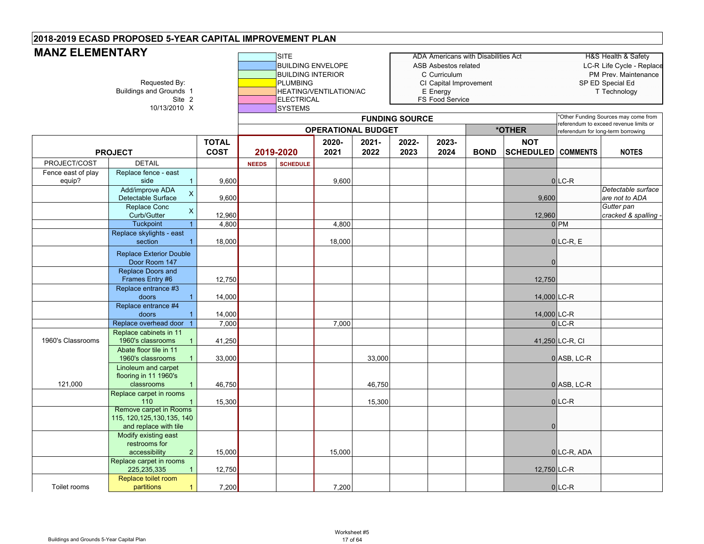#### **SITE** ADA Americans with Disabilities Act HEAD HAS Health & Safety BUILDING ENVELOPE ASB Asbestos related LC-R Life Cycle - Replace BUILDING INTERIOR **COUNTER COUNTER COUP** COUNTERIOR **PERIOD** PM Prev. Maintenance Requested By: **PLUMBING** PUMBING CI Capital Improvement SP ED Special Ed<br>Buildings and Grounds 1 **PLUMBING** HEATING/VENTILATION/AC E Energy E Energy Technology unds 1 **HEATING/VENTILATION/AC**<br>Site 2 **HEATING/VENTILATION/AC FS** Food Service 10/13/2010 X **SYSTEMS TOTAL COST2020-20212021-20222022-20232023-2024 BOND NOT SCHEDULED COMMENTS NOTES** PROJECT/COST DETAIL **NEEDS SCHEDULE** Fence east of play equip? Replace fence - east sidee 1 | 9,600 | | 9,600 | | 0 |LC-R Add/improve ADA Detectable Surface <sup>X</sup> 9,600 9,600 *Detectable surface are not to ADA*  Replace Conc Curb/Gutternc x 12,960 12,960 12,960 12,960 12,960 12,960 12,960 12,960 12,960 12,960 12,960 12,960 12,960 12,960 12,960 1 Tuckpoint 1 | 4,800 | | 4,800 | | | | 0 |PM Replace skylights - east sectionn 1 | 18,000 | | 18,000 | | | | 0|LC-R, E 0Replace Doors and Frames Entry #6 12,750 12,750 Replace entrance #3 doors 1 14,000 14,000 LC-R Replace entrance #4 doors 1 14,000 14,000 LC-R Replace overhead door 1 7,000 7,000 7,000 7,000 7,000 7,000 7,000 7,000 7,000 7,000 7,000 7,000 7,000 7,000 7,000 7,000 7,000 7,000 7,000 7,000 7,000 7,000 7,000 7,000 7,000 7,000 7,000 7,000 7,000 7,000 7,000 7,000 7,000 1960's ClassroomsReplace cabinets in 11 1960's classrooms 1 41,250 41,250 LC-R, CI Abate floor tile in 11 1960's classroomss 1 | 33,000 | | | | 33,000 | | | 0|ASB, LC-R 121,000 Linoleum and carpet flooring in 11 1960's classroomss 1 | 46,750 | | | | 46,750 | | | 0 |ASB, LC-R Replace carpet in rooms 1100 1 | 15,300 | | | 15,300 | | | 0|LC-R  $\theta$ Modify existing east restrooms for accessibility 2 | 15,000 | | 15,000 | | | | 0|LC-R, ADA Replace carpet in rooms 225,235,335 1 12,750 12,750 LC-R Toilet roomsReplace toilet room partitions 1 7,200 7,200 0 LC-R **MANZ ELEMENTARYFUNDING SOURCE** \*Other Funding Sources may come from referendum to exceed revenue limits or **\*OTHER** referendum for long-term borrowing Remove carpet in Rooms 115, 120,125,130,135, 140 and replace with tile Replace Exterior Double Door Room 147 **PROJECT 2019-2020 OPERATIONAL BUDGET**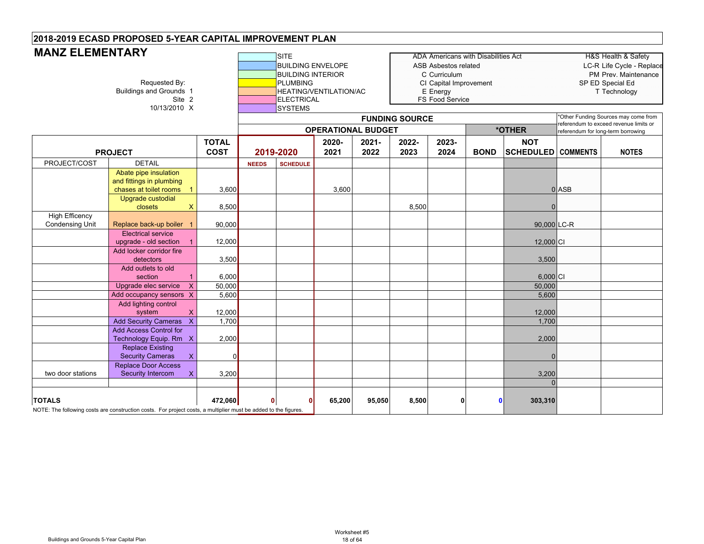#### **SITE** ADA Americans with Disabilities Act HEAD HAS Health & Safety BUILDING ENVELOPE ASB Asbestos related LC-R Life Cycle - Replace BUILDING INTERIOR **CONFIDENT CONFIDENT** CONFIGUIUM **PM Prev. Maintenance** Requested By: Requested By: Requested By: PLUMBING PED Special Educions 1<br>Buildings and Grounds 1 Technology HEATING/VENTILATION/AC E Energy E Energy Technology unds 1 **HEATING/VENTILATION/AC**<br>Site 2 **HEATING/VENTILATION/AC FS Food Service** 10/13/2010 X SYSTEMS **TOTAL COST2020-20212021-20222022-20232023-2024 BOND NOT SCHEDULED COMMENTS NOTES** PROJECT/COST DETAIL **NEEDS SCHEDULE MANZ ELEMENTARYFUNDING SOURCE** \*Other Funding Sources may come from referendum to exceed revenue limits or **\*OTHER** referendum for long-term borrowing **PROJECT 2019-2020 OPERATIONAL BUDGET**Abate pipe insulation and fittings in plumbing chases at toilet rooms<mark>s 1</mark> 3,600 | | 3,600 0|ASB Upgrade custodial <mark>closets X 8,500</mark> | | | | 8,500 | | 0 High Efficency<br>Condensing Unit Replace back-up boiler 1 90,000 | | | | | | | | | | | | | | 90,000 LC-R Electrical service upgrade - old section 1 12,000 12,000 CI Add locker corridor fire detectors | 3,500 | | | | | | 3,500 Add outlets to old section 1 6,000 6,000 CI Upgrade elec service X 50,000 50,000 50,000 50,000 50,000 50,000 50,000 50,000 50,000 50,000 50,000 50,000 50,000 50,000 50,000 50,000 50,000 50,000 50,000 50,000 50,000 50,000 50,000 50,000 50,000 50,000 50,000 50,000 50, Add occupancy sensors  $\chi$  5,600 5,600 5,600 5,600 5,600 5,600 5,600 5,600 5,600 5,600 5,600 5,600 5,600 5,600 5,600 5,600 5,600 5,600 5,600 5,600 5,600 5,600 5,600 5,600 5,600 5,600 5,600 5,600 5,600 5,600 5,600 5,600 5,6 Add lighting control system X 12,000 12,000 Add Security Cameras X 1,700 1,700 Add Access Control for Technology Equip. Rm X 2,000 2000 2,000 2,000 2,000 2,000 2,000 2,000 2,000 2,000 Replace Existing Security Cameras X 0 0 two door stationsReplace Door Access Security Intercom X 3,200 3,200 3,200 3,200 3,200 3,200 3,200 3,200 3,200 3,200 3,200 3,200 3,200 3,200 3,200 3,200 3,200 3,200 3,200 3,200 3,200 3,200 3,200 3,200 3,200 3,200 3,200 3,200 3,200 3,200 3,200 3,200 3,200 3,20  $\Omega$ **TOTALS 472,060 0 0 65,200 95,050 8,500 0 0 303,310** NOTE: The following costs are construction costs. For project costs, a multiplier must be added to the figures.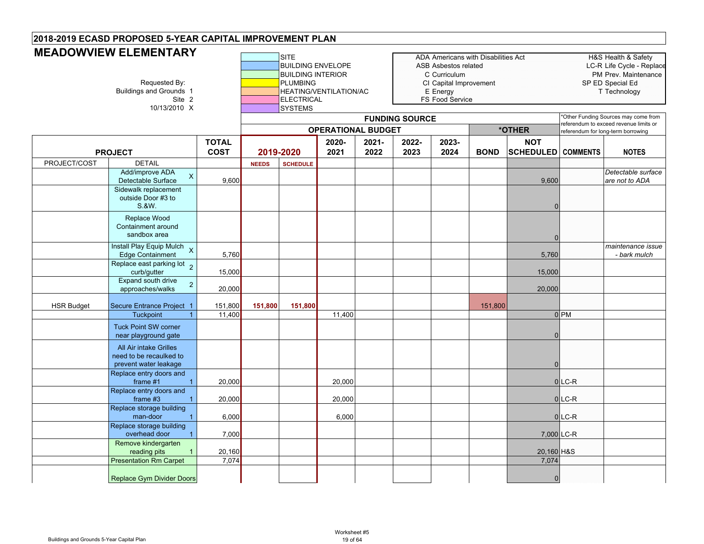# **MEADOWVIEW ELEMENTARY**

|                   | <b>IVICADO YV VICYY CLCIVICIY I ANTI</b><br>Requested By:<br><b>Buildings and Grounds 1</b><br>Site 2<br>10/13/2010 X |                             |              | <b>SITE</b><br><b>BUILDING ENVELOPE</b><br><b>BUILDING INTERIOR</b><br><b>PLUMBING</b><br><b>ELECTRICAL</b><br><b>SYSTEMS</b> | HEATING/VENTILATION/AC    |               |                       | ASB Asbestos related<br>C Curriculum<br>CI Capital Improvement<br>E Energy<br>FS Food Service | ADA Americans with Disabilities Act |                                         |                 | H&S Health & Safety<br>LC-R Life Cycle - Replace<br>PM Prev. Maintenance<br>SP ED Special Ed<br>T Technology |
|-------------------|-----------------------------------------------------------------------------------------------------------------------|-----------------------------|--------------|-------------------------------------------------------------------------------------------------------------------------------|---------------------------|---------------|-----------------------|-----------------------------------------------------------------------------------------------|-------------------------------------|-----------------------------------------|-----------------|--------------------------------------------------------------------------------------------------------------|
|                   |                                                                                                                       |                             |              |                                                                                                                               | <b>OPERATIONAL BUDGET</b> |               | <b>FUNDING SOURCE</b> |                                                                                               |                                     | *OTHER                                  |                 | *Other Funding Sources may come from<br>referendum to exceed revenue limits or                               |
|                   | <b>PROJECT</b>                                                                                                        | <b>TOTAL</b><br><b>COST</b> |              | 2019-2020                                                                                                                     | 2020-<br>2021             | 2021-<br>2022 | 2022-<br>2023         | 2023-<br>2024                                                                                 | <b>BOND</b>                         | <b>NOT</b><br><b>SCHEDULED COMMENTS</b> |                 | referendum for long-term borrowing<br><b>NOTES</b>                                                           |
| PROJECT/COST      | <b>DETAIL</b>                                                                                                         |                             | <b>NEEDS</b> | <b>SCHEDULE</b>                                                                                                               |                           |               |                       |                                                                                               |                                     |                                         |                 |                                                                                                              |
|                   | Add/improve ADA<br>X<br>Detectable Surface                                                                            | 9,600                       |              |                                                                                                                               |                           |               |                       |                                                                                               |                                     | 9,600                                   |                 | Detectable surface<br>are not to ADA                                                                         |
|                   | Sidewalk replacement<br>outside Door #3 to<br>S.&W.                                                                   |                             |              |                                                                                                                               |                           |               |                       |                                                                                               |                                     | n                                       |                 |                                                                                                              |
|                   | Replace Wood<br>Containment around<br>sandbox area                                                                    |                             |              |                                                                                                                               |                           |               |                       |                                                                                               |                                     | $\Omega$                                |                 |                                                                                                              |
|                   | Install Play Equip Mulch X<br>Edge Containment                                                                        | 5,760                       |              |                                                                                                                               |                           |               |                       |                                                                                               |                                     | 5,760                                   |                 | maintenance issue<br>- bark mulch                                                                            |
|                   | Replace east parking lot 2<br>curb/gutter                                                                             | 15,000                      |              |                                                                                                                               |                           |               |                       |                                                                                               |                                     | 15,000                                  |                 |                                                                                                              |
|                   | Expand south drive<br>$\overline{2}$<br>approaches/walks                                                              | 20,000                      |              |                                                                                                                               |                           |               |                       |                                                                                               |                                     | 20,000                                  |                 |                                                                                                              |
| <b>HSR Budget</b> | Secure Entrance Project                                                                                               | 151,800                     | 151,800      | 151,800                                                                                                                       |                           |               |                       |                                                                                               | 151,800                             |                                         |                 |                                                                                                              |
|                   | <b>Tuckpoint</b>                                                                                                      | 11,400                      |              |                                                                                                                               | 11,400                    |               |                       |                                                                                               |                                     |                                         | 0 <sub>PM</sub> |                                                                                                              |
|                   | <b>Tuck Point SW corner</b><br>near playground gate                                                                   |                             |              |                                                                                                                               |                           |               |                       |                                                                                               |                                     |                                         |                 |                                                                                                              |
|                   | <b>All Air intake Grilles</b><br>need to be recaulked to<br>prevent water leakage                                     |                             |              |                                                                                                                               |                           |               |                       |                                                                                               |                                     |                                         |                 |                                                                                                              |
|                   | Replace entry doors and<br>frame $#1$                                                                                 | 20,000                      |              |                                                                                                                               | 20,000                    |               |                       |                                                                                               |                                     |                                         | $0$ LC-R        |                                                                                                              |
|                   | Replace entry doors and<br>frame $#3$                                                                                 | 20,000                      |              |                                                                                                                               | 20,000                    |               |                       |                                                                                               |                                     |                                         | $0$ LC-R        |                                                                                                              |
|                   | Replace storage building<br>man-door                                                                                  | 6,000                       |              |                                                                                                                               | 6,000                     |               |                       |                                                                                               |                                     |                                         | $0$ LC-R        |                                                                                                              |
|                   | Replace storage building<br>overhead door                                                                             | 7,000                       |              |                                                                                                                               |                           |               |                       |                                                                                               |                                     | 7,000 LC-R                              |                 |                                                                                                              |
|                   | Remove kindergarten<br>reading pits                                                                                   | 20,160                      |              |                                                                                                                               |                           |               |                       |                                                                                               |                                     | 20,160 H&S                              |                 |                                                                                                              |
|                   | <b>Presentation Rm Carpet</b>                                                                                         | 7,074                       |              |                                                                                                                               |                           |               |                       |                                                                                               |                                     | 7,074                                   |                 |                                                                                                              |
|                   | <b>Replace Gym Divider Doors</b>                                                                                      |                             |              |                                                                                                                               |                           |               |                       |                                                                                               |                                     | $\Omega$                                |                 |                                                                                                              |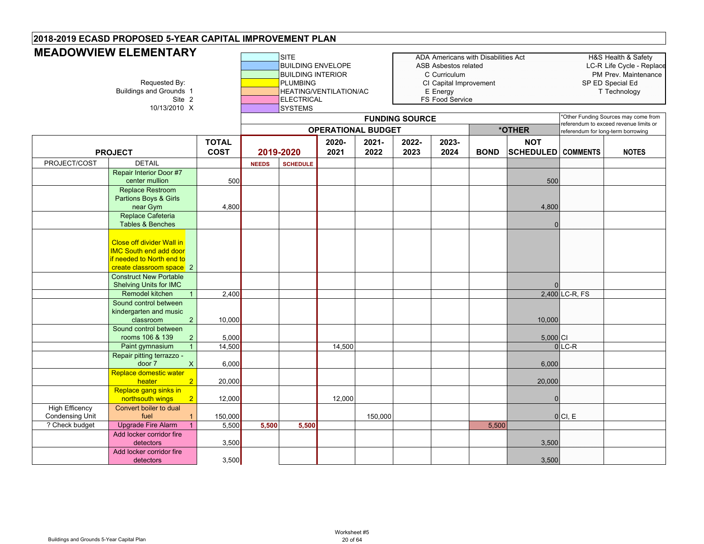# **MEADOWVIEW ELEMENTARY**

|                                   | <b>INCADO YY VIEW ELEMENTANT</b><br>Requested By:<br><b>Buildings and Grounds 1</b><br>Site 2<br>10/13/2010 X              |                             | <b>SITE</b><br><b>BUILDING ENVELOPE</b><br><b>BUILDING INTERIOR</b><br><b>PLUMBING</b><br>HEATING/VENTILATION/AC<br>ELECTRICAL<br><b>SYSTEMS</b><br><b>OPERATIONAL BUDGET</b> |                 |               |               |                       | ADA Americans with Disabilities Act<br>ASB Asbestos related<br>C Curriculum<br>CI Capital Improvement<br>E Energy<br>FS Food Service |             |                                         |                                    | H&S Health & Safety<br>LC-R Life Cycle - Replace<br>PM Prev. Maintenance<br>SP ED Special Ed<br>T Technology |
|-----------------------------------|----------------------------------------------------------------------------------------------------------------------------|-----------------------------|-------------------------------------------------------------------------------------------------------------------------------------------------------------------------------|-----------------|---------------|---------------|-----------------------|--------------------------------------------------------------------------------------------------------------------------------------|-------------|-----------------------------------------|------------------------------------|--------------------------------------------------------------------------------------------------------------|
|                                   |                                                                                                                            |                             |                                                                                                                                                                               |                 |               |               | <b>FUNDING SOURCE</b> |                                                                                                                                      |             |                                         |                                    | *Other Funding Sources may come from<br>referendum to exceed revenue limits or                               |
|                                   |                                                                                                                            |                             |                                                                                                                                                                               |                 |               |               |                       |                                                                                                                                      |             | *OTHER                                  | referendum for long-term borrowing |                                                                                                              |
|                                   | <b>PROJECT</b>                                                                                                             | <b>TOTAL</b><br><b>COST</b> |                                                                                                                                                                               | 2019-2020       | 2020-<br>2021 | 2021-<br>2022 | 2022-<br>2023         | 2023-<br>2024                                                                                                                        | <b>BOND</b> | <b>NOT</b><br><b>SCHEDULED COMMENTS</b> |                                    | <b>NOTES</b>                                                                                                 |
| PROJECT/COST                      | <b>DETAIL</b>                                                                                                              |                             | <b>NEEDS</b>                                                                                                                                                                  | <b>SCHEDULE</b> |               |               |                       |                                                                                                                                      |             |                                         |                                    |                                                                                                              |
|                                   | <b>Repair Interior Door #7</b><br>center mullion                                                                           | 500                         |                                                                                                                                                                               |                 |               |               |                       |                                                                                                                                      |             | 500                                     |                                    |                                                                                                              |
|                                   | Replace Restroom<br>Partions Boys & Girls<br>near Gym                                                                      | 4,800                       |                                                                                                                                                                               |                 |               |               |                       |                                                                                                                                      |             | 4,800                                   |                                    |                                                                                                              |
|                                   | Replace Cafeteria<br>Tables & Benches                                                                                      |                             |                                                                                                                                                                               |                 |               |               |                       |                                                                                                                                      |             | $\Omega$                                |                                    |                                                                                                              |
|                                   | <b>Close off divider Wall in</b><br><b>IMC South end add door</b><br>if needed to North end to<br>create classroom space 2 |                             |                                                                                                                                                                               |                 |               |               |                       |                                                                                                                                      |             |                                         |                                    |                                                                                                              |
|                                   | <b>Construct New Portable</b><br><b>Shelving Units for IMC</b>                                                             |                             |                                                                                                                                                                               |                 |               |               |                       |                                                                                                                                      |             |                                         |                                    |                                                                                                              |
|                                   | Remodel kitchen<br>$\mathbf{1}$                                                                                            | 2,400                       |                                                                                                                                                                               |                 |               |               |                       |                                                                                                                                      |             |                                         | 2,400 LC-R, FS                     |                                                                                                              |
|                                   | Sound control between<br>kindergarten and music<br>2<br>classroom                                                          | 10,000                      |                                                                                                                                                                               |                 |               |               |                       |                                                                                                                                      |             | 10,000                                  |                                    |                                                                                                              |
|                                   | Sound control between<br>rooms 106 & 139<br>$\overline{2}$                                                                 | 5,000                       |                                                                                                                                                                               |                 |               |               |                       |                                                                                                                                      |             | $5,000$ Cl                              |                                    |                                                                                                              |
|                                   | Paint gymnasium<br>$\mathbf{1}$                                                                                            | 14,500                      |                                                                                                                                                                               |                 | 14,500        |               |                       |                                                                                                                                      |             |                                         | $0$ LC-R                           |                                                                                                              |
|                                   | Repair pitting terrazzo -<br>$\mathsf{X}$<br>door 7                                                                        | 6,000                       |                                                                                                                                                                               |                 |               |               |                       |                                                                                                                                      |             | 6,000                                   |                                    |                                                                                                              |
|                                   | Replace domestic water<br>2 <sup>2</sup><br>heater                                                                         | 20,000                      |                                                                                                                                                                               |                 |               |               |                       |                                                                                                                                      |             | 20,000                                  |                                    |                                                                                                              |
|                                   | Replace gang sinks in<br>$\overline{2}$<br>northsouth wings                                                                | 12,000                      |                                                                                                                                                                               |                 | 12,000        |               |                       |                                                                                                                                      |             | $\Omega$                                |                                    |                                                                                                              |
| High Efficency                    | Convert boiler to dual                                                                                                     |                             |                                                                                                                                                                               |                 |               |               |                       |                                                                                                                                      |             |                                         |                                    |                                                                                                              |
| Condensing Unit<br>? Check budget | fuel<br>$\mathbf{1}$<br><b>Upgrade Fire Alarm</b><br>1                                                                     | 150,000<br>5,500            | 5,500                                                                                                                                                                         | 5,500           |               | 150,000       |                       |                                                                                                                                      | 5,500       |                                         | 0 CI, E                            |                                                                                                              |
|                                   | Add locker corridor fire<br>detectors                                                                                      | 3,500                       |                                                                                                                                                                               |                 |               |               |                       |                                                                                                                                      |             | 3,500                                   |                                    |                                                                                                              |
|                                   | Add locker corridor fire<br>detectors                                                                                      | 3,500                       |                                                                                                                                                                               |                 |               |               |                       |                                                                                                                                      |             | 3,500                                   |                                    |                                                                                                              |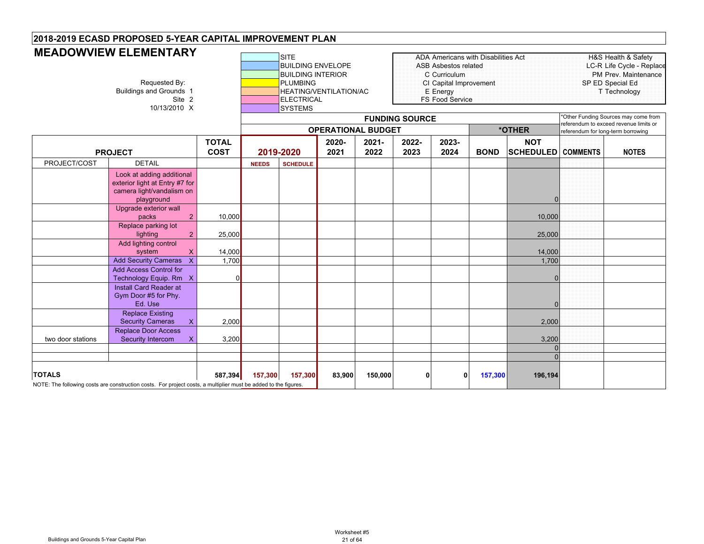|                   | <b>MEADOWVIEW ELEMENTARY</b><br>Requested By:<br><b>Buildings and Grounds 1</b><br>Site 2<br>10/13/2010 X       |                             |              | SITE<br><b>BUILDING ENVELOPE</b><br><b>BUILDING INTERIOR</b><br>PLUMBING<br><b>HEATING/VENTILATION/AC</b><br><b>ELECTRICAL</b><br><b>SYSTEMS</b> | <b>OPERATIONAL BUDGET</b> |               | <b>FUNDING SOURCE</b> | ADA Americans with Disabilities Act<br>ASB Asbestos related<br>C Curriculum<br>CI Capital Improvement<br>E Energy<br>FS Food Service |             | *OTHER                                  | referendum for long-term borrowing | H&S Health & Safety<br>LC-R Life Cycle - Replace<br>PM Prev. Maintenance<br>SP ED Special Ed<br>T Technology<br>*Other Funding Sources may come from<br>referendum to exceed revenue limits or |
|-------------------|-----------------------------------------------------------------------------------------------------------------|-----------------------------|--------------|--------------------------------------------------------------------------------------------------------------------------------------------------|---------------------------|---------------|-----------------------|--------------------------------------------------------------------------------------------------------------------------------------|-------------|-----------------------------------------|------------------------------------|------------------------------------------------------------------------------------------------------------------------------------------------------------------------------------------------|
|                   | <b>PROJECT</b>                                                                                                  | <b>TOTAL</b><br><b>COST</b> |              | 2019-2020                                                                                                                                        | 2020-<br>2021             | 2021-<br>2022 | 2022-<br>2023         | 2023-<br>2024                                                                                                                        | <b>BOND</b> | <b>NOT</b><br><b>SCHEDULED</b> COMMENTS |                                    | <b>NOTES</b>                                                                                                                                                                                   |
| PROJECT/COST      | <b>DETAIL</b>                                                                                                   |                             | <b>NEEDS</b> | <b>SCHEDULE</b>                                                                                                                                  |                           |               |                       |                                                                                                                                      |             |                                         |                                    |                                                                                                                                                                                                |
|                   | Look at adding additional<br>exterior light at Entry #7 for<br>camera light/vandalism on<br>playground          |                             |              |                                                                                                                                                  |                           |               |                       |                                                                                                                                      |             | n                                       |                                    |                                                                                                                                                                                                |
|                   | Upgrade exterior wall<br>packs                                                                                  | 10,000                      |              |                                                                                                                                                  |                           |               |                       |                                                                                                                                      |             | 10,000                                  |                                    |                                                                                                                                                                                                |
|                   | Replace parking lot<br>lighting                                                                                 | 25,000                      |              |                                                                                                                                                  |                           |               |                       |                                                                                                                                      |             | 25,000                                  |                                    |                                                                                                                                                                                                |
|                   | Add lighting control<br>system                                                                                  | 14,000                      |              |                                                                                                                                                  |                           |               |                       |                                                                                                                                      |             | 14,000                                  |                                    |                                                                                                                                                                                                |
|                   | <b>Add Security Cameras</b><br><b>Add Access Control for</b><br>Technology Equip. Rm X                          | 1,700<br>$\Omega$           |              |                                                                                                                                                  |                           |               |                       |                                                                                                                                      |             | 1,700                                   |                                    |                                                                                                                                                                                                |
|                   | Install Card Reader at<br>Gym Door #5 for Phy.<br>Ed. Use                                                       |                             |              |                                                                                                                                                  |                           |               |                       |                                                                                                                                      |             | n                                       |                                    |                                                                                                                                                                                                |
|                   | <b>Replace Existing</b><br><b>Security Cameras</b><br>$\mathsf{X}$                                              | 2,000                       |              |                                                                                                                                                  |                           |               |                       |                                                                                                                                      |             | 2,000                                   |                                    |                                                                                                                                                                                                |
| two door stations | Replace Door Access<br>Security Intercom                                                                        | 3,200                       |              |                                                                                                                                                  |                           |               |                       |                                                                                                                                      |             | 3,200                                   |                                    |                                                                                                                                                                                                |
|                   |                                                                                                                 |                             |              |                                                                                                                                                  |                           |               |                       |                                                                                                                                      |             |                                         |                                    |                                                                                                                                                                                                |
| <b>TOTALS</b>     | NOTE: The following costs are construction costs. For project costs, a multiplier must be added to the figures. | 587,394                     | 157,300      | 157,300                                                                                                                                          | 83,900                    | 150,000       | 0                     | 0                                                                                                                                    | 157,300     | 196,194                                 |                                    |                                                                                                                                                                                                |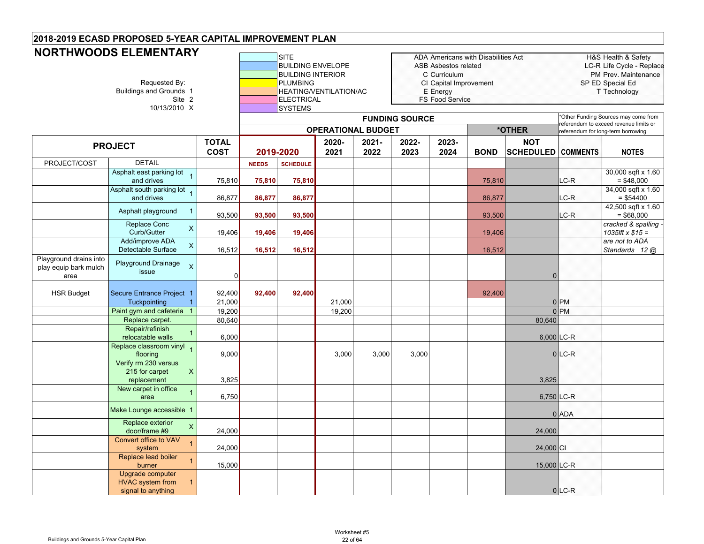## **NORTHWOODS ELEMENTARY**

|                                                         | NUR I FINNUUDO ELEMEN I ART<br>Requested By:<br><b>Buildings and Grounds 1</b><br>Site 2<br>10/13/2010 X |                             |              | <b>SITE</b><br><b>BUILDING ENVELOPE</b><br><b>BUILDING INTERIOR</b><br><b>PLUMBING</b><br><b>ELECTRICAL</b><br><b>SYSTEMS</b> | <b>HEATING/VENTILATION/AC</b> |               |                       | ASB Asbestos related<br>C Curriculum<br>CI Capital Improvement<br>E Energy<br>FS Food Service | ADA Americans with Disabilities Act |                                         |                 | H&S Health & Safety<br>LC-R Life Cycle - Replace<br>PM Prev. Maintenance<br>SP ED Special Ed<br>T Technology         |
|---------------------------------------------------------|----------------------------------------------------------------------------------------------------------|-----------------------------|--------------|-------------------------------------------------------------------------------------------------------------------------------|-------------------------------|---------------|-----------------------|-----------------------------------------------------------------------------------------------|-------------------------------------|-----------------------------------------|-----------------|----------------------------------------------------------------------------------------------------------------------|
|                                                         |                                                                                                          |                             |              |                                                                                                                               | <b>OPERATIONAL BUDGET</b>     |               | <b>FUNDING SOURCE</b> |                                                                                               |                                     | *OTHER                                  |                 | *Other Funding Sources may come from<br>referendum to exceed revenue limits or<br>referendum for long-term borrowing |
|                                                         | <b>PROJECT</b>                                                                                           | <b>TOTAL</b><br><b>COST</b> |              | 2019-2020                                                                                                                     | 2020-<br>2021                 | 2021-<br>2022 | 2022-<br>2023         | 2023-<br>2024                                                                                 | <b>BOND</b>                         | <b>NOT</b><br><b>SCHEDULED COMMENTS</b> |                 | <b>NOTES</b>                                                                                                         |
| PROJECT/COST                                            | <b>DETAIL</b>                                                                                            |                             | <b>NEEDS</b> | <b>SCHEDULE</b>                                                                                                               |                               |               |                       |                                                                                               |                                     |                                         |                 |                                                                                                                      |
|                                                         | Asphalt east parking lot<br>and drives                                                                   | 75,810                      | 75,810       | 75,810                                                                                                                        |                               |               |                       |                                                                                               | 75,810                              |                                         | LC-R            | 30,000 sqft x 1.60<br>$= $48,000$                                                                                    |
|                                                         | Asphalt south parking lot 1<br>and drives                                                                | 86,877                      | 86,877       | 86,877                                                                                                                        |                               |               |                       |                                                                                               | 86,877                              |                                         | LC-R            | 34,000 sqft x 1.60<br>$= $54400$                                                                                     |
|                                                         | Asphalt playground<br>$\overline{1}$                                                                     | 93,500                      | 93,500       | 93,500                                                                                                                        |                               |               |                       |                                                                                               | 93,500                              |                                         | LC-R            | 42,500 sqft x 1.60<br>$= $68,000$                                                                                    |
|                                                         | Replace Conc<br>$\boldsymbol{\mathsf{X}}$<br>Curb/Gutter                                                 | 19,406                      | 19,406       | 19,406                                                                                                                        |                               |               |                       |                                                                                               | 19,406                              |                                         |                 | cracked & spalling -<br>1035lft $x $15 =$                                                                            |
|                                                         | Add/improve ADA<br>$\mathsf{X}$<br>Detectable Surface                                                    | 16,512                      | 16,512       | 16,512                                                                                                                        |                               |               |                       |                                                                                               | 16,512                              |                                         |                 | are not to ADA<br>Standards 12 @                                                                                     |
| Playground drains into<br>play equip bark mulch<br>area | Playground Drainage<br>$\times$<br>issue                                                                 | 0                           |              |                                                                                                                               |                               |               |                       |                                                                                               |                                     | $\Omega$                                |                 |                                                                                                                      |
| <b>HSR Budget</b>                                       | Secure Entrance Project 1                                                                                | 92,400                      | 92,400       | 92.400                                                                                                                        |                               |               |                       |                                                                                               | 92,400                              |                                         |                 |                                                                                                                      |
|                                                         | Tuckpointing                                                                                             | 21,000                      |              |                                                                                                                               | 21,000                        |               |                       |                                                                                               |                                     |                                         | 0 <sub>PM</sub> |                                                                                                                      |
|                                                         | Paint gym and cafeteria 1                                                                                | 19,200                      |              |                                                                                                                               | 19,200                        |               |                       |                                                                                               |                                     |                                         | 0 <sub>PM</sub> |                                                                                                                      |
|                                                         | Replace carpet.                                                                                          | 80,640                      |              |                                                                                                                               |                               |               |                       |                                                                                               |                                     | 80,640                                  |                 |                                                                                                                      |
|                                                         | Repair/refinish<br>relocatable walls                                                                     | 6,000                       |              |                                                                                                                               |                               |               |                       |                                                                                               |                                     |                                         | $6,000$ LC-R    |                                                                                                                      |
|                                                         | Replace classroom vinyl<br>flooring                                                                      | 9,000                       |              |                                                                                                                               | 3,000                         | 3,000         | 3,000                 |                                                                                               |                                     |                                         | $0$ LC-R        |                                                                                                                      |
|                                                         | Verify rm 230 versus<br>215 for carpet<br>$\mathsf{X}$<br>replacement                                    | 3,825                       |              |                                                                                                                               |                               |               |                       |                                                                                               |                                     | 3,825                                   |                 |                                                                                                                      |
|                                                         | New carpet in office<br>area                                                                             | 6,750                       |              |                                                                                                                               |                               |               |                       |                                                                                               |                                     |                                         | 6,750 LC-R      |                                                                                                                      |
|                                                         | Make Lounge accessible 1                                                                                 |                             |              |                                                                                                                               |                               |               |                       |                                                                                               |                                     |                                         | 0 ADA           |                                                                                                                      |
|                                                         | Replace exterior<br>$\mathsf{x}$<br>door/frame #9                                                        | 24,000                      |              |                                                                                                                               |                               |               |                       |                                                                                               |                                     | 24,000                                  |                 |                                                                                                                      |
|                                                         | Convert office to VAV<br>system                                                                          | 24,000                      |              |                                                                                                                               |                               |               |                       |                                                                                               |                                     | 24,000 CI                               |                 |                                                                                                                      |
|                                                         | Replace lead boiler<br>$\overline{1}$<br>burner                                                          | 15,000                      |              |                                                                                                                               |                               |               |                       |                                                                                               |                                     | 15,000 LC-R                             |                 |                                                                                                                      |
|                                                         | Upgrade computer<br><b>HVAC</b> system from<br>$\overline{1}$<br>signal to anything                      |                             |              |                                                                                                                               |                               |               |                       |                                                                                               |                                     |                                         | $0$ LC-R        |                                                                                                                      |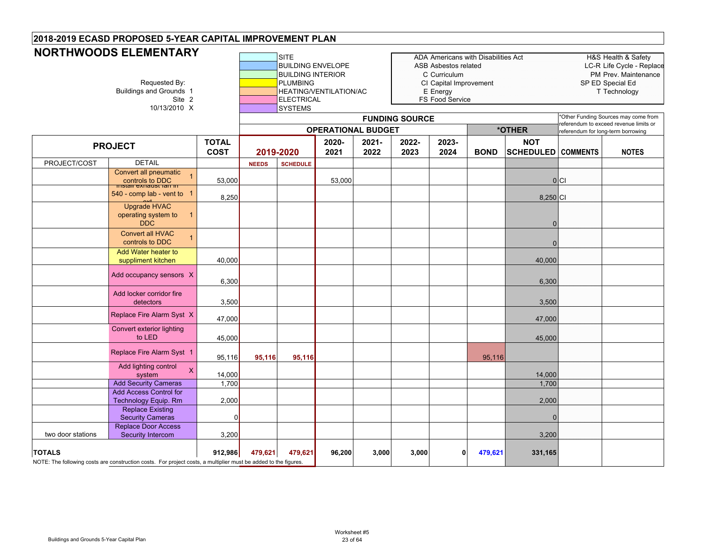|                   | <b>NORTHWOODS ELEMENTARY</b><br>Requested By:<br><b>Buildings and Grounds 1</b><br>Site 2<br>10/13/2010 X       |                             |              | SITE<br><b>BUILDING ENVELOPE</b><br><b>BUILDING INTERIOR</b><br><b>PLUMBING</b><br><b>ELECTRICAL</b><br><b>SYSTEMS</b> |               | ADA Americans with Disabilities Act<br>ASB Asbestos related<br>C Curriculum<br>CI Capital Improvement<br>HEATING/VENTILATION/AC<br>E Energy<br>FS Food Service<br><b>FUNDING SOURCE</b><br><b>OPERATIONAL BUDGET</b><br>*OTHER |               |               |             |                                | H&S Health & Safety<br>LC-R Life Cycle - Replace<br>PM Prev. Maintenance<br>SP ED Special Ed<br>T Technology<br>Other Funding Sources may come from |                                        |  |
|-------------------|-----------------------------------------------------------------------------------------------------------------|-----------------------------|--------------|------------------------------------------------------------------------------------------------------------------------|---------------|--------------------------------------------------------------------------------------------------------------------------------------------------------------------------------------------------------------------------------|---------------|---------------|-------------|--------------------------------|-----------------------------------------------------------------------------------------------------------------------------------------------------|----------------------------------------|--|
|                   |                                                                                                                 |                             |              |                                                                                                                        |               |                                                                                                                                                                                                                                |               |               |             |                                | referendum for long-term borrowing                                                                                                                  | referendum to exceed revenue limits or |  |
|                   | <b>PROJECT</b>                                                                                                  | <b>TOTAL</b><br><b>COST</b> | 2019-2020    |                                                                                                                        | 2020-<br>2021 | 2021-<br>2022                                                                                                                                                                                                                  | 2022-<br>2023 | 2023-<br>2024 | <b>BOND</b> | <b>NOT</b><br><b>SCHEDULED</b> | <b>COMMENTS</b>                                                                                                                                     | <b>NOTES</b>                           |  |
| PROJECT/COST      | <b>DETAIL</b>                                                                                                   |                             | <b>NEEDS</b> | <b>SCHEDULE</b>                                                                                                        |               |                                                                                                                                                                                                                                |               |               |             |                                |                                                                                                                                                     |                                        |  |
|                   | Convert all pneumatic<br>controls to DDC<br>השפח <del>פ</del> גונ <del>סטוגים</del>                             | 53,000                      |              |                                                                                                                        | 53,000        |                                                                                                                                                                                                                                |               |               |             |                                | 0 C                                                                                                                                                 |                                        |  |
|                   | 540 - comp lab - vent to 1                                                                                      | 8,250                       |              |                                                                                                                        |               |                                                                                                                                                                                                                                |               |               |             | 8,250 CI                       |                                                                                                                                                     |                                        |  |
|                   | <b>Upgrade HVAC</b><br>operating system to<br><b>DDC</b>                                                        |                             |              |                                                                                                                        |               |                                                                                                                                                                                                                                |               |               |             | $\Omega$                       |                                                                                                                                                     |                                        |  |
|                   | <b>Convert all HVAC</b><br>$\overline{1}$<br>controls to DDC                                                    |                             |              |                                                                                                                        |               |                                                                                                                                                                                                                                |               |               |             |                                |                                                                                                                                                     |                                        |  |
|                   | Add Water heater to<br>suppliment kitchen                                                                       | 40,000                      |              |                                                                                                                        |               |                                                                                                                                                                                                                                |               |               |             | 40,000                         |                                                                                                                                                     |                                        |  |
|                   | Add occupancy sensors X                                                                                         | 6,300                       |              |                                                                                                                        |               |                                                                                                                                                                                                                                |               |               |             | 6,300                          |                                                                                                                                                     |                                        |  |
|                   | Add locker corridor fire<br>detectors                                                                           | 3,500                       |              |                                                                                                                        |               |                                                                                                                                                                                                                                |               |               |             | 3,500                          |                                                                                                                                                     |                                        |  |
|                   | Replace Fire Alarm Syst X                                                                                       | 47,000                      |              |                                                                                                                        |               |                                                                                                                                                                                                                                |               |               |             | 47,000                         |                                                                                                                                                     |                                        |  |
|                   | Convert exterior lighting<br>to LED                                                                             | 45,000                      |              |                                                                                                                        |               |                                                                                                                                                                                                                                |               |               |             | 45,000                         |                                                                                                                                                     |                                        |  |
|                   | Replace Fire Alarm Syst 1                                                                                       | 95,116                      | 95,116       | 95,116                                                                                                                 |               |                                                                                                                                                                                                                                |               |               | 95,116      |                                |                                                                                                                                                     |                                        |  |
|                   | Add lighting control<br>X<br>system                                                                             | 14,000                      |              |                                                                                                                        |               |                                                                                                                                                                                                                                |               |               |             | 14,000                         |                                                                                                                                                     |                                        |  |
|                   | <b>Add Security Cameras</b>                                                                                     | 1,700                       |              |                                                                                                                        |               |                                                                                                                                                                                                                                |               |               |             | 1,700                          |                                                                                                                                                     |                                        |  |
|                   | <b>Add Access Control for</b><br>Technology Equip. Rm                                                           | 2,000                       |              |                                                                                                                        |               |                                                                                                                                                                                                                                |               |               |             | 2,000                          |                                                                                                                                                     |                                        |  |
|                   | <b>Replace Existing</b>                                                                                         |                             |              |                                                                                                                        |               |                                                                                                                                                                                                                                |               |               |             |                                |                                                                                                                                                     |                                        |  |
|                   | <b>Security Cameras</b>                                                                                         | $\Omega$                    |              |                                                                                                                        |               |                                                                                                                                                                                                                                |               |               |             |                                |                                                                                                                                                     |                                        |  |
| two door stations | Replace Door Access<br>Security Intercom                                                                        | 3,200                       |              |                                                                                                                        |               |                                                                                                                                                                                                                                |               |               |             | 3,200                          |                                                                                                                                                     |                                        |  |
| <b>TOTALS</b>     | NOTE: The following costs are construction costs. For project costs, a multiplier must be added to the figures. | 912,986                     | 479,621      | 479,621                                                                                                                | 96,200        | 3,000                                                                                                                                                                                                                          | 3,000         | $\mathbf{0}$  | 479,621     | 331,165                        |                                                                                                                                                     |                                        |  |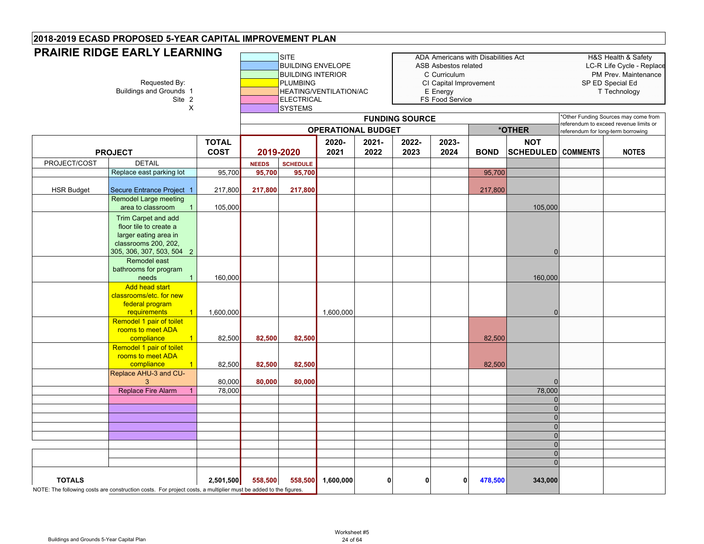|                   | <b>PRAIRIE RIDGE EARLY LEARNING</b>                                                                                          |                             |                        | <b>SITE</b>                                                                                                    |                           |                  |                       | ADA Americans with Disabilities Act                                                           |             |                                         |                                    | H&S Health & Safety                                                                   |
|-------------------|------------------------------------------------------------------------------------------------------------------------------|-----------------------------|------------------------|----------------------------------------------------------------------------------------------------------------|---------------------------|------------------|-----------------------|-----------------------------------------------------------------------------------------------|-------------|-----------------------------------------|------------------------------------|---------------------------------------------------------------------------------------|
|                   | Requested By:<br><b>Buildings and Grounds 1</b><br>Site 2<br>$\pmb{\times}$                                                  |                             |                        | <b>BUILDING ENVELOPE</b><br><b>BUILDING INTERIOR</b><br><b>PLUMBING</b><br><b>ELECTRICAL</b><br><b>SYSTEMS</b> | HEATING/VENTILATION/AC    |                  |                       | ASB Asbestos related<br>C Curriculum<br>CI Capital Improvement<br>E Energy<br>FS Food Service |             |                                         |                                    | LC-R Life Cycle - Replace<br>PM Prev. Maintenance<br>SP ED Special Ed<br>T Technology |
|                   |                                                                                                                              |                             |                        |                                                                                                                | <b>OPERATIONAL BUDGET</b> |                  | <b>FUNDING SOURCE</b> |                                                                                               |             | *OTHER                                  |                                    | *Other Funding Sources may come from<br>referendum to exceed revenue limits or        |
|                   | <b>PROJECT</b>                                                                                                               | <b>TOTAL</b><br><b>COST</b> | 2019-2020              |                                                                                                                | 2020-<br>2021             | $2021 -$<br>2022 | 2022-<br>2023         | 2023-<br>2024                                                                                 | <b>BOND</b> | <b>NOT</b><br><b>SCHEDULED COMMENTS</b> | referendum for long-term borrowing | <b>NOTES</b>                                                                          |
|                   | <b>DETAIL</b>                                                                                                                |                             |                        |                                                                                                                |                           |                  |                       |                                                                                               |             |                                         |                                    |                                                                                       |
| PROJECT/COST      |                                                                                                                              |                             | <b>NEEDS</b><br>95,700 | <b>SCHEDULE</b><br>95,700                                                                                      |                           |                  |                       |                                                                                               |             |                                         |                                    |                                                                                       |
|                   | Replace east parking lot                                                                                                     | 95,700                      |                        |                                                                                                                |                           |                  |                       |                                                                                               | 95,700      |                                         |                                    |                                                                                       |
| <b>HSR Budget</b> | Secure Entrance Project 1                                                                                                    | 217,800                     | 217,800                | 217,800                                                                                                        |                           |                  |                       |                                                                                               | 217,800     |                                         |                                    |                                                                                       |
|                   | Remodel Large meeting<br>area to classroom<br>$\overline{1}$                                                                 | 105,000                     |                        |                                                                                                                |                           |                  |                       |                                                                                               |             | 105,000                                 |                                    |                                                                                       |
|                   |                                                                                                                              |                             |                        |                                                                                                                |                           |                  |                       |                                                                                               |             |                                         |                                    |                                                                                       |
|                   | Trim Carpet and add<br>floor tile to create a                                                                                |                             |                        |                                                                                                                |                           |                  |                       |                                                                                               |             |                                         |                                    |                                                                                       |
|                   | larger eating area in                                                                                                        |                             |                        |                                                                                                                |                           |                  |                       |                                                                                               |             |                                         |                                    |                                                                                       |
|                   | classrooms 200, 202,                                                                                                         |                             |                        |                                                                                                                |                           |                  |                       |                                                                                               |             |                                         |                                    |                                                                                       |
|                   | 305, 306, 307, 503, 504 2                                                                                                    |                             |                        |                                                                                                                |                           |                  |                       |                                                                                               |             | $\Omega$                                |                                    |                                                                                       |
|                   | Remodel east                                                                                                                 |                             |                        |                                                                                                                |                           |                  |                       |                                                                                               |             |                                         |                                    |                                                                                       |
|                   | bathrooms for program                                                                                                        |                             |                        |                                                                                                                |                           |                  |                       |                                                                                               |             |                                         |                                    |                                                                                       |
|                   | needs<br>$\overline{1}$                                                                                                      | 160,000                     |                        |                                                                                                                |                           |                  |                       |                                                                                               |             | 160,000                                 |                                    |                                                                                       |
|                   | <b>Add head start</b>                                                                                                        |                             |                        |                                                                                                                |                           |                  |                       |                                                                                               |             |                                         |                                    |                                                                                       |
|                   | classrooms/etc. for new<br>federal program                                                                                   |                             |                        |                                                                                                                |                           |                  |                       |                                                                                               |             |                                         |                                    |                                                                                       |
|                   | requirements<br>$\overline{1}$                                                                                               | 1,600,000                   |                        |                                                                                                                | 1,600,000                 |                  |                       |                                                                                               |             | $\Omega$                                |                                    |                                                                                       |
|                   | Remodel 1 pair of toilet                                                                                                     |                             |                        |                                                                                                                |                           |                  |                       |                                                                                               |             |                                         |                                    |                                                                                       |
|                   | rooms to meet ADA                                                                                                            |                             |                        |                                                                                                                |                           |                  |                       |                                                                                               |             |                                         |                                    |                                                                                       |
|                   | compliance<br>$\overline{1}$                                                                                                 | 82,500                      | 82,500                 | 82,500                                                                                                         |                           |                  |                       |                                                                                               | 82,500      |                                         |                                    |                                                                                       |
|                   | Remodel 1 pair of toilet                                                                                                     |                             |                        |                                                                                                                |                           |                  |                       |                                                                                               |             |                                         |                                    |                                                                                       |
|                   | rooms to meet ADA                                                                                                            |                             |                        |                                                                                                                |                           |                  |                       |                                                                                               |             |                                         |                                    |                                                                                       |
|                   | compliance<br>Replace AHU-3 and CU-                                                                                          | 82,500                      | 82,500                 | 82,500                                                                                                         |                           |                  |                       |                                                                                               | 82,500      |                                         |                                    |                                                                                       |
|                   | 3                                                                                                                            | 80,000                      | 80,000                 | 80,000                                                                                                         |                           |                  |                       |                                                                                               |             |                                         |                                    |                                                                                       |
|                   | <b>Replace Fire Alarm</b>                                                                                                    | 78,000                      |                        |                                                                                                                |                           |                  |                       |                                                                                               |             | 78,000                                  |                                    |                                                                                       |
|                   |                                                                                                                              |                             |                        |                                                                                                                |                           |                  |                       |                                                                                               |             | $\Omega$                                |                                    |                                                                                       |
|                   |                                                                                                                              |                             |                        |                                                                                                                |                           |                  |                       |                                                                                               |             | $\Omega$                                |                                    |                                                                                       |
|                   |                                                                                                                              |                             |                        |                                                                                                                |                           |                  |                       |                                                                                               |             | $\overline{0}$                          |                                    |                                                                                       |
|                   |                                                                                                                              |                             |                        |                                                                                                                |                           |                  |                       |                                                                                               |             | $\overline{0}$                          |                                    |                                                                                       |
|                   |                                                                                                                              |                             |                        |                                                                                                                |                           |                  |                       |                                                                                               |             | $\overline{0}$                          |                                    |                                                                                       |
|                   |                                                                                                                              |                             |                        |                                                                                                                |                           |                  |                       |                                                                                               |             | $\overline{0}$                          |                                    |                                                                                       |
|                   |                                                                                                                              |                             |                        |                                                                                                                |                           |                  |                       |                                                                                               |             | $\overline{0}$                          |                                    |                                                                                       |
|                   |                                                                                                                              |                             |                        |                                                                                                                |                           |                  |                       |                                                                                               |             | $\Omega$                                |                                    |                                                                                       |
| <b>TOTALS</b>     | 2,501,500<br>NOTE: The following costs are construction costs. For project costs, a multiplier must be added to the figures. |                             |                        | 558,500<br>558,500                                                                                             | 1,600,000                 | $\mathbf{0}$     | 0                     | $\Omega$                                                                                      | 478,500     | 343,000                                 |                                    |                                                                                       |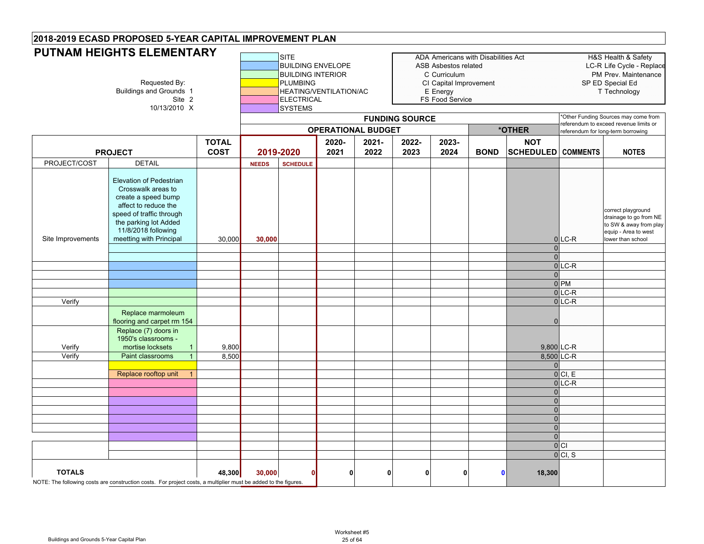|                   | <b>PUTNAM HEIGHTS ELEMENTARY</b>                                                                                                                                                                           |                             |              | <b>SITE</b><br><b>BUILDING ENVELOPE</b>                              |                           |                  |                       | ADA Americans with Disabilities Act<br><b>ASB Asbestos related</b>    |             |                                         |                      | H&S Health & Safety<br>LC-R Life Cycle - Replace                                                                    |
|-------------------|------------------------------------------------------------------------------------------------------------------------------------------------------------------------------------------------------------|-----------------------------|--------------|----------------------------------------------------------------------|---------------------------|------------------|-----------------------|-----------------------------------------------------------------------|-------------|-----------------------------------------|----------------------|---------------------------------------------------------------------------------------------------------------------|
|                   | Requested By:<br><b>Buildings and Grounds 1</b><br>Site 2<br>10/13/2010 X                                                                                                                                  |                             |              | <b>BUILDING INTERIOR</b><br><b>PLUMBING</b><br>ELECTRICAL<br>SYSTEMS | HEATING/VENTILATION/AC    |                  |                       | C Curriculum<br>CI Capital Improvement<br>E Energy<br>FS Food Service |             |                                         |                      | PM Prev. Maintenance<br>SP ED Special Ed<br>T Technology                                                            |
|                   |                                                                                                                                                                                                            |                             |              |                                                                      |                           |                  | <b>FUNDING SOURCE</b> |                                                                       |             |                                         |                      | *Other Funding Sources may come from<br>referendum to exceed revenue limits or                                      |
|                   |                                                                                                                                                                                                            |                             |              |                                                                      | <b>OPERATIONAL BUDGET</b> |                  |                       |                                                                       |             | *OTHER                                  |                      | referendum for long-term borrowing                                                                                  |
|                   | <b>PROJECT</b>                                                                                                                                                                                             | <b>TOTAL</b><br><b>COST</b> |              | 2019-2020                                                            | 2020-<br>2021             | $2021 -$<br>2022 | 2022-<br>2023         | 2023-<br>2024                                                         | <b>BOND</b> | <b>NOT</b><br><b>SCHEDULED</b> COMMENTS |                      | <b>NOTES</b>                                                                                                        |
| PROJECT/COST      | <b>DETAIL</b>                                                                                                                                                                                              |                             | <b>NEEDS</b> | <b>SCHEDULE</b>                                                      |                           |                  |                       |                                                                       |             |                                         |                      |                                                                                                                     |
| Site Improvements | <b>Elevation of Pedestrian</b><br>Crosswalk areas to<br>create a speed bump<br>affect to reduce the<br>speed of traffic through<br>the parking lot Added<br>11/8/2018 following<br>meetting with Principal | 30,000                      | 30,000       |                                                                      |                           |                  |                       |                                                                       |             |                                         | $0$ LC-R             | correct playground<br>drainage to go from NE<br>to SW & away from play<br>equip - Area to west<br>lower than school |
|                   |                                                                                                                                                                                                            |                             |              |                                                                      |                           |                  |                       |                                                                       |             | $\Omega$                                |                      |                                                                                                                     |
|                   |                                                                                                                                                                                                            |                             |              |                                                                      |                           |                  |                       |                                                                       |             | $\Omega$                                |                      |                                                                                                                     |
|                   |                                                                                                                                                                                                            |                             |              |                                                                      |                           |                  |                       |                                                                       |             |                                         | $0$ <sub>LC</sub> -R |                                                                                                                     |
|                   |                                                                                                                                                                                                            |                             |              |                                                                      |                           |                  |                       |                                                                       |             | $\Omega$                                | 0 <sub>PM</sub>      |                                                                                                                     |
|                   |                                                                                                                                                                                                            |                             |              |                                                                      |                           |                  |                       |                                                                       |             |                                         | $0$ LC-R             |                                                                                                                     |
| Verify            |                                                                                                                                                                                                            |                             |              |                                                                      |                           |                  |                       |                                                                       |             |                                         | $0$ <sub>LC</sub> -R |                                                                                                                     |
|                   | Replace marmoleum<br>flooring and carpet rm 154                                                                                                                                                            |                             |              |                                                                      |                           |                  |                       |                                                                       |             | $\Omega$                                |                      |                                                                                                                     |
|                   | Replace (7) doors in<br>1950's classrooms -                                                                                                                                                                |                             |              |                                                                      |                           |                  |                       |                                                                       |             |                                         |                      |                                                                                                                     |
| Verify            | mortise locksets                                                                                                                                                                                           | 9,800                       |              |                                                                      |                           |                  |                       |                                                                       |             |                                         | 9,800 LC-R           |                                                                                                                     |
| Verify            | Paint classrooms<br>$\mathbf{1}$                                                                                                                                                                           | 8,500                       |              |                                                                      |                           |                  |                       |                                                                       |             |                                         | 8,500 LC-R           |                                                                                                                     |
|                   |                                                                                                                                                                                                            |                             |              |                                                                      |                           |                  |                       |                                                                       |             | $\Omega$                                |                      |                                                                                                                     |
|                   | Replace rooftop unit<br>$\mathbf{1}$                                                                                                                                                                       |                             |              |                                                                      |                           |                  |                       |                                                                       |             |                                         | 0 Cl, E              |                                                                                                                     |
|                   |                                                                                                                                                                                                            |                             |              |                                                                      |                           |                  |                       |                                                                       |             |                                         | $0$ LC-R             |                                                                                                                     |
|                   |                                                                                                                                                                                                            |                             |              |                                                                      |                           |                  |                       |                                                                       |             | $\Omega$                                |                      |                                                                                                                     |
|                   |                                                                                                                                                                                                            |                             |              |                                                                      |                           |                  |                       |                                                                       |             | $\overline{0}$                          |                      |                                                                                                                     |
|                   |                                                                                                                                                                                                            |                             |              |                                                                      |                           |                  |                       |                                                                       |             | $\overline{0}$                          |                      |                                                                                                                     |
|                   |                                                                                                                                                                                                            |                             |              |                                                                      |                           |                  |                       |                                                                       |             | $\overline{0}$                          |                      |                                                                                                                     |
|                   |                                                                                                                                                                                                            |                             |              |                                                                      |                           |                  |                       |                                                                       |             | $\Omega$                                |                      |                                                                                                                     |
|                   |                                                                                                                                                                                                            |                             |              |                                                                      |                           |                  |                       |                                                                       |             | $\Omega$                                |                      |                                                                                                                     |
|                   |                                                                                                                                                                                                            |                             |              |                                                                      |                           |                  |                       |                                                                       |             |                                         | $ 0 $ Cl             |                                                                                                                     |
|                   |                                                                                                                                                                                                            |                             |              |                                                                      |                           |                  |                       |                                                                       |             |                                         | 0 CI, S              |                                                                                                                     |
| <b>TOTALS</b>     | NOTE: The following costs are construction costs. For project costs, a multiplier must be added to the figures.                                                                                            | 48,300                      | 30,000       | n                                                                    | $\mathbf{0}$              | 0                | $\mathbf{0}$          | O                                                                     |             | 18,300<br>$\mathbf{0}$                  |                      |                                                                                                                     |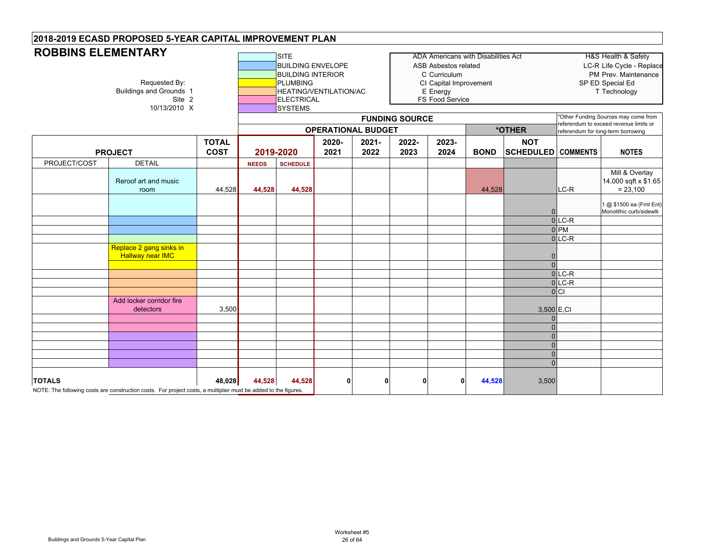#### **SITE** ADA Americans with Disabilities Act HEAD HAS Health & Safety BUILDING ENVELOPE ASB Asbestos related LC-R Life Cycle - Replace BUILDING INTERIOR **CONFIDENTIAL CONFIDENTIAL CONFIDENTIAL CONFIDENTIAL CONFIDENTIAL CONFIDENTIAL CONFIDENTIAL CONFIDENTIAL CONFIDENTIAL CONFIDENTIAL CONFIDENTIAL CONFIDENTIAL CONFIDENTIAL CONFIDENTIAL CONFIDENTIAL CONFIDEN** Requested By: **PLUMBING** PUMBING CI Capital Improvement SP ED Special Ed<br>Buildings and Grounds 1 **PLUMBING** HEATING/VENTILATION/AC E Energy E Energy Technology unds 1 **HEATING/VENTILATION/AC**<br>Site 2 **HEATING/VENTILATION/AC** FS Food Service 10/13/2010 X SYSTEMS **TOTAL COST2020-20212021-20222022-20232023-2024 BOND NOT SCHEDULED COMMENTS NOTES** PROJECT/COST DETAIL **NEEDS SCHEDULE** Reroof art and music room 44,528 **44,528 44,528** 44,528 LC-R Mill & Overlay 14,000 sqft x \$1.65  $= 23,100$ 01 @ \$1500 ea (Frnt Ent) Monolithic curb/sidewlk 0 LC-R 0 PM  $0$  LC-R Replace 2 gang sinks in Hallway near IMC 0 0 $0$  LC-R  $0$ LC-R  $|0|C|$ Add locker corridor fire detectors 3,500 3,500 E,CI  $\mathfrak{c}$ 00000**TOTALS 48,028 44,528 44,528 0000 44,528** 3,500 NOTE: The following costs are construction costs. For project costs, a multiplier must be added to the figures. **PROJECT 2019-2020 OPERATIONAL BUDGETROBBINS ELEMENTARYFUNDING SOURCE** \*Other Funding Sources may come from referendum to exceed revenue limits or **\*OTHER**referendum for long-term borrowing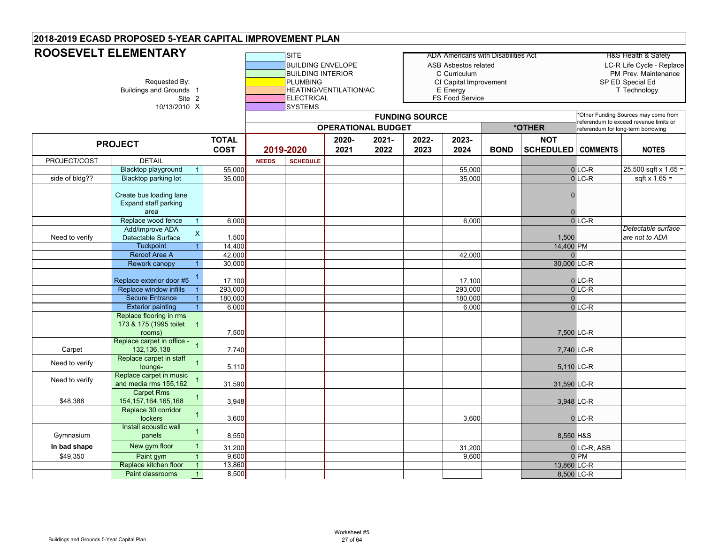# **2018-2019 ECASD PROPOSED 5-YEAR CAPITAL IMPROVEMENT PLAN ROOSEVELT ELEMENTARY**

|                | ROOSEVELT ELEMENTARY                                                |                 |              | <b>SITE</b>              |                        |                           |                       | ADA Americans with Disabilities Act |             |                  |                               | H&S Health & Safety                                                          |
|----------------|---------------------------------------------------------------------|-----------------|--------------|--------------------------|------------------------|---------------------------|-----------------------|-------------------------------------|-------------|------------------|-------------------------------|------------------------------------------------------------------------------|
|                |                                                                     |                 |              | <b>BUILDING ENVELOPE</b> |                        |                           |                       | <b>ASB Asbestos related</b>         |             |                  |                               | LC-R Life Cycle - Replace                                                    |
|                |                                                                     |                 |              | <b>BUILDING INTERIOR</b> |                        |                           |                       | C Curriculum                        |             |                  |                               | PM Prev. Maintenance                                                         |
|                | Requested By:                                                       |                 |              | <b>PLUMBING</b>          |                        |                           |                       | CI Capital Improvement              |             |                  |                               | SP ED Special Ed                                                             |
|                | Buildings and Grounds 1                                             |                 |              |                          | HEATING/VENTILATION/AC |                           |                       | E Energy                            |             |                  |                               | T Technology                                                                 |
|                | Site 2                                                              |                 |              | <b>ELECTRICAL</b>        |                        |                           |                       | <b>FS Food Service</b>              |             |                  |                               |                                                                              |
|                | 10/13/2010 X                                                        |                 |              | <b>SYSTEMS</b>           |                        |                           |                       |                                     |             |                  |                               |                                                                              |
|                |                                                                     |                 |              |                          |                        |                           | <b>FUNDING SOURCE</b> |                                     |             |                  |                               | *Other Funding Sources may come from                                         |
|                |                                                                     |                 |              |                          |                        | <b>OPERATIONAL BUDGET</b> |                       |                                     |             | *OTHER           |                               | referendum to exceed revenue limits or<br>referendum for long-term borrowing |
|                |                                                                     | <b>TOTAL</b>    |              |                          | 2020-                  | 2021-                     | 2022-                 | 2023-                               |             | <b>NOT</b>       |                               |                                                                              |
|                | <b>PROJECT</b>                                                      | <b>COST</b>     |              | 2019-2020                | 2021                   | 2022                      | 2023                  | 2024                                | <b>BOND</b> | <b>SCHEDULED</b> | <b>COMMENTS</b>               | <b>NOTES</b>                                                                 |
|                |                                                                     |                 |              |                          |                        |                           |                       |                                     |             |                  |                               |                                                                              |
| PROJECT/COST   | <b>DETAIL</b>                                                       |                 | <b>NEEDS</b> | <b>SCHEDULE</b>          |                        |                           |                       |                                     |             |                  |                               |                                                                              |
|                | <b>Blacktop playground</b><br>$\overline{1}$                        | 55,000          |              |                          |                        |                           |                       | 55,000                              |             |                  | $0$ LC-R                      | $25,500$ sqft x 1.65 =                                                       |
| side of bldg?? | Blacktop parking lot                                                | 35,000          |              |                          |                        |                           |                       | 35,000                              |             |                  | $0$ LC-R                      | sqft $x 1.65 =$                                                              |
|                | Create bus loading lane                                             |                 |              |                          |                        |                           |                       |                                     |             |                  |                               |                                                                              |
|                | Expand staff parking                                                |                 |              |                          |                        |                           |                       |                                     |             |                  |                               |                                                                              |
|                | area                                                                |                 |              |                          |                        |                           |                       |                                     |             |                  |                               |                                                                              |
|                | Replace wood fence<br>$\overline{1}$                                | 6,000           |              |                          |                        |                           |                       | 6,000                               |             |                  | $0$ LC-R                      |                                                                              |
|                | Add/improve ADA                                                     |                 |              |                          |                        |                           |                       |                                     |             |                  |                               | Detectable surface                                                           |
| Need to verify | $\mathsf X$<br>Detectable Surface                                   | 1,500           |              |                          |                        |                           |                       |                                     |             | 1,500            |                               | are not to ADA                                                               |
|                | <b>Tuckpoint</b><br>$\overline{1}$                                  | 14,400          |              |                          |                        |                           |                       |                                     |             | 14,400 PM        |                               |                                                                              |
|                | Reroof Area A                                                       | 42,000          |              |                          |                        |                           |                       | 42,000                              |             |                  |                               |                                                                              |
|                | <b>Rework canopy</b><br>$\overline{1}$                              | 30,000          |              |                          |                        |                           |                       |                                     |             | 30,000 LC-R      |                               |                                                                              |
|                | $\overline{1}$                                                      |                 |              |                          |                        |                           |                       |                                     |             |                  |                               |                                                                              |
|                | Replace exterior door #5                                            | 17,100          |              |                          |                        |                           |                       | 17,100                              |             |                  | $0$ LC-R                      |                                                                              |
|                | Replace window infills<br>$\overline{1}$                            | 293,000         |              |                          |                        |                           |                       | 293,000                             |             |                  | $0$ LC-R                      |                                                                              |
|                | <b>Secure Entrance</b><br>$\mathbf{1}$                              | 180,000         |              |                          |                        |                           |                       | 180,000                             |             | $\Omega$         |                               |                                                                              |
|                | <b>Exterior painting</b><br>$\overline{1}$                          | 6,000           |              |                          |                        |                           |                       | 6,000                               |             |                  | $0$ LC-R                      |                                                                              |
|                | Replace flooring in rms<br>173 & 175 (1995 toilet<br>$\overline{1}$ |                 |              |                          |                        |                           |                       |                                     |             |                  |                               |                                                                              |
|                | rooms)                                                              | 7,500           |              |                          |                        |                           |                       |                                     |             | 7,500 LC-R       |                               |                                                                              |
|                | Replace carpet in office -                                          |                 |              |                          |                        |                           |                       |                                     |             |                  |                               |                                                                              |
| Carpet         | 132, 136, 138                                                       | 7,740           |              |                          |                        |                           |                       |                                     |             | 7,740 LC-R       |                               |                                                                              |
|                | Replace carpet in staff                                             |                 |              |                          |                        |                           |                       |                                     |             |                  |                               |                                                                              |
| Need to verify | lounge-                                                             | 5,110           |              |                          |                        |                           |                       |                                     |             | 5,110 LC-R       |                               |                                                                              |
| Need to verify | Replace carpet in music                                             |                 |              |                          |                        |                           |                       |                                     |             |                  |                               |                                                                              |
|                | and media rms 155,162                                               | 31,590          |              |                          |                        |                           |                       |                                     |             | 31,590 LC-R      |                               |                                                                              |
|                | <b>Carpet Rms</b>                                                   |                 |              |                          |                        |                           |                       |                                     |             |                  |                               |                                                                              |
| \$48,388       | 154, 157, 164, 165, 168                                             | 3,948           |              |                          |                        |                           |                       |                                     |             | 3,948 LC-R       |                               |                                                                              |
|                | Replace 30 corridor<br>lockers                                      | 3,600           |              |                          |                        |                           |                       | 3,600                               |             |                  | $0$ <sub>LC-R</sub>           |                                                                              |
|                | Install acoustic wall                                               |                 |              |                          |                        |                           |                       |                                     |             |                  |                               |                                                                              |
| Gymnasium      | $\overline{1}$<br>panels                                            | 8,550           |              |                          |                        |                           |                       |                                     |             | 8,550 H&S        |                               |                                                                              |
| In bad shape   | New gym floor<br>$\mathbf{1}$                                       |                 |              |                          |                        |                           |                       |                                     |             |                  |                               |                                                                              |
|                |                                                                     | 31,200          |              |                          |                        |                           |                       | 31,200                              |             |                  | 0LC-R, ASB<br>0 <sub>PM</sub> |                                                                              |
| \$49,350       | Paint gym<br>$\overline{1}$<br>Replace kitchen floor                | 9,600<br>13,860 |              |                          |                        |                           |                       | 9,600                               |             | 13,860 LC-R      |                               |                                                                              |
|                | $\overline{1}$<br>Paint classrooms                                  | 8,500           |              |                          |                        |                           |                       |                                     |             | 8,500 LC-R       |                               |                                                                              |
|                | $\overline{1}$                                                      |                 |              |                          |                        |                           |                       |                                     |             |                  |                               |                                                                              |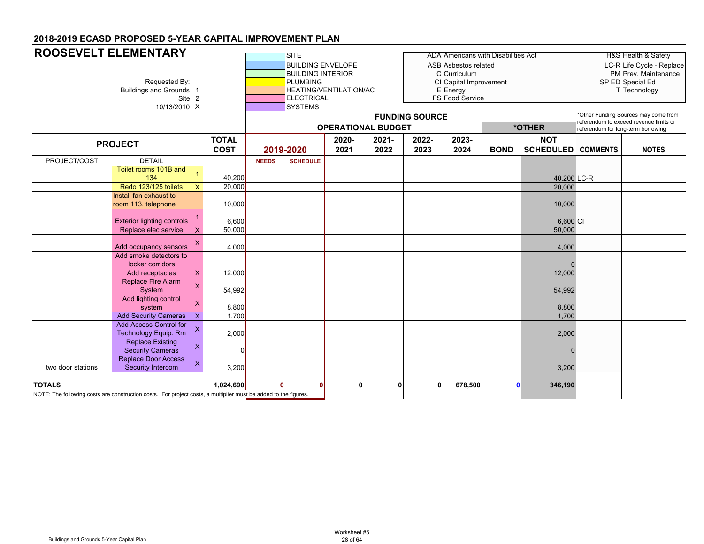# **ROOSEVELT ELEMENTARY**

| <b>ROOSEVELT ELEMENTARY</b> |                                                                                                                 |                             |              | <b>ISITE</b>                                                                                                   |                        |                           |                       | ADA Americans with Disabilities Act                                                           |             |                                |                                    | H&S Health & Safety                                                                   |
|-----------------------------|-----------------------------------------------------------------------------------------------------------------|-----------------------------|--------------|----------------------------------------------------------------------------------------------------------------|------------------------|---------------------------|-----------------------|-----------------------------------------------------------------------------------------------|-------------|--------------------------------|------------------------------------|---------------------------------------------------------------------------------------|
|                             | Requested By:<br><b>Buildings and Grounds 1</b><br>Site 2<br>10/13/2010 X                                       |                             |              | <b>BUILDING ENVELOPE</b><br><b>BUILDING INTERIOR</b><br><b>PLUMBING</b><br><b>ELECTRICAL</b><br><b>SYSTEMS</b> | HEATING/VENTILATION/AC |                           |                       | ASB Asbestos related<br>C Curriculum<br>CI Capital Improvement<br>E Energy<br>FS Food Service |             |                                |                                    | LC-R Life Cycle - Replace<br>PM Prev. Maintenance<br>SP ED Special Ed<br>T Technology |
|                             |                                                                                                                 |                             |              |                                                                                                                |                        |                           | <b>FUNDING SOURCE</b> |                                                                                               |             |                                |                                    | *Other Funding Sources may come from<br>referendum to exceed revenue limits or        |
|                             |                                                                                                                 |                             |              |                                                                                                                |                        | <b>OPERATIONAL BUDGET</b> |                       |                                                                                               |             | *OTHER                         | referendum for long-term borrowing |                                                                                       |
|                             | <b>PROJECT</b>                                                                                                  | <b>TOTAL</b><br><b>COST</b> |              | 2019-2020                                                                                                      | 2020-<br>2021          | $2021 -$<br>2022          | 2022-<br>2023         | 2023-<br>2024                                                                                 | <b>BOND</b> | <b>NOT</b><br><b>SCHEDULED</b> | <b>COMMENTS</b>                    | <b>NOTES</b>                                                                          |
| PROJECT/COST                | <b>DETAIL</b>                                                                                                   |                             | <b>NEEDS</b> | <b>SCHEDULE</b>                                                                                                |                        |                           |                       |                                                                                               |             |                                |                                    |                                                                                       |
|                             | Toilet rooms 101B and<br>$\overline{1}$<br>134                                                                  | 40,200                      |              |                                                                                                                |                        |                           |                       |                                                                                               |             | 40,200 LC-R                    |                                    |                                                                                       |
|                             | Redo 123/125 toilets<br>$\mathsf{X}$                                                                            | 20,000                      |              |                                                                                                                |                        |                           |                       |                                                                                               |             | 20,000                         |                                    |                                                                                       |
|                             | Install fan exhaust to<br>room 113, telephone                                                                   | 10,000                      |              |                                                                                                                |                        |                           |                       |                                                                                               |             | 10,000                         |                                    |                                                                                       |
|                             | <b>Exterior lighting controls</b>                                                                               | 6,600                       |              |                                                                                                                |                        |                           |                       |                                                                                               |             | 6,600 CI                       |                                    |                                                                                       |
|                             | Replace elec service<br>$\mathsf{x}$                                                                            | 50,000                      |              |                                                                                                                |                        |                           |                       |                                                                                               |             | 50,000                         |                                    |                                                                                       |
|                             | х<br>Add occupancy sensors                                                                                      | 4,000                       |              |                                                                                                                |                        |                           |                       |                                                                                               |             | 4,000                          |                                    |                                                                                       |
|                             | Add smoke detectors to<br>locker corridors                                                                      |                             |              |                                                                                                                |                        |                           |                       |                                                                                               |             |                                |                                    |                                                                                       |
|                             | X<br>Add receptacles                                                                                            | 12,000                      |              |                                                                                                                |                        |                           |                       |                                                                                               |             | 12,000                         |                                    |                                                                                       |
|                             | <b>Replace Fire Alarm</b><br>$\mathsf{X}$<br>System                                                             | 54,992                      |              |                                                                                                                |                        |                           |                       |                                                                                               |             | 54,992                         |                                    |                                                                                       |
|                             | Add lighting control<br>$\mathsf{X}$<br>system                                                                  | 8,800                       |              |                                                                                                                |                        |                           |                       |                                                                                               |             | 8,800                          |                                    |                                                                                       |
|                             | <b>Add Security Cameras</b><br>X                                                                                | 1,700                       |              |                                                                                                                |                        |                           |                       |                                                                                               |             | 1,700                          |                                    |                                                                                       |
|                             | <b>Add Access Control for</b><br>X<br>Technology Equip. Rm                                                      | 2,000                       |              |                                                                                                                |                        |                           |                       |                                                                                               |             | 2,000                          |                                    |                                                                                       |
|                             | <b>Replace Existing</b><br>X<br><b>Security Cameras</b>                                                         | <sup>0</sup>                |              |                                                                                                                |                        |                           |                       |                                                                                               |             |                                |                                    |                                                                                       |
| two door stations           | <b>Replace Door Access</b><br>X<br>Security Intercom                                                            | 3,200                       |              |                                                                                                                |                        |                           |                       |                                                                                               |             | 3,200                          |                                    |                                                                                       |
| <b>TOTALS</b>               | NOTE: The following costs are construction costs. For project costs, a multiplier must be added to the figures. | 1,024,690                   | 0            |                                                                                                                | Λ                      | 0                         | $\mathbf{0}$          | 678,500                                                                                       |             | 346,190                        |                                    |                                                                                       |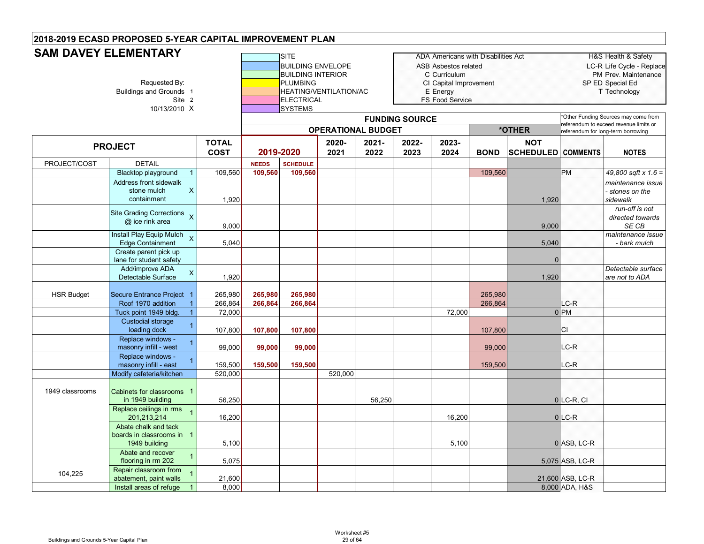#### **SITE** ADA Americans with Disabilities Act Health & Safety **BUILDING ENVELOPE ASB Asbestos related LC-R Life Cycle - Replace** BUILDING INTERIOR C Curriculum PM Prev. Maintenance Requested By: **PLUMBING** PUMBING CI Capital Improvement SP ED Special Ed<br>E Energy Energy Energy T Technology T Technology HEATING/VENTILATION/AC E Energy Site 2 **ELECTRICAL ELECTRICAL FS Food Service** 10/13/2010lsystems **TOTAL COST2020-20212021-20222022-20232023-2024 BOND NOT SCHEDULED COMMENTS NOTES** PROJECT/COST DETAIL **NEEDS SCHEDULE** Blacktop playground 1 109,560 **109,560 109,560** 109,560 PM *49,800 sqft x 1.6 =*  Address front sidewalk stone mulch containmentX1,920 | I | I | I | I | I | I | 1,920 *maintenance issue - stones on the sidewalk*Site Grading Corrections x @ ice rink area <sup>X</sup> 9,000 9,000 *run-off is not directed towards SE CB*Install Play Equip Mulch X tall Play Equip Mulch x 3,040 5,040 5,040 5,040 maintenance issue<br>Edge Containment x 5,040 5,040 5,040 5,040 5,040 chark mulch bark mulch bark mulch bark mulch bark mulch bark Create parent pick up lane for student safety 0 Add/improve ADA Detectable Surface <sup>X</sup> 1,920 1,920 *Detectable surface are not to ADA*  HSR Budget Secure Entrance Project 1 265,980 **265,980 265,980** 265,980 Roof 1970 addition 1 266,864 **266,864 266,864** 266,864 LC-R Tuck point 1949 bldg. 1 72,000 72,000 0 PM Custodial storage loading dock <sup>1</sup> 107,800 **107,800 107,800** 107,800 CI Replace windows masonry infill - west <sup>1</sup> 99,000 **99,000 99,000** 99,000 LC-R Replace windows masonry infill - east <sup>1</sup> 159,500 **159,500 159,500** 159,500 LC-R Modify cafeteria/kitchen 520,000 520,000 1949 classroomss **Cabinets for classrooms** 1 in 1949 building 56,250 56,250 0 LC-R, CI Replace ceilings in rms 201,213,214 <sup>1</sup> 16,200 16,200 <sup>0</sup> LC-R Abate chalk and tack boards in classrooms in 11949 building 5,100 | | | | | | | 5,100 | 0|ASB, LC-R Abate and recover flooring in rm 202 <sup>1</sup> 5,075 5,075 ASB, LC-R 104,225 Repair classroom from 1 21,600 21,600 21,600 21,600 21,600 21,600 ASB, LC-R Install areas of refuge 1 8,000 8,000 8,000 **B** 8,000 ADA, H&S **PROJECT 2019-2020SAM DAVEY ELEMENTARYFUNDING SOURCE** \*Other Funding Sources may come from referendum to exceed revenue limits or **OPERATIONAL BUDGET \*OTHER** referendum for long-term borrowing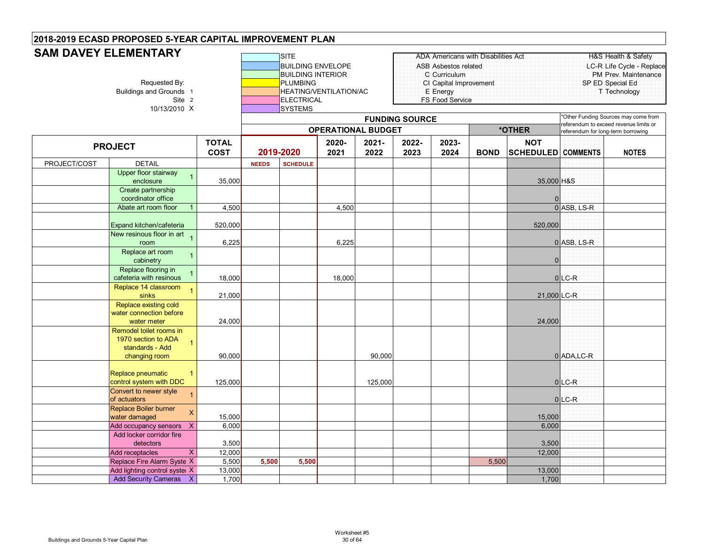#### **SITE** ADA Americans with Disabilities Act HAS Health & Safety **BUILDING ENVELOPE ASB Asbestos related LC-R Life Cycle - Replace** BUILDING INTERIOR C Curriculum PM Prev. Maintenance Requested By: Networks Are the Cite of Cite Capital Improvement SP ED Special Educations and Grounds 1 Cite Capital Improvement SP ED Special Educations and Grounds 1 Technology HEATING/VENTILATION/AC E Energy HEATING/VENTILATION/AC E Energy Site 2 **ELECTRICAL ELECTRICAL FS Food Service** 10/13/2010lsystems **TOTAL COST2020-20212021-20222022-20232023-2024 BOND NOT SCHEDULED COMMENTS NOTES** PROJECT/COST DETAIL **NEEDS SCHEDULE PROJECT 2019-2020SAM DAVEY ELEMENTARYFUNDING SOURCE** \*Other Funding Sources may come from referendum to exceed revenue limits or **OPERATIONAL BUDGET \*OTHER** referendum for long-term borrowing Upper floor stairway enclosure <sup>1</sup> 35,000 35,000 H&S Create partnership coordinator office 0Abate art room floor 1 4,500 4,500 4,500 4,500 4,500 4,500 4,500 4,500 4,500 4,500 4,500 4,500 4,500 4,500 4,500 4,500 4,500 4,500 4,500 4,500 4,500 4,500 4,500 4,500 4,500 4,500 4,500 4,500 4,500 4,500 4,500 4,500 4,500 4 Expand kitchen/cafeteria 520,000 520,000 New resinous floor in art <sub>1</sub> room $\left\vert \begin{array}{ccc} \circ & \circ & \circ & \circ \end{array} \right\vert$  6,225  $\left\vert \begin{array}{ccc} \circ & \circ & \circ & \circ \end{array} \right\vert$  1 and  $\left\vert \begin{array}{ccc} \circ & \circ & \circ & \circ \end{array} \right\vert$ Replace art room cabinetry <sup>1</sup> <sup>0</sup> Replace flooring in cafeteria with resinouss <sup>1</sup> | 18,000 | | 18,000 | | | | 0 |LC-R Replace 14 classroom sinks <sup>1</sup> 21,000 21,000 LC-R Replace existing cold water connection before water meter<mark>r |</mark> 24,000 | | | | | | | | 24,000 Remodel toilet rooms in 1970 section to ADA standards - Add changing room 190,000 | | | 90,000 | | | 00,000 | | 0|ADA,LC-R Replace pneumatic control system with DDC 1125,000 125,000 0 LC-R Convert to newer style of actuatorss and the cysic of the contract of the contract of the contract of the contract of the contract of the contract of the contract of the contract of the contract of the contract of the contract of the contract of the contrac Replace Boiler burner water damaged **X** 15,000 15,000 15,000 15,000 15,000 15,000 15,000 15,000 15,000 15,000 15,000 15,000 15,000 15,000 15,000 15,000 15,000 15,000 15,000 15,000 15,000 15,000 15,000 15,000 15,000 15,000 15,000 15,000 15,000 1 Add occupancy sensors X 6,000 6,000 6,000 6,000 6,000 6,000 6,000 6,000 6,000 6,000 6,000 6,000 6,000 6,000 6,000 6,000 6,000 6,000 6,000 6,000 6,000 6,000 6,000 6,000 6,000 6,000 6,000 6,000 6,000 6,000 6,000 6,000 6,000 Add locker corridor fire detectors 3,500 3,500 Add receptacles X 12,000 12,000 Replace Fire Alarm Syste X 5,500 **5,500 5,500** 5,500 Add lighting control system X 13,000 13,000 13,000 13,000 13,000 13,000 13,000 13,000 13,000 13,000 13,000 13,000 13,000 13,000 13,000 13,000 13,000 13,000 13,000 13,000 13,000 13,000 13,000 13,000 13,000 13,000 13,000 13, Add Security Cameras X | 1,700 | | | | | | | | | | | | | 1,700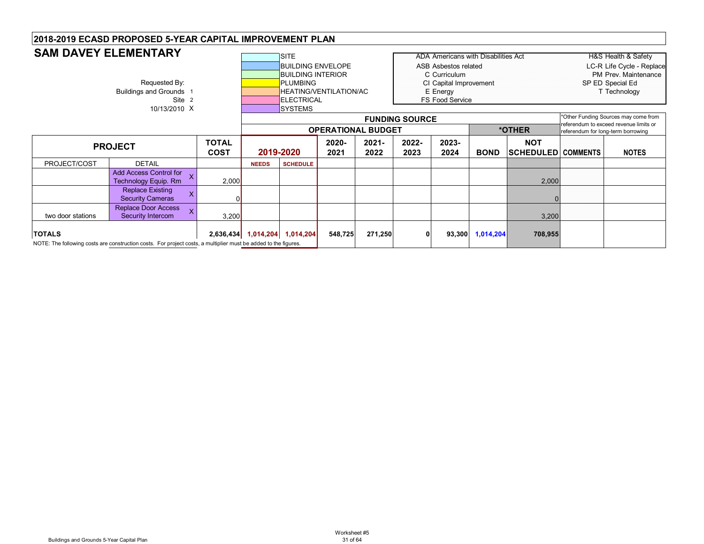|                            | <b>SAM DAVEY ELEMENTARY</b>                                                                                     |       |              | <b>SITE</b>                   |                           |         |                       | ADA Americans with Disabilities Act |             |                           |                                    | H&S Health & Safety                                                            |
|----------------------------|-----------------------------------------------------------------------------------------------------------------|-------|--------------|-------------------------------|---------------------------|---------|-----------------------|-------------------------------------|-------------|---------------------------|------------------------------------|--------------------------------------------------------------------------------|
|                            |                                                                                                                 |       |              | <b>BUILDING ENVELOPE</b>      |                           |         |                       | ASB Asbestos related                |             |                           |                                    | LC-R Life Cycle - Replace                                                      |
|                            |                                                                                                                 |       |              | <b>BUILDING INTERIOR</b>      |                           |         |                       | C Curriculum                        |             |                           |                                    | PM Prev. Maintenance                                                           |
|                            | Requested By:                                                                                                   |       |              | PLUMBING                      |                           |         |                       | CI Capital Improvement              |             |                           |                                    | SP ED Special Ed                                                               |
|                            | Buildings and Grounds 1                                                                                         |       |              | <b>HEATING/VENTILATION/AC</b> |                           |         |                       | E Energy                            |             |                           |                                    | T Technology                                                                   |
|                            | Site 2                                                                                                          |       |              | <b>IELECTRICAL</b>            |                           |         |                       | <b>FS Food Service</b>              |             |                           |                                    |                                                                                |
|                            | 10/13/2010 X                                                                                                    |       |              | <b>SYSTEMS</b>                |                           |         |                       |                                     |             |                           |                                    |                                                                                |
|                            |                                                                                                                 |       |              |                               |                           |         | <b>FUNDING SOURCE</b> |                                     |             |                           |                                    | *Other Funding Sources may come from<br>referendum to exceed revenue limits or |
|                            |                                                                                                                 |       |              |                               | <b>OPERATIONAL BUDGET</b> |         |                       |                                     |             | *OTHER                    | referendum for long-term borrowing |                                                                                |
|                            |                                                                                                                 |       | 2020-        | $2021 -$                      | 2022-                     | 2023-   |                       | <b>NOT</b>                          |             |                           |                                    |                                                                                |
|                            | <b>TOTAL</b><br><b>PROJECT</b><br><b>COST</b>                                                                   |       |              |                               | 2021                      | 2022    | 2023                  | 2024                                | <b>BOND</b> | <b>SCHEDULED COMMENTS</b> |                                    | <b>NOTES</b>                                                                   |
| PROJECT/COST               | <b>DETAIL</b>                                                                                                   |       | <b>NEEDS</b> | <b>SCHEDULE</b>               |                           |         |                       |                                     |             |                           |                                    |                                                                                |
|                            | Add Access Control for<br><b>Technology Equip. Rm</b>                                                           | 2,000 |              |                               |                           |         |                       |                                     |             | 2,000                     |                                    |                                                                                |
|                            | <b>Replace Existing</b><br>X<br><b>Security Cameras</b>                                                         |       |              |                               |                           |         |                       |                                     |             |                           |                                    |                                                                                |
| two door stations          | Replace Door Access<br>Security Intercom                                                                        | 3,200 |              |                               |                           |         |                       |                                     |             | 3,200                     |                                    |                                                                                |
| <b>TOTALS</b><br>2,636,434 |                                                                                                                 |       |              | 1,014,204 1,014,204           | 548,725                   | 271,250 | 0                     | 93,300                              | 1,014,204   | 708,955                   |                                    |                                                                                |
|                            | NOTE: The following costs are construction costs. For project costs, a multiplier must be added to the figures. |       |              |                               |                           |         |                       |                                     |             |                           |                                    |                                                                                |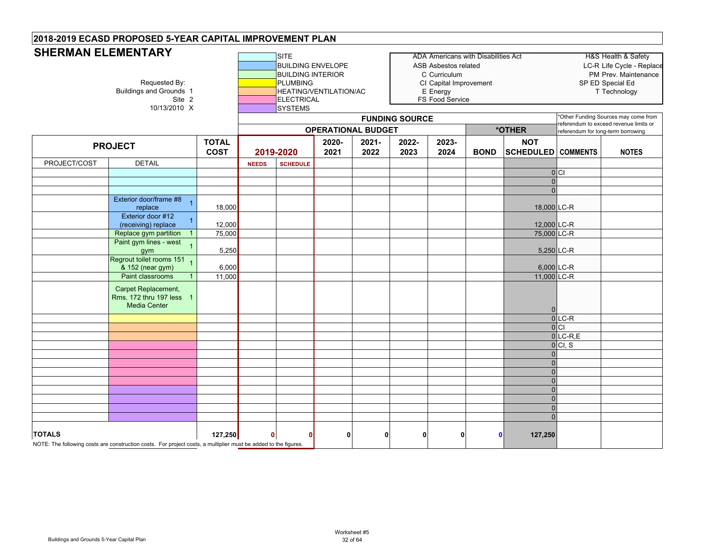# **SHERMAN ELEMENTARY**

| <b>SHERMAN ELEMENTARY</b> | Requested By:<br><b>Buildings and Grounds 1</b><br>Site 2<br>10/13/2010 X                                       |                             |              |                 | <b>BUILDING ENVELOPE</b><br><b>BUILDING INTERIOR</b><br><b>PLUMBING</b><br>HEATING/VENTILATION/AC<br><b>ELECTRICAL</b> |               |                       | ADA Americans with Disabilities Act<br><b>ASB Asbestos related</b><br>C Curriculum<br>CI Capital Improvement<br>E Energy<br>FS Food Service |             |                                         |                                    | <b>H&amp;S Health &amp; Safety</b><br>LC-R Life Cycle - Replace<br>PM Prev. Maintenance<br>SP ED Special Ed<br>T Technology |
|---------------------------|-----------------------------------------------------------------------------------------------------------------|-----------------------------|--------------|-----------------|------------------------------------------------------------------------------------------------------------------------|---------------|-----------------------|---------------------------------------------------------------------------------------------------------------------------------------------|-------------|-----------------------------------------|------------------------------------|-----------------------------------------------------------------------------------------------------------------------------|
|                           |                                                                                                                 |                             |              | <b>SYSTEMS</b>  | <b>OPERATIONAL BUDGET</b>                                                                                              |               | <b>FUNDING SOURCE</b> |                                                                                                                                             |             | *OTHER                                  | referendum for long-term borrowing | *Other Funding Sources may come from<br>referendum to exceed revenue limits or                                              |
|                           | <b>PROJECT</b>                                                                                                  | <b>TOTAL</b><br><b>COST</b> |              | 2019-2020       | 2020-<br>2021                                                                                                          | 2021-<br>2022 | 2022-<br>2023         | 2023-<br>2024                                                                                                                               | <b>BOND</b> | <b>NOT</b><br><b>SCHEDULED COMMENTS</b> |                                    | <b>NOTES</b>                                                                                                                |
| PROJECT/COST              | <b>DETAIL</b>                                                                                                   |                             | <b>NEEDS</b> | <b>SCHEDULE</b> |                                                                                                                        |               |                       |                                                                                                                                             |             |                                         |                                    |                                                                                                                             |
|                           |                                                                                                                 |                             |              |                 |                                                                                                                        |               |                       |                                                                                                                                             |             |                                         | 0                                  |                                                                                                                             |
|                           |                                                                                                                 |                             |              |                 |                                                                                                                        |               |                       |                                                                                                                                             |             | <sup>n</sup>                            |                                    |                                                                                                                             |
|                           |                                                                                                                 |                             |              |                 |                                                                                                                        |               |                       |                                                                                                                                             |             | $\Omega$                                |                                    |                                                                                                                             |
|                           | Exterior door/frame #8<br>replace                                                                               | 18,000                      |              |                 |                                                                                                                        |               |                       |                                                                                                                                             |             | 18,000 LC-R                             |                                    |                                                                                                                             |
|                           | Exterior door #12                                                                                               |                             |              |                 |                                                                                                                        |               |                       |                                                                                                                                             |             |                                         |                                    |                                                                                                                             |
|                           | (receiving) replace                                                                                             | 12,000                      | 12,000 LC-R  |                 |                                                                                                                        |               |                       |                                                                                                                                             |             |                                         |                                    |                                                                                                                             |
|                           | Replace gym partition                                                                                           | 75,000                      | 75,000 LC-R  |                 |                                                                                                                        |               |                       |                                                                                                                                             |             |                                         |                                    |                                                                                                                             |
|                           | Paint gym lines - west<br>gym                                                                                   | 5,250                       |              |                 |                                                                                                                        |               |                       |                                                                                                                                             |             |                                         | 5,250 LC-R                         |                                                                                                                             |
|                           | Regrout toilet rooms 151<br>& 152 (near gym)                                                                    | 6,000                       |              |                 |                                                                                                                        |               |                       |                                                                                                                                             |             |                                         | 6,000 LC-R                         |                                                                                                                             |
|                           | Paint classrooms                                                                                                | 11,000                      |              |                 |                                                                                                                        |               |                       |                                                                                                                                             |             | 11,000 LC-R                             |                                    |                                                                                                                             |
|                           | Carpet Replacement,<br>Rms. 172 thru 197 less 1<br><b>Media Center</b>                                          |                             |              |                 |                                                                                                                        |               |                       |                                                                                                                                             |             | $\Omega$                                |                                    |                                                                                                                             |
|                           |                                                                                                                 |                             |              |                 |                                                                                                                        |               |                       |                                                                                                                                             |             |                                         | $0$ <sub>LC-R</sub>                |                                                                                                                             |
|                           |                                                                                                                 |                             |              |                 |                                                                                                                        |               |                       |                                                                                                                                             |             |                                         | 0 <sub>C1</sub>                    |                                                                                                                             |
|                           |                                                                                                                 |                             |              |                 |                                                                                                                        |               |                       |                                                                                                                                             |             |                                         | $0$ LC-R,E                         |                                                                                                                             |
|                           |                                                                                                                 |                             |              |                 |                                                                                                                        |               |                       |                                                                                                                                             |             |                                         | 0 CI, S                            |                                                                                                                             |
|                           |                                                                                                                 |                             |              |                 |                                                                                                                        |               |                       |                                                                                                                                             |             | $\Omega$                                |                                    |                                                                                                                             |
|                           |                                                                                                                 |                             |              |                 |                                                                                                                        |               |                       |                                                                                                                                             |             | $\Omega$<br>$\Omega$                    |                                    |                                                                                                                             |
|                           |                                                                                                                 |                             |              |                 |                                                                                                                        |               |                       |                                                                                                                                             |             | $\Omega$                                |                                    |                                                                                                                             |
|                           |                                                                                                                 |                             | $\Omega$     |                 |                                                                                                                        |               |                       |                                                                                                                                             |             |                                         |                                    |                                                                                                                             |
|                           |                                                                                                                 |                             | $\Omega$     |                 |                                                                                                                        |               |                       |                                                                                                                                             |             |                                         |                                    |                                                                                                                             |
|                           |                                                                                                                 |                             | $\Omega$     |                 |                                                                                                                        |               |                       |                                                                                                                                             |             |                                         |                                    |                                                                                                                             |
|                           |                                                                                                                 |                             |              |                 |                                                                                                                        |               |                       |                                                                                                                                             |             | $\Omega$                                |                                    |                                                                                                                             |
| <b>TOTALS</b>             | NOTE: The following costs are construction costs. For project costs, a multiplier must be added to the figures. | 127,250                     | $\mathbf{0}$ | $\Omega$        | $\mathbf{0}$                                                                                                           | $\mathbf 0$   | $\mathbf 0$           | $\mathbf{0}$                                                                                                                                |             | 127,250<br>$\mathbf{0}$                 |                                    |                                                                                                                             |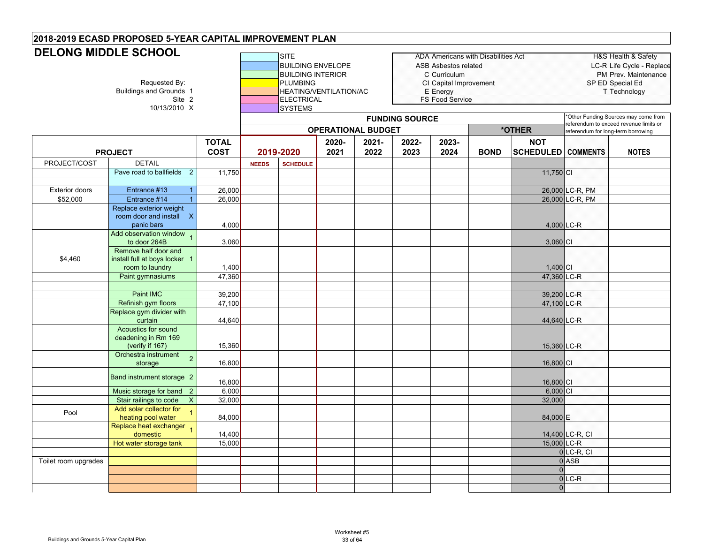# **DELONG MIDDLE SCHOOL**

|                       | JELUNU MIIDDLE JUNUUL<br>Requested By:<br><b>Buildings and Grounds 1</b><br>Site 2<br>10/13/2010 X |                             |              | <b>SITE</b><br><b>BUILDING ENVELOPE</b><br><b>BUILDING INTERIOR</b><br><b>PLUMBING</b><br><b>HEATING/VENTILATION/AC</b><br><b>ELECTRICAL</b><br>SYSTEMS |               |                           | <b>FUNDING SOURCE</b> | ASB Asbestos related<br>C Curriculum<br>CI Capital Improvement<br>E Energy<br>FS Food Service | ADA Americans with Disabilities Act |                                         | SP ED Special Ed<br>Other Funding Sources may come from                     | H&S Health & Safety<br>LC-R Life Cycle - Replace<br>PM Prev. Maintenance<br>T Technology |
|-----------------------|----------------------------------------------------------------------------------------------------|-----------------------------|--------------|---------------------------------------------------------------------------------------------------------------------------------------------------------|---------------|---------------------------|-----------------------|-----------------------------------------------------------------------------------------------|-------------------------------------|-----------------------------------------|-----------------------------------------------------------------------------|------------------------------------------------------------------------------------------|
|                       |                                                                                                    |                             |              |                                                                                                                                                         |               | <b>OPERATIONAL BUDGET</b> |                       |                                                                                               |                                     | *OTHER                                  | eferendum to exceed revenue limits or<br>referendum for long-term borrowing |                                                                                          |
|                       | <b>PROJECT</b>                                                                                     | <b>TOTAL</b><br><b>COST</b> |              | 2019-2020                                                                                                                                               | 2020-<br>2021 | 2021-<br>2022             | 2022-<br>2023         | 2023-<br>2024                                                                                 | <b>BOND</b>                         | <b>NOT</b><br><b>SCHEDULED</b> COMMENTS |                                                                             | <b>NOTES</b>                                                                             |
| PROJECT/COST          | <b>DETAIL</b>                                                                                      |                             | <b>NEEDS</b> | <b>SCHEDULE</b>                                                                                                                                         |               |                           |                       |                                                                                               |                                     |                                         |                                                                             |                                                                                          |
|                       | Pave road to ballfields<br>$\overline{2}$                                                          | 11,750                      |              |                                                                                                                                                         |               |                           |                       |                                                                                               |                                     | 11,750 CI                               |                                                                             |                                                                                          |
|                       |                                                                                                    |                             |              |                                                                                                                                                         |               |                           |                       |                                                                                               |                                     |                                         |                                                                             |                                                                                          |
| <b>Exterior doors</b> | Entrance #13<br>Entrance #14                                                                       | 26,000                      |              |                                                                                                                                                         |               |                           |                       |                                                                                               |                                     |                                         | 26,000 LC-R, PM                                                             |                                                                                          |
| \$52,000              | $\mathbf{1}$<br>Replace exterior weight                                                            | 26,000                      |              |                                                                                                                                                         |               |                           |                       |                                                                                               |                                     |                                         | 26,000 LC-R, PM                                                             |                                                                                          |
|                       | room door and install X<br>panic bars                                                              | 4,000                       |              |                                                                                                                                                         |               |                           |                       |                                                                                               |                                     | 4,000 LC-R                              |                                                                             |                                                                                          |
|                       | Add observation window 1<br>to door 264B                                                           | 3,060                       |              |                                                                                                                                                         |               |                           |                       |                                                                                               |                                     | 3,060 CI                                |                                                                             |                                                                                          |
| \$4,460               | Remove half door and<br>install full at boys locker 1                                              |                             |              |                                                                                                                                                         |               |                           |                       |                                                                                               |                                     |                                         |                                                                             |                                                                                          |
|                       | room to laundry<br>Paint gymnasiums                                                                | 1,400<br>47,360             |              |                                                                                                                                                         |               |                           |                       |                                                                                               |                                     | $1,400$ CI<br>47,360 LC-R               |                                                                             |                                                                                          |
|                       |                                                                                                    |                             |              |                                                                                                                                                         |               |                           |                       |                                                                                               |                                     |                                         |                                                                             |                                                                                          |
|                       | Paint IMC                                                                                          | 39,200                      |              |                                                                                                                                                         |               |                           |                       |                                                                                               |                                     | 39,200 LC-R                             |                                                                             |                                                                                          |
|                       | Refinish gym floors                                                                                | 47,100                      |              |                                                                                                                                                         |               |                           |                       |                                                                                               |                                     | 47,100 LC-R                             |                                                                             |                                                                                          |
|                       | Replace gym divider with<br>curtain                                                                | 44,640                      |              |                                                                                                                                                         |               |                           |                       |                                                                                               |                                     | 44,640 LC-R                             |                                                                             |                                                                                          |
|                       | Acoustics for sound<br>deadening in Rm 169<br>(verify if 167)                                      | 15,360                      |              |                                                                                                                                                         |               |                           |                       |                                                                                               |                                     | 15,360 LC-R                             |                                                                             |                                                                                          |
|                       | Orchestra instrument<br>$\overline{2}$<br>storage                                                  | 16,800                      |              |                                                                                                                                                         |               |                           |                       |                                                                                               |                                     | 16,800 CI                               |                                                                             |                                                                                          |
|                       | Band instrument storage 2                                                                          | 16,800                      |              |                                                                                                                                                         |               |                           |                       |                                                                                               |                                     | 16,800 CI                               |                                                                             |                                                                                          |
|                       | Music storage for band 2                                                                           | 6,000                       |              |                                                                                                                                                         |               |                           |                       |                                                                                               |                                     | $6,000$ CI                              |                                                                             |                                                                                          |
|                       | $\overline{X}$<br>Stair railings to code                                                           | 32,000                      |              |                                                                                                                                                         |               |                           |                       |                                                                                               |                                     | 32,000                                  |                                                                             |                                                                                          |
| Pool                  | Add solar collector for<br>$\overline{1}$<br>heating pool water                                    | 84,000                      |              |                                                                                                                                                         |               |                           |                       |                                                                                               |                                     | 84,000 E                                |                                                                             |                                                                                          |
|                       | Replace heat exchanger 1<br>domestic                                                               | 14,400                      |              |                                                                                                                                                         |               |                           |                       |                                                                                               |                                     |                                         | 14,400 LC-R, CI                                                             |                                                                                          |
|                       | Hot water storage tank                                                                             | 15,000                      |              |                                                                                                                                                         |               |                           |                       |                                                                                               |                                     | 15,000 LC-R                             |                                                                             |                                                                                          |
| Toilet room upgrades  |                                                                                                    |                             |              |                                                                                                                                                         |               |                           |                       |                                                                                               |                                     |                                         | $0$ LC-R, CI<br>$0$ ASB                                                     |                                                                                          |
|                       |                                                                                                    |                             |              |                                                                                                                                                         |               |                           |                       |                                                                                               |                                     | $\Omega$                                |                                                                             |                                                                                          |
|                       |                                                                                                    |                             |              |                                                                                                                                                         |               |                           |                       |                                                                                               |                                     |                                         | $0$ LC-R                                                                    |                                                                                          |
|                       |                                                                                                    |                             |              |                                                                                                                                                         |               |                           |                       |                                                                                               |                                     | $\overline{0}$                          |                                                                             |                                                                                          |
|                       |                                                                                                    |                             |              |                                                                                                                                                         |               |                           |                       |                                                                                               |                                     |                                         |                                                                             |                                                                                          |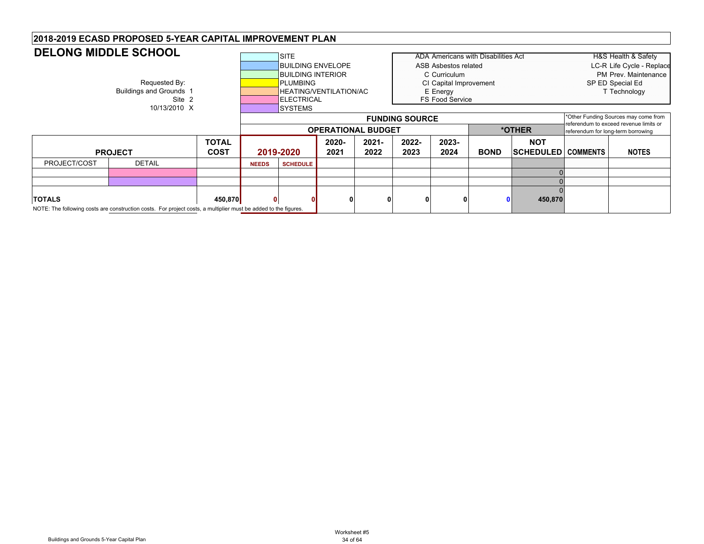#### SITEADA Americans with Disabilities Act HEAD HAS Health & Safety BUILDING ENVELOPE ASB Asbestos related LC-R Life Cycle - Replace **BUILDING INTERIOR CONSUMING CONTACT CONSUMING CONTRACT CONTRACT CONTRACT CONTRACT CONTRACT CONTRACT CONTRACT CONTRACT CONTRACT CONTRACT CONTRACT CONTRACT CONTRACT CONTRACT CONTRACT CONTRACT CONTRACT CONTRACT CONTRACT CONT** Requested By: **PLUMBING** PUMBING CI Capital Improvement SP ED Special Ed<br>Buildings and Grounds 1 Technology HEATING/VENTILATION/AC E Energy Energy Technology unds 1 **HEATING/VENTILATION/AC ENGLISITE**<br>Site 2 **HEATING** ELECTRICAL FS Food Service 10/13/2010 X SYSTEMS **TOTAL COST2020-20212021-20222022-20232023-2024 BOND NOT SCHEDULED COMMENTS NOTES** PROJECT/COST DETAIL **NEEDS SCHEDULE PROJECT 2019-2020 DELONG MIDDLE SCHOOL2018-2019 ECASD PROPOSED 5-YEAR CAPITAL IMPROVEMENT PLAN FUNDING SOURCE** \*Other Funding Sources may come from referendum to exceed revenue limits or **OPERATIONAL BUDGET** 0 $\overline{0}$ 0**TOTALS 450,870 0 0 0000 0 450,870** NOTE: The following costs are construction costs. For project costs, a multiplier must be added to the figures.

Buildings and Grounds 5-Year Capital Plan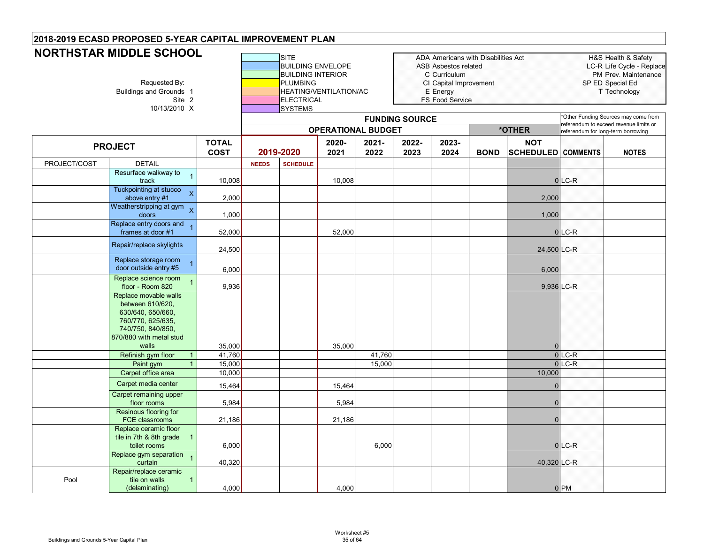| <b>NORTHSTAR MIDDLE SCHOOL</b> | Requested By:<br>Buildings and Grounds 1<br>Site 2<br>10/13/2010 X                                                                           |                             |              | <b>SITE</b><br><b>BUILDING ENVELOPE</b><br><b>BUILDING INTERIOR</b><br><b>PLUMBING</b><br><b>ELECTRICAL</b><br><b>SYSTEMS</b> | HEATING/VENTILATION/AC    |                  |                       | ADA Americans with Disabilities Act<br>ASB Asbestos related<br>C Curriculum<br>CI Capital Improvement<br>E Energy<br>FS Food Service |             |                                         |                                        | H&S Health & Safety<br>LC-R Life Cycle - Replace<br>PM Prev. Maintenance<br>SP ED Special Ed<br>T Technology |
|--------------------------------|----------------------------------------------------------------------------------------------------------------------------------------------|-----------------------------|--------------|-------------------------------------------------------------------------------------------------------------------------------|---------------------------|------------------|-----------------------|--------------------------------------------------------------------------------------------------------------------------------------|-------------|-----------------------------------------|----------------------------------------|--------------------------------------------------------------------------------------------------------------|
|                                |                                                                                                                                              |                             |              |                                                                                                                               |                           |                  | <b>FUNDING SOURCE</b> |                                                                                                                                      |             |                                         | referendum to exceed revenue limits or | *Other Funding Sources may come from                                                                         |
|                                |                                                                                                                                              |                             |              |                                                                                                                               | <b>OPERATIONAL BUDGET</b> |                  |                       |                                                                                                                                      |             | *OTHER                                  | referendum for long-term borrowing     |                                                                                                              |
|                                | <b>PROJECT</b>                                                                                                                               | <b>TOTAL</b><br><b>COST</b> |              | 2019-2020                                                                                                                     | 2020-<br>2021             | $2021 -$<br>2022 | 2022-<br>2023         | 2023-<br>2024                                                                                                                        | <b>BOND</b> | <b>NOT</b><br><b>SCHEDULED</b> COMMENTS |                                        | <b>NOTES</b>                                                                                                 |
| PROJECT/COST                   | <b>DETAIL</b>                                                                                                                                |                             | <b>NEEDS</b> | <b>SCHEDULE</b>                                                                                                               |                           |                  |                       |                                                                                                                                      |             |                                         |                                        |                                                                                                              |
|                                | Resurface walkway to<br>track                                                                                                                | 10,008                      |              |                                                                                                                               | 10,008                    |                  |                       |                                                                                                                                      |             |                                         | $0$ LC-R                               |                                                                                                              |
|                                | Tuckpointing at stucco<br>$\overline{\mathbf{x}}$<br>above entry #1                                                                          | 2,000                       |              |                                                                                                                               |                           |                  |                       |                                                                                                                                      |             | 2,000                                   |                                        |                                                                                                              |
|                                | Weatherstripping at gym $\chi$<br>doors                                                                                                      | 1,000                       |              |                                                                                                                               |                           |                  |                       |                                                                                                                                      |             | 1,000                                   |                                        |                                                                                                              |
|                                | Replace entry doors and<br>frames at door #1                                                                                                 | 52,000                      |              |                                                                                                                               | 52,000                    |                  |                       |                                                                                                                                      |             |                                         | $0$ LC-R                               |                                                                                                              |
|                                | Repair/replace skylights                                                                                                                     | 24,500                      |              |                                                                                                                               |                           |                  |                       |                                                                                                                                      |             | 24,500 LC-R                             |                                        |                                                                                                              |
|                                | Replace storage room<br>door outside entry #5                                                                                                | 6,000                       |              |                                                                                                                               |                           |                  |                       |                                                                                                                                      |             | 6,000                                   |                                        |                                                                                                              |
|                                | Replace science room<br>floor - Room 820                                                                                                     | 9,936                       |              |                                                                                                                               |                           |                  |                       |                                                                                                                                      |             | 9,936 LC-R                              |                                        |                                                                                                              |
|                                | Replace movable walls<br>between 610/620,<br>630/640, 650/660,<br>760/770, 625/635,<br>740/750, 840/850,<br>870/880 with metal stud<br>walls | 35,000                      |              |                                                                                                                               | 35,000                    |                  |                       |                                                                                                                                      |             | $\Omega$                                |                                        |                                                                                                              |
|                                | Refinish gym floor<br>$\mathbf{1}$                                                                                                           | 41,760                      |              |                                                                                                                               |                           | 41,760           |                       |                                                                                                                                      |             |                                         | $0$ LC-R                               |                                                                                                              |
|                                | Paint gym                                                                                                                                    | 15,000                      |              |                                                                                                                               |                           | 15,000           |                       |                                                                                                                                      |             |                                         | $0$ LC-R                               |                                                                                                              |
|                                | Carpet office area                                                                                                                           | 10,000                      |              |                                                                                                                               |                           |                  |                       |                                                                                                                                      |             | 10,000                                  |                                        |                                                                                                              |
|                                | Carpet media center                                                                                                                          | 15,464                      |              |                                                                                                                               | 15,464                    |                  |                       |                                                                                                                                      |             | $\Omega$                                |                                        |                                                                                                              |
|                                | Carpet remaining upper<br>floor rooms                                                                                                        | 5,984                       |              |                                                                                                                               | 5,984                     |                  |                       |                                                                                                                                      |             | $\overline{0}$                          |                                        |                                                                                                              |
|                                | Resinous flooring for<br>FCE classrooms                                                                                                      | 21,186                      |              |                                                                                                                               | 21,186                    |                  |                       |                                                                                                                                      |             | $\overline{0}$                          |                                        |                                                                                                              |
|                                | Replace ceramic floor<br>tile in 7th & 8th grade<br>toilet rooms                                                                             | 6,000                       |              |                                                                                                                               |                           | 6,000            |                       |                                                                                                                                      |             |                                         | $0$ LC-R                               |                                                                                                              |
|                                | Replace gym separation<br>curtain                                                                                                            | 40,320                      |              |                                                                                                                               |                           |                  |                       |                                                                                                                                      |             | 40,320 LC-R                             |                                        |                                                                                                              |
| Pool                           | Repair/replace ceramic<br>tile on walls<br>$\mathbf{1}$<br>(delaminating)                                                                    | 4,000                       |              |                                                                                                                               | 4,000                     |                  |                       |                                                                                                                                      |             |                                         | $0$ PM                                 |                                                                                                              |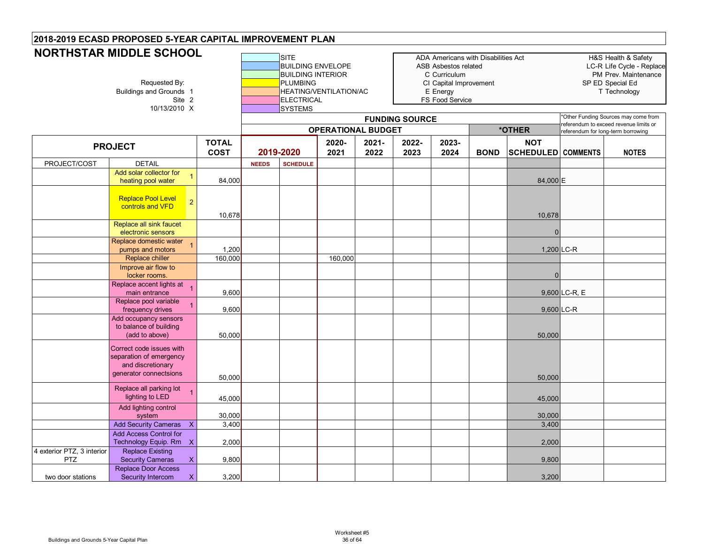|                                          | <b>NORTHSTAR MIDDLE SCHOOL</b><br>Requested By:<br>Buildings and Grounds 1<br>Site 2<br>10/13/2010 X |                             |              | <b>SITE</b><br><b>BUILDING ENVELOPE</b><br><b>BUILDING INTERIOR</b><br><b>PLUMBING</b><br><b>ELECTRICAL</b><br><b>SYSTEMS</b> | HEATING/VENTILATION/AC<br><b>OPERATIONAL BUDGET</b> |               | <b>FUNDING SOURCE</b> | ADA Americans with Disabilities Act<br>ASB Asbestos related<br>C Curriculum<br>CI Capital Improvement<br>E Energy<br>FS Food Service |             | *OTHER                                  | referendum to exceed revenue limits or<br>referendum for long-term borrowing | H&S Health & Safety<br>LC-R Life Cycle - Replace<br>PM Prev. Maintenance<br>SP ED Special Ed<br>T Technology<br>*Other Funding Sources may come from |
|------------------------------------------|------------------------------------------------------------------------------------------------------|-----------------------------|--------------|-------------------------------------------------------------------------------------------------------------------------------|-----------------------------------------------------|---------------|-----------------------|--------------------------------------------------------------------------------------------------------------------------------------|-------------|-----------------------------------------|------------------------------------------------------------------------------|------------------------------------------------------------------------------------------------------------------------------------------------------|
|                                          | <b>PROJECT</b>                                                                                       | <b>TOTAL</b><br><b>COST</b> |              | 2019-2020                                                                                                                     | 2020-<br>2021                                       | 2021-<br>2022 | 2022-<br>2023         | 2023-<br>2024                                                                                                                        | <b>BOND</b> | <b>NOT</b><br><b>SCHEDULED COMMENTS</b> |                                                                              | <b>NOTES</b>                                                                                                                                         |
| PROJECT/COST                             | <b>DETAIL</b>                                                                                        |                             | <b>NEEDS</b> | <b>SCHEDULE</b>                                                                                                               |                                                     |               |                       |                                                                                                                                      |             |                                         |                                                                              |                                                                                                                                                      |
|                                          | Add solar collector for<br>heating pool water                                                        | 84,000                      |              |                                                                                                                               |                                                     |               |                       |                                                                                                                                      |             | 84,000 E                                |                                                                              |                                                                                                                                                      |
|                                          | <b>Replace Pool Level</b><br>$\overline{2}$<br>controls and VFD                                      | 10,678                      |              |                                                                                                                               |                                                     |               |                       |                                                                                                                                      |             | 10,678                                  |                                                                              |                                                                                                                                                      |
|                                          | Replace all sink faucet<br>electronic sensors                                                        |                             |              |                                                                                                                               |                                                     |               |                       |                                                                                                                                      |             | 0                                       |                                                                              |                                                                                                                                                      |
|                                          | Replace domestic water<br>pumps and motors                                                           | 1,200                       |              |                                                                                                                               |                                                     |               |                       |                                                                                                                                      |             |                                         | $1,200$ LC-R                                                                 |                                                                                                                                                      |
|                                          | Replace chiller                                                                                      | 160,000                     |              |                                                                                                                               | 160,000                                             |               |                       |                                                                                                                                      |             |                                         |                                                                              |                                                                                                                                                      |
|                                          | Improve air flow to<br>locker rooms.                                                                 |                             |              |                                                                                                                               |                                                     |               |                       |                                                                                                                                      |             |                                         |                                                                              |                                                                                                                                                      |
|                                          | Replace accent lights at<br>main entrance                                                            | 9,600                       |              |                                                                                                                               |                                                     |               |                       |                                                                                                                                      |             |                                         | $9,600$ LC-R, E                                                              |                                                                                                                                                      |
|                                          | Replace pool variable<br>frequency drives                                                            | 9,600                       |              |                                                                                                                               |                                                     |               |                       |                                                                                                                                      |             |                                         | 9,600 LC-R                                                                   |                                                                                                                                                      |
|                                          | Add occupancy sensors<br>to balance of building<br>(add to above)                                    | 50,000                      |              |                                                                                                                               |                                                     |               |                       |                                                                                                                                      |             | 50,000                                  |                                                                              |                                                                                                                                                      |
|                                          | Correct code issues with<br>separation of emergency<br>and discretionary<br>generator connectsions   | 50,000                      |              |                                                                                                                               |                                                     |               |                       |                                                                                                                                      |             | 50,000                                  |                                                                              |                                                                                                                                                      |
|                                          | Replace all parking lot<br>lighting to LED                                                           | 45,000                      |              |                                                                                                                               |                                                     |               |                       |                                                                                                                                      |             | 45,000                                  |                                                                              |                                                                                                                                                      |
|                                          | Add lighting control<br>system                                                                       | 30,000                      |              |                                                                                                                               |                                                     |               |                       |                                                                                                                                      |             | 30,000                                  |                                                                              |                                                                                                                                                      |
|                                          | <b>Add Security Cameras</b><br>$\mathsf{X}$                                                          | 3,400                       |              |                                                                                                                               |                                                     |               |                       |                                                                                                                                      |             | 3,400                                   |                                                                              |                                                                                                                                                      |
|                                          | <b>Add Access Control for</b><br>Technology Equip. Rm X                                              | 2,000                       |              |                                                                                                                               |                                                     |               |                       |                                                                                                                                      |             | 2,000                                   |                                                                              |                                                                                                                                                      |
| 4 exterior PTZ, 3 interior<br><b>PTZ</b> | <b>Replace Existing</b><br><b>Security Cameras</b><br>$\mathsf{X}$                                   | 9,800                       |              |                                                                                                                               |                                                     |               |                       |                                                                                                                                      |             | 9,800                                   |                                                                              |                                                                                                                                                      |
| two door stations                        | <b>Replace Door Access</b><br>Security Intercom<br>X                                                 | 3,200                       |              |                                                                                                                               |                                                     |               |                       |                                                                                                                                      |             | 3,200                                   |                                                                              |                                                                                                                                                      |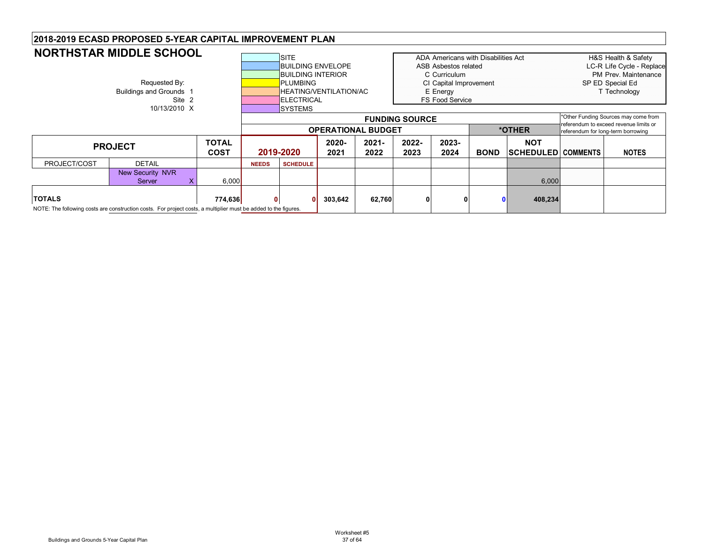|              | <b>NORTHSTAR MIDDLE SCHOOL</b> |              |              | <b>SITE</b>              |                        |                           |                       | ADA Americans with Disabilities Act |             |                           |                                    | H&S Health & Safety                    |
|--------------|--------------------------------|--------------|--------------|--------------------------|------------------------|---------------------------|-----------------------|-------------------------------------|-------------|---------------------------|------------------------------------|----------------------------------------|
|              |                                |              |              | <b>BUILDING ENVELOPE</b> |                        |                           |                       | <b>ASB Asbestos related</b>         |             |                           |                                    | LC-R Life Cycle - Replace              |
|              |                                |              |              | <b>BUILDING INTERIOR</b> |                        |                           |                       | C Curriculum                        |             |                           |                                    | PM Prev. Maintenance                   |
|              | Requested By:                  |              |              | <b>PLUMBING</b>          |                        |                           |                       | CI Capital Improvement              |             |                           |                                    | SP ED Special Ed                       |
|              | <b>Buildings and Grounds 1</b> |              |              |                          | HEATING/VENTILATION/AC |                           |                       | E Energy                            |             |                           |                                    | T Technology                           |
|              | Site 2                         |              |              | <b>ELECTRICAL</b>        |                        |                           |                       | <b>FS Food Service</b>              |             |                           |                                    |                                        |
|              | 10/13/2010 X                   |              |              | ISYSTEMS                 |                        |                           |                       |                                     |             |                           |                                    |                                        |
|              |                                |              |              |                          |                        |                           | <b>FUNDING SOURCE</b> |                                     |             |                           |                                    | *Other Funding Sources may come from   |
|              |                                |              |              |                          |                        | <b>OPERATIONAL BUDGET</b> |                       |                                     |             | *OTHER                    | referendum for long-term borrowing | referendum to exceed revenue limits or |
|              |                                | <b>TOTAL</b> |              |                          | 2020-                  | $2021 -$                  | 2022-                 | 2023-                               |             | <b>NOT</b>                |                                    |                                        |
|              | <b>PROJECT</b>                 | <b>COST</b>  |              | 2019-2020                | 2021                   | 2022                      | 2023                  | 2024                                | <b>BOND</b> | <b>SCHEDULED COMMENTS</b> |                                    | <b>NOTES</b>                           |
| PROJECT/COST | <b>DETAIL</b>                  |              | <b>NEEDS</b> | <b>SCHEDULE</b>          |                        |                           |                       |                                     |             |                           |                                    |                                        |
|              | <b>New Security NVR</b>        |              |              |                          |                        |                           |                       |                                     |             |                           |                                    |                                        |
|              |                                |              |              |                          |                        |                           |                       |                                     |             |                           |                                    |                                        |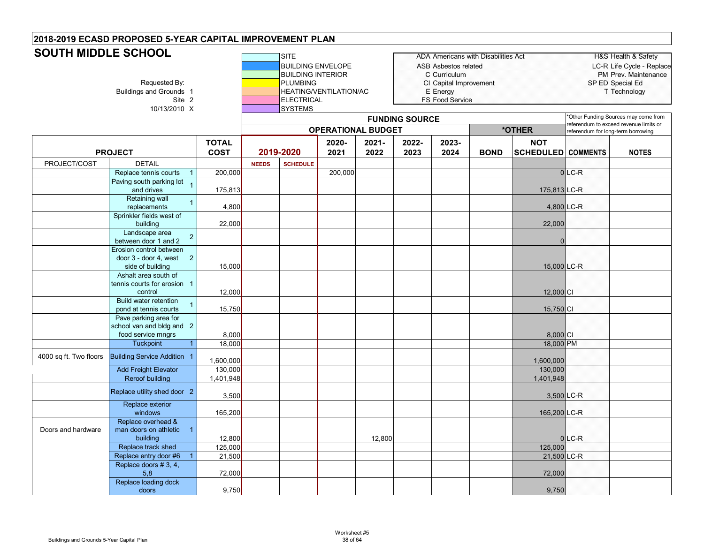# **SOUTH MIDDLE SCHOOL**

| <b>DUU I N MIDDLE SUNUUL</b> | Requested By:<br>Buildings and Grounds 1<br>Site 2<br>10/13/2010 X<br><b>TOTAL</b>     |                    |              | <b>SITE</b><br><b>BUILDING ENVELOPE</b><br><b>BUILDING INTERIOR</b><br><b>PLUMBING</b><br><b>ELECTRICAL</b><br><b>SYSTEMS</b> | HEATING/VENTILATION/AC    |               |                       | <b>ASB Asbestos related</b><br>C Curriculum<br>CI Capital Improvement<br>E Energy<br>FS Food Service | ADA Americans with Disabilities Act |                                         | SP ED Special Ed                                                             | <b>H&amp;S Health &amp; Safety</b><br>LC-R Life Cycle - Replace<br>PM Prev. Maintenance<br>T Technology |
|------------------------------|----------------------------------------------------------------------------------------|--------------------|--------------|-------------------------------------------------------------------------------------------------------------------------------|---------------------------|---------------|-----------------------|------------------------------------------------------------------------------------------------------|-------------------------------------|-----------------------------------------|------------------------------------------------------------------------------|---------------------------------------------------------------------------------------------------------|
|                              |                                                                                        |                    |              |                                                                                                                               |                           |               | <b>FUNDING SOURCE</b> |                                                                                                      |                                     |                                         | Other Funding Sources may come from<br>eferendum to exceed revenue limits or |                                                                                                         |
|                              |                                                                                        |                    |              |                                                                                                                               | <b>OPERATIONAL BUDGET</b> |               |                       |                                                                                                      |                                     | *OTHER                                  | referendum for long-term borrowing                                           |                                                                                                         |
|                              | <b>PROJECT</b>                                                                         | <b>COST</b>        |              | 2019-2020                                                                                                                     | 2020-<br>2021             | 2021-<br>2022 | 2022-<br>2023         | 2023-<br>2024                                                                                        | <b>BOND</b>                         | <b>NOT</b><br><b>SCHEDULED</b> COMMENTS |                                                                              | <b>NOTES</b>                                                                                            |
| PROJECT/COST                 | <b>DETAIL</b>                                                                          |                    | <b>NEEDS</b> | <b>SCHEDULE</b>                                                                                                               |                           |               |                       |                                                                                                      |                                     |                                         |                                                                              |                                                                                                         |
|                              | Replace tennis courts<br>$\mathbf{1}$                                                  | 200,000            |              |                                                                                                                               | 200,000                   |               |                       |                                                                                                      |                                     |                                         | $0$ LC-R                                                                     |                                                                                                         |
|                              | Paving south parking lot<br>and drives                                                 | 175,813            |              |                                                                                                                               |                           |               |                       |                                                                                                      |                                     | 175,813 LC-R                            |                                                                              |                                                                                                         |
|                              | Retaining wall<br>$\mathbf{1}$<br>replacements                                         | 4,800              |              |                                                                                                                               |                           |               |                       |                                                                                                      |                                     | 4,800 LC-R                              |                                                                              |                                                                                                         |
|                              | Sprinkler fields west of<br>building                                                   | 22,000             |              |                                                                                                                               |                           |               |                       |                                                                                                      |                                     | 22,000                                  |                                                                              |                                                                                                         |
|                              | Landscape area<br>$\sqrt{2}$<br>between door 1 and 2                                   |                    |              |                                                                                                                               |                           |               |                       |                                                                                                      |                                     |                                         |                                                                              |                                                                                                         |
|                              | Erosion control between<br>door 3 - door 4, west<br>$\overline{2}$<br>side of building | 15,000             |              |                                                                                                                               |                           |               |                       |                                                                                                      |                                     | 15,000 LC-R                             |                                                                              |                                                                                                         |
|                              | Ashalt area south of<br>tennis courts for erosion 1<br>control                         | 12,000             |              |                                                                                                                               |                           |               |                       |                                                                                                      |                                     | 12,000 CI                               |                                                                              |                                                                                                         |
|                              | Build water retention<br>$\overline{1}$<br>pond at tennis courts                       | 15,750             |              |                                                                                                                               |                           |               |                       |                                                                                                      |                                     | 15,750 CI                               |                                                                              |                                                                                                         |
|                              | Pave parking area for<br>school van and bldg and 2<br>food service mngrs               | 8,000              |              |                                                                                                                               |                           |               |                       |                                                                                                      |                                     | 8,000 CI                                |                                                                              |                                                                                                         |
|                              | Tuckpoint<br>$\overline{1}$                                                            | 18,000             |              |                                                                                                                               |                           |               |                       |                                                                                                      |                                     | 18,000 PM                               |                                                                              |                                                                                                         |
| 4000 sq ft. Two floors       | <b>Building Service Addition 1</b>                                                     | 1,600,000          |              |                                                                                                                               |                           |               |                       |                                                                                                      |                                     | 1,600,000                               |                                                                              |                                                                                                         |
|                              | <b>Add Freight Elevator</b>                                                            | 130,000            |              |                                                                                                                               |                           |               |                       |                                                                                                      |                                     | 130,000                                 |                                                                              |                                                                                                         |
|                              | <b>Reroof building</b><br>Replace utility shed door 2                                  | 1,401,948<br>3,500 |              |                                                                                                                               |                           |               |                       |                                                                                                      |                                     | 1,401,948<br>3,500 LC-R                 |                                                                              |                                                                                                         |
|                              | Replace exterior<br>windows                                                            | 165,200            |              |                                                                                                                               |                           |               |                       |                                                                                                      |                                     | 165,200 LC-R                            |                                                                              |                                                                                                         |
| Doors and hardware           | Replace overhead &<br>man doors on athletic 1<br>building                              | 12,800             |              |                                                                                                                               |                           | 12,800        |                       |                                                                                                      |                                     |                                         | $0$ <sub>LC-R</sub>                                                          |                                                                                                         |
|                              | Replace track shed<br>Replace entry door #6<br>$\overline{1}$                          | 125,000<br>21,500  |              |                                                                                                                               |                           |               |                       |                                                                                                      |                                     | 125,000<br>21,500 LC-R                  |                                                                              |                                                                                                         |
|                              | Replace doors #3, 4,<br>5,8                                                            | 72,000             |              |                                                                                                                               |                           |               |                       |                                                                                                      |                                     | 72,000                                  |                                                                              |                                                                                                         |
|                              | Replace loading dock<br>doors                                                          | 9,750              |              |                                                                                                                               |                           |               |                       |                                                                                                      |                                     | 9,750                                   |                                                                              |                                                                                                         |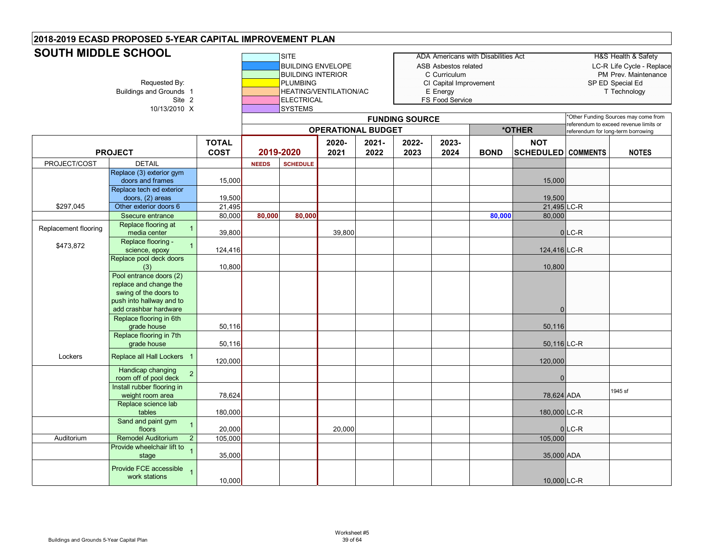#### **SITE** ADA Americans with Disabilities Act Health & Safety H&S Health & Safety BUILDING ENVELOPE **ASB** Asbestos related LC-R Life Cycle - Replace BUILDING INTERIOR **COULDING INTERIOR** COULDING COULDING THE COULDING INTERIOR Requested By: **PLUMBING** PUMBING CI Capital Improvement SP ED Special Ed<br>Buildings and Grounds 1 **Example Addings and Grounds 1** Technology HEATING/VENTILATION/AC E Energy Site 2 **ELECTRICAL** FS Food Service 10/13/2010 X SYSTEMS **TOTAL COST2020-20212021-20222022-20232023-2024 BOND NOT SCHEDULED COMMENTS NOTES** PROJECT/COST **DETAIL NEEDS SCHEDULE PROJECT 2019-2020 OPERATIONAL BUDGETSOUTH MIDDLE SCHOOLFUNDING SOURCE** \*Other Funding Sources may come from referendum to exceed revenue limits or **\*OTHER** referendum for long-term borrowing Replace (3) exterior gym doors and frames 15,000 15,000 15,000 15,000 15,000 15,000 15,000 15,000 15,000 15,000 15,000 15,000 15,000 15,000 15,000 15,000 15,000 15,000 15,000 15,000 15,000 15,000 15,000 15,000 15,000 15,000 15,000 15,000 15,000 15 Replace tech ed exterior doors, (2) areas 19,500 **19,000 19,000 19,000 19,000 19,500** 19,500 19,500 i \$297,045 Other exterior doors 6 21,495 21,495 LC-R Ssecure entrance 80,000 **80,000 80,000 80,000** 80,000 Replacement flooring **Replace flooring at The Replace flooring at** media center ум. 1 39,800 39.800 39,800 39.900 39.900 39.900 39.900 39.900 39.900 39.900 39.900 39.900 39.900 39.900 39.900 \$473,872 Replace flooring - science, epoxy <sup>1</sup> 124,416 124,416 LC-R Replace pool deck doors<br>(3) (3) 10,800 10,800 Pool entrance doors (2) replace and change the swing of the doors to push into hallway and to add crashbar hardware 0Replace flooring in 6th grade house | 50,116 | | | | | | | 50,116 Replace flooring in 7th grade house | 50,116 **| | | | | |** 50,116 |LC-R Lockers Replace all Hall Lockers <sup>1</sup> 120,000 120,000 Handicap changing room off of pool deck 2 0<br>The computation of the computation of the computation of the computation of the computation of the computation<br>The computation of the computation of the computation of the computation of the compu Install rubber flooring in weight room area 78,624 78,624 ADA 1945 sf Replace science lab tables 180,000 180,000 LC-R Sand and paint gym floors<sub>s</sub> 1 20,000 | 20,000 | 20,000 | 20,000 | 20,000 | 20,000 | 20,000 | 20,000 | 20,000 | 20,000 | 20,000 | 20,000 | Auditorium | Remodel Auditorium 2 | 105,000 | | | | | | | | | | | | | | 105,000 Provide wheelchair lift to stage <sup>1</sup> 35,000 35,000 ADA Provide FCE accessible work stations<sup>1</sup> 10,000 10,000 LC-R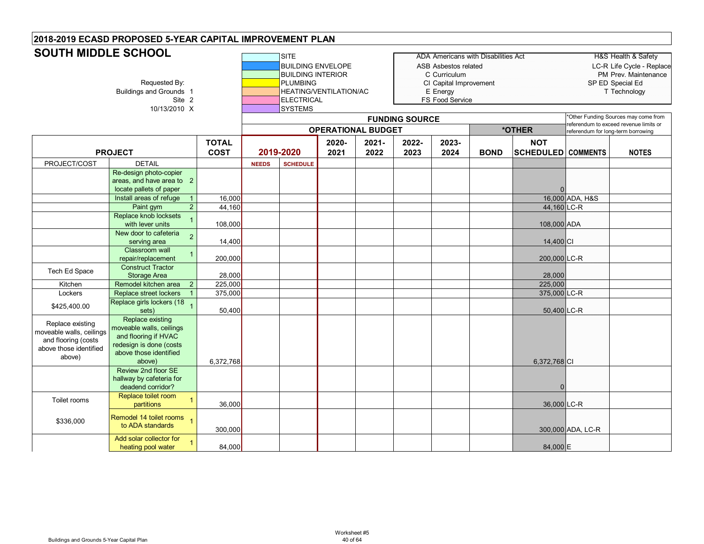# **SOUTH MIDDLE SCHOOL**

| <b>SUUTH MIDDLE SUNUUL</b>                                                                              | Requested By:<br>Buildings and Grounds 1<br>Site 2<br>10/13/2010 X                                                                  |                             |              |                 | <b>BUILDING ENVELOPE</b><br><b>BUILDING INTERIOR</b><br>HEATING/VENTILATION/AC<br>ELECTRICAL |               |                       | ASB Asbestos related<br>C Curriculum<br>CI Capital Improvement<br>E Energy<br>FS Food Service | <b>ADA Americans with Disabilities Act</b> |                                         | SP ED Special Ed                                                            | <b>H&amp;S Health &amp; Safety</b><br>LC-R Life Cycle - Replace<br>PM Prev. Maintenance<br>T Technology |
|---------------------------------------------------------------------------------------------------------|-------------------------------------------------------------------------------------------------------------------------------------|-----------------------------|--------------|-----------------|----------------------------------------------------------------------------------------------|---------------|-----------------------|-----------------------------------------------------------------------------------------------|--------------------------------------------|-----------------------------------------|-----------------------------------------------------------------------------|---------------------------------------------------------------------------------------------------------|
|                                                                                                         |                                                                                                                                     |                             |              | <b>SYSTEMS</b>  |                                                                                              |               | <b>FUNDING SOURCE</b> |                                                                                               |                                            |                                         | Other Funding Sources may come from                                         |                                                                                                         |
|                                                                                                         |                                                                                                                                     |                             |              |                 | <b>OPERATIONAL BUDGET</b>                                                                    |               |                       |                                                                                               |                                            | *OTHER                                  | eferendum to exceed revenue limits or<br>referendum for long-term borrowing |                                                                                                         |
|                                                                                                         | <b>PROJECT</b>                                                                                                                      | <b>TOTAL</b><br><b>COST</b> |              | 2019-2020       | 2020-<br>2021                                                                                | 2021-<br>2022 | 2022-<br>2023         | 2023-<br>2024                                                                                 | <b>BOND</b>                                | <b>NOT</b><br><b>SCHEDULED COMMENTS</b> |                                                                             | <b>NOTES</b>                                                                                            |
| PROJECT/COST                                                                                            | <b>DETAIL</b>                                                                                                                       |                             | <b>NEEDS</b> | <b>SCHEDULE</b> |                                                                                              |               |                       |                                                                                               |                                            |                                         |                                                                             |                                                                                                         |
|                                                                                                         | Re-design photo-copier<br>areas, and have area to 2<br>locate pallets of paper                                                      |                             |              |                 |                                                                                              |               |                       |                                                                                               |                                            |                                         |                                                                             |                                                                                                         |
|                                                                                                         | Install areas of refuge                                                                                                             | 16,000                      |              |                 |                                                                                              |               |                       |                                                                                               |                                            |                                         | 16,000 ADA, H&S                                                             |                                                                                                         |
|                                                                                                         | $\overline{a}$<br>Paint gym                                                                                                         | 44,160                      |              |                 |                                                                                              |               |                       |                                                                                               |                                            | 44,160 LC-R                             |                                                                             |                                                                                                         |
|                                                                                                         | Replace knob locksets<br>with lever units                                                                                           | 108,000                     |              |                 |                                                                                              |               |                       |                                                                                               |                                            | 108,000 ADA                             |                                                                             |                                                                                                         |
|                                                                                                         | New door to cafeteria<br>$\overline{2}$<br>serving area                                                                             | 14,400                      |              |                 |                                                                                              |               |                       |                                                                                               |                                            | 14,400 CI                               |                                                                             |                                                                                                         |
|                                                                                                         | <b>Classroom wall</b><br>repair/replacement                                                                                         | 200,000                     |              |                 |                                                                                              |               |                       |                                                                                               |                                            | 200,000 LC-R                            |                                                                             |                                                                                                         |
| Tech Ed Space                                                                                           | <b>Construct Tractor</b><br><b>Storage Area</b>                                                                                     | 28,000                      |              |                 |                                                                                              |               |                       |                                                                                               |                                            | 28,000                                  |                                                                             |                                                                                                         |
| Kitchen                                                                                                 | $\overline{2}$<br>Remodel kitchen area                                                                                              | 225,000                     |              |                 |                                                                                              |               |                       |                                                                                               |                                            | 225,000                                 |                                                                             |                                                                                                         |
| Lockers                                                                                                 | Replace street lockers                                                                                                              | 375,000                     |              |                 |                                                                                              |               |                       |                                                                                               |                                            | 375,000 LC-R                            |                                                                             |                                                                                                         |
| \$425,400.00                                                                                            | Replace girls lockers (18<br>sets)                                                                                                  | 50,400                      |              |                 |                                                                                              |               |                       |                                                                                               |                                            | 50,400 LC-R                             |                                                                             |                                                                                                         |
| Replace existing<br>moveable walls, ceilings<br>and flooring (costs<br>above those identified<br>above) | Replace existing<br>moveable walls, ceilings<br>and flooring if HVAC<br>redesign is done (costs<br>above those identified<br>above) | 6,372,768                   |              |                 |                                                                                              |               |                       |                                                                                               |                                            | 6,372,768 CI                            |                                                                             |                                                                                                         |
|                                                                                                         | Review 2nd floor SE<br>hallway by cafeteria for<br>deadend corridor?                                                                |                             |              |                 |                                                                                              |               |                       |                                                                                               |                                            | $\Omega$                                |                                                                             |                                                                                                         |
| Toilet rooms                                                                                            | Replace toilet room<br>$\overline{1}$<br>partitions                                                                                 | 36,000                      |              |                 |                                                                                              |               |                       |                                                                                               |                                            | 36,000 LC-R                             |                                                                             |                                                                                                         |
| \$336,000                                                                                               | Remodel 14 toilet rooms 1<br>to ADA standards                                                                                       | 300,000                     |              |                 |                                                                                              |               |                       |                                                                                               |                                            |                                         | 300,000 ADA, LC-R                                                           |                                                                                                         |
|                                                                                                         | Add solar collector for<br>$\overline{1}$<br>heating pool water                                                                     | 84,000                      |              |                 |                                                                                              |               |                       |                                                                                               |                                            | 84,000 E                                |                                                                             |                                                                                                         |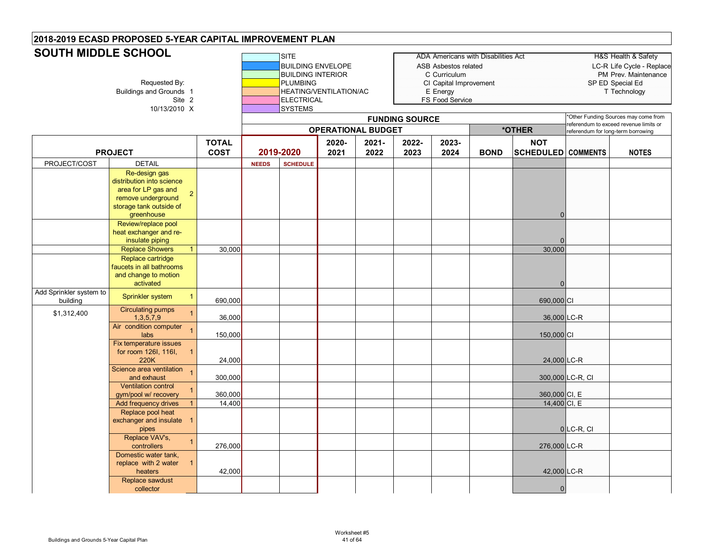#### **SITE** ADA Americans with Disabilities Act HEAD HAS Health & Safety BUILDING ENVELOPE ASB Asbestos related LC-R Life Cycle - Replace BUILDING INTERIOR **COULDING INTERIOR** COULDING COULDING THE COULDING INTERIOR Requested By: **PLUMBING** PUMBING CI Capital Improvement SP ED Special Ed<br>Buildings and Grounds 1 **Example Addings and Grounds 1** Technology HEATING/VENTILATION/AC E Energy Site 2 **ELECTRICAL** FS Food Service 10/13/2010 X SYSTEMS **TOTAL COST2020-20212021-20222022-20232023-2024 BOND NOT SCHEDULED COMMENTS NOTES** PROJECT/COST **DETAIL NEEDS SCHEDULE PROJECT 2019-2020 OPERATIONAL BUDGETSOUTH MIDDLE SCHOOLFUNDING SOURCE** \*Other Funding Sources may come from referendum to exceed revenue limits or **\*OTHER** referendum for long-term borrowing Re-design gas distribution into science area for LP gas and remove underground storage tank outside of greenhouse 20Review/replace pool heat exchanger and re-<br>insulate piping insulate piping 0 Replace Showers 1 30,000 30,000 Replace cartridge faucets in all bathrooms and change to motion activated 0Add Sprinkler system to huilding Sprinkler system 1 690,000 CI | | | | | | | | | | | | | 690,000 CI | | | | 690,000 CI \$1,312,400 Circulating pumps 1,3,5,7,9 <sup>1</sup> 36,000 36,000 LC-R Air condition computer labs <sup>1</sup> 150,000 150,000 CI Fix temperature issues for room 126I, 116I, 220K124,000 **24,000 CD** Science area ventilation and exhaust1 300,000 | | | | | | | | | 300,000 LC-R, CI Ventilation control gym/pool w/ recovery <sup>1</sup> 360,000 360,000 CI, E Add frequency drives 1 14,400 **14,400** 14,400 **14,400 CI, E** Replace pool heat exchanger and insulate 1 pipes 0 LC-R, CI Replace VAV's, controllers。", 1 | <sub>276,000</sub> | | | | | | | <sub>276,000</sub> |∟C-R Domestic water tank, replace with 2 water heaters142,000 | | | | | | | | | 42,000 LC-R Replace sawdust collector0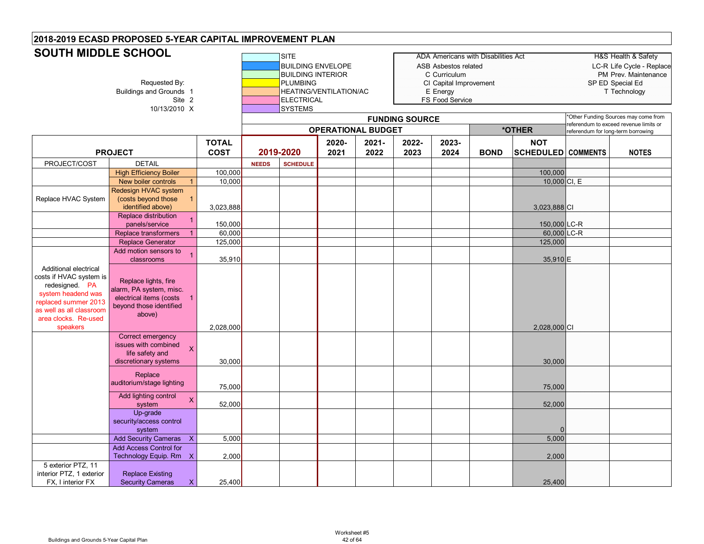# **SOUTH MIDDLE SCHOOL**

| <b>SUUTH MIDDLE SUHUUL</b>                                                                                                                                                       | Requested By:<br>Buildings and Grounds 1<br>Site 2<br>10/13/2010 X                                                                |              |              | SITE<br><b>BUILDING ENVELOPE</b><br><b>BUILDING INTERIOR</b><br><b>PLUMBING</b><br><b>ELECTRICAL</b><br><b>SYSTEMS</b> | HEATING/VENTILATION/AC<br><b>OPERATIONAL BUDGET</b> |          | <b>FUNDING SOURCE</b> | ASB Asbestos related<br>C Curriculum<br>CI Capital Improvement<br>E Energy<br>FS Food Service | <b>ADA Americans with Disabilities Act</b> | *OTHER                    | SP ED Special Ed<br>'Other Funding Sources may come from<br>eferendum to exceed revenue limits or | H&S Health & Safety<br>LC-R Life Cycle - Replace<br>PM Prev. Maintenance<br>T Technology |
|----------------------------------------------------------------------------------------------------------------------------------------------------------------------------------|-----------------------------------------------------------------------------------------------------------------------------------|--------------|--------------|------------------------------------------------------------------------------------------------------------------------|-----------------------------------------------------|----------|-----------------------|-----------------------------------------------------------------------------------------------|--------------------------------------------|---------------------------|---------------------------------------------------------------------------------------------------|------------------------------------------------------------------------------------------|
|                                                                                                                                                                                  |                                                                                                                                   | <b>TOTAL</b> |              |                                                                                                                        | 2020-                                               | $2021 -$ | 2022-                 | 2023-                                                                                         |                                            | <b>NOT</b>                | referendum for long-term borrowing                                                                |                                                                                          |
|                                                                                                                                                                                  | <b>PROJECT</b>                                                                                                                    | <b>COST</b>  |              | 2019-2020                                                                                                              | 2021                                                | 2022     | 2023                  | 2024                                                                                          | <b>BOND</b>                                | <b>SCHEDULED COMMENTS</b> |                                                                                                   | <b>NOTES</b>                                                                             |
| PROJECT/COST                                                                                                                                                                     | <b>DETAIL</b>                                                                                                                     |              | <b>NEEDS</b> | <b>SCHEDULE</b>                                                                                                        |                                                     |          |                       |                                                                                               |                                            |                           |                                                                                                   |                                                                                          |
|                                                                                                                                                                                  | <b>High Efficiency Boiler</b>                                                                                                     | 100,000      |              |                                                                                                                        |                                                     |          |                       |                                                                                               |                                            | 100,000                   |                                                                                                   |                                                                                          |
|                                                                                                                                                                                  | New boiler controls<br>$\mathbf{1}$                                                                                               | 10,000       |              |                                                                                                                        |                                                     |          |                       |                                                                                               |                                            | 10,000 CI, E              |                                                                                                   |                                                                                          |
| Replace HVAC System                                                                                                                                                              | Redesign HVAC system<br>(costs beyond those<br>$\overline{1}$<br>identified above)                                                | 3,023,888    |              |                                                                                                                        |                                                     |          |                       |                                                                                               |                                            | 3,023,888 CI              |                                                                                                   |                                                                                          |
|                                                                                                                                                                                  | Replace distribution<br>$\mathbf{1}$<br>panels/service                                                                            | 150,000      |              |                                                                                                                        |                                                     |          |                       |                                                                                               |                                            | 150,000 LC-R              |                                                                                                   |                                                                                          |
|                                                                                                                                                                                  | Replace transformers<br>$\overline{1}$                                                                                            | 60,000       |              |                                                                                                                        |                                                     |          |                       |                                                                                               |                                            | 60,000 LC-R               |                                                                                                   |                                                                                          |
|                                                                                                                                                                                  | <b>Replace Generator</b>                                                                                                          | 125,000      |              |                                                                                                                        |                                                     |          |                       |                                                                                               |                                            | 125,000                   |                                                                                                   |                                                                                          |
|                                                                                                                                                                                  | Add motion sensors to<br>$\overline{1}$<br>classrooms                                                                             | 35,910       |              |                                                                                                                        |                                                     |          |                       |                                                                                               |                                            | 35,910 E                  |                                                                                                   |                                                                                          |
| Additional electrical<br>costs if HVAC system is<br>redesigned. PA<br>system headend was<br>replaced summer 2013<br>as well as all classroom<br>area clocks. Re-used<br>speakers | Replace lights, fire<br>alarm, PA system, misc.<br>electrical items (costs<br>$\overline{1}$<br>beyond those identified<br>above) | 2,028,000    |              |                                                                                                                        |                                                     |          |                       |                                                                                               |                                            | 2,028,000 CI              |                                                                                                   |                                                                                          |
|                                                                                                                                                                                  | Correct emergency<br>issues with combined<br>$\overline{\mathsf{X}}$<br>life safety and<br>discretionary systems                  | 30,000       |              |                                                                                                                        |                                                     |          |                       |                                                                                               |                                            | 30,000                    |                                                                                                   |                                                                                          |
|                                                                                                                                                                                  | Replace<br>auditorium/stage lighting                                                                                              | 75,000       |              |                                                                                                                        |                                                     |          |                       |                                                                                               |                                            | 75,000                    |                                                                                                   |                                                                                          |
|                                                                                                                                                                                  | Add lighting control<br>$\overline{\mathsf{X}}$<br>system                                                                         | 52,000       |              |                                                                                                                        |                                                     |          |                       |                                                                                               |                                            | 52,000                    |                                                                                                   |                                                                                          |
|                                                                                                                                                                                  | Up-grade<br>security/access control<br>system                                                                                     |              |              |                                                                                                                        |                                                     |          |                       |                                                                                               |                                            |                           |                                                                                                   |                                                                                          |
|                                                                                                                                                                                  | <b>Add Security Cameras</b><br>$\boldsymbol{\mathsf{X}}$                                                                          | 5,000        |              |                                                                                                                        |                                                     |          |                       |                                                                                               |                                            | 5,000                     |                                                                                                   |                                                                                          |
|                                                                                                                                                                                  | <b>Add Access Control for</b><br>Technology Equip. Rm X                                                                           | 2,000        |              |                                                                                                                        |                                                     |          |                       |                                                                                               |                                            | 2,000                     |                                                                                                   |                                                                                          |
| 5 exterior PTZ, 11<br>interior PTZ, 1 exterior<br>FX, I interior FX                                                                                                              | <b>Replace Existing</b><br><b>Security Cameras</b><br>X.                                                                          | 25,400       |              |                                                                                                                        |                                                     |          |                       |                                                                                               |                                            | 25,400                    |                                                                                                   |                                                                                          |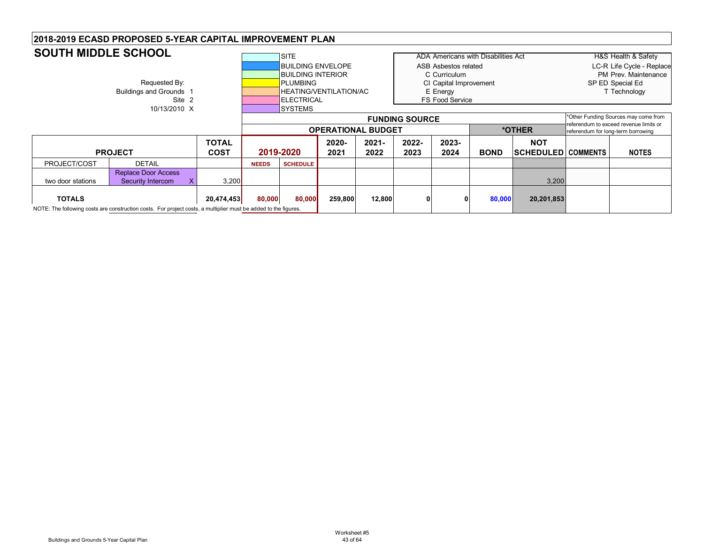| <b>SOUTH MIDDLE SCHOOL</b> |                                                                                                                 |              |                           | <b>SITE</b>              |          |          |                       |                                    | <b>ADA Americans with Disabilities Act</b> |                           | H&S Health & Safety                    |
|----------------------------|-----------------------------------------------------------------------------------------------------------------|--------------|---------------------------|--------------------------|----------|----------|-----------------------|------------------------------------|--------------------------------------------|---------------------------|----------------------------------------|
|                            |                                                                                                                 |              |                           | <b>BUILDING ENVELOPE</b> |          |          |                       | ASB Asbestos related               |                                            |                           | LC-R Life Cycle - Replace              |
|                            |                                                                                                                 |              |                           | <b>BUILDING INTERIOR</b> |          |          |                       | C Curriculum                       |                                            |                           | PM Prev. Maintenance                   |
|                            | Requested By:                                                                                                   |              |                           | <b>PLUMBING</b>          |          |          |                       | CI Capital Improvement             |                                            |                           | SP ED Special Ed                       |
|                            | Buildings and Grounds 1                                                                                         |              |                           | HEATING/VENTILATION/AC   |          |          |                       | E Energy                           |                                            |                           | T Technology                           |
|                            | Site 2                                                                                                          |              |                           | <b>IELECTRICAL</b>       |          |          |                       | <b>FS Food Service</b>             |                                            |                           |                                        |
|                            | 10/13/2010 X                                                                                                    |              |                           | <b>ISYSTEMS</b>          |          |          |                       |                                    |                                            |                           |                                        |
|                            |                                                                                                                 |              |                           |                          |          |          | <b>FUNDING SOURCE</b> |                                    |                                            |                           | *Other Funding Sources may come from   |
|                            |                                                                                                                 |              |                           |                          |          |          |                       |                                    |                                            | *OTHER                    | referendum to exceed revenue limits or |
|                            |                                                                                                                 |              | <b>OPERATIONAL BUDGET</b> |                          |          |          |                       | referendum for long-term borrowing |                                            |                           |                                        |
|                            |                                                                                                                 | <b>TOTAL</b> |                           |                          | $2020 -$ | $2021 -$ | 2022-                 | 2023-                              |                                            | <b>NOT</b>                |                                        |
|                            | <b>PROJECT</b>                                                                                                  | <b>COST</b>  |                           | 2019-2020                | 2021     | 2022     | 2023                  | 2024                               | <b>BOND</b>                                | <b>SCHEDULED COMMENTS</b> | <b>NOTES</b>                           |
| PROJECT/COST               | <b>DETAIL</b>                                                                                                   |              | <b>NEEDS</b>              | <b>SCHEDULE</b>          |          |          |                       |                                    |                                            |                           |                                        |
|                            | <b>Replace Door Access</b>                                                                                      |              |                           |                          |          |          |                       |                                    |                                            |                           |                                        |
| two door stations          | Security Intercom                                                                                               | 3,200        |                           |                          |          |          |                       |                                    |                                            | 3,200                     |                                        |
|                            |                                                                                                                 |              |                           |                          |          |          |                       |                                    |                                            |                           |                                        |
| <b>TOTALS</b>              |                                                                                                                 | 20,474,453   | 80,000                    | 80,000                   | 259,800  | 12,800   | 01                    |                                    | 80,000                                     | 20,201,853                |                                        |
|                            | NOTE: The following costs are construction costs. For project costs, a multiplier must be added to the figures. |              |                           |                          |          |          |                       |                                    |                                            |                           |                                        |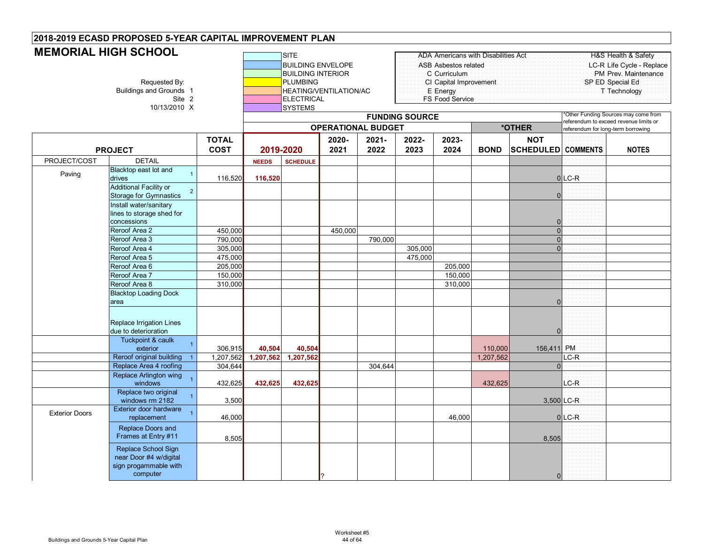|                       | <u>MEMORIAL HIJH JOHOUL</u><br>Requested By:<br>Buildings and Grounds 1<br>Site 2<br>10/13/2010 X |                             |                     | <b>ISITE</b><br><b>BUILDING ENVELOPE</b><br><b>BUILDING INTERIOR</b><br><b>PLUMBING</b><br><b>ELECTRICAL</b><br><b>SYSTEMS</b> | HEATING/VENTILATION/AC    |                  |                       | <b>ASB Asbestos related</b><br>C Curriculum<br>CI Capital Improvement<br>E Energy<br>FS Food Service | ADA Americans with Disabilities Act |                                         |                                    | H&S Health & Safety<br>LC-R Life Cycle - Replace<br>PM Prev. Maintenance<br>SP ED Special Ed<br>T Technology |
|-----------------------|---------------------------------------------------------------------------------------------------|-----------------------------|---------------------|--------------------------------------------------------------------------------------------------------------------------------|---------------------------|------------------|-----------------------|------------------------------------------------------------------------------------------------------|-------------------------------------|-----------------------------------------|------------------------------------|--------------------------------------------------------------------------------------------------------------|
|                       |                                                                                                   |                             |                     |                                                                                                                                |                           |                  | <b>FUNDING SOURCE</b> |                                                                                                      |                                     |                                         |                                    | Other Funding Sources may come from<br>referendum to exceed revenue limits or                                |
|                       |                                                                                                   |                             |                     |                                                                                                                                | <b>OPERATIONAL BUDGET</b> |                  |                       |                                                                                                      |                                     | *OTHER                                  | referendum for long-term borrowing |                                                                                                              |
|                       | <b>PROJECT</b>                                                                                    | <b>TOTAL</b><br><b>COST</b> | 2019-2020           |                                                                                                                                | 2020-<br>2021             | $2021 -$<br>2022 | 2022-<br>2023         | 2023-<br>2024                                                                                        | <b>BOND</b>                         | <b>NOT</b><br><b>SCHEDULED COMMENTS</b> |                                    | <b>NOTES</b>                                                                                                 |
| PROJECT/COST          | <b>DETAIL</b>                                                                                     |                             | <b>NEEDS</b>        | <b>SCHEDULE</b>                                                                                                                |                           |                  |                       |                                                                                                      |                                     |                                         |                                    |                                                                                                              |
| Paving                | Blacktop east lot and<br>$\overline{1}$<br>drives                                                 | 116,520                     | 116,520             |                                                                                                                                |                           |                  |                       |                                                                                                      |                                     |                                         | $0$ LC-R                           |                                                                                                              |
|                       | <b>Additional Facility or</b><br>$\overline{2}$<br><b>Storage for Gymnastics</b>                  |                             |                     |                                                                                                                                |                           |                  |                       |                                                                                                      |                                     | $\Omega$                                |                                    |                                                                                                              |
|                       | Install water/sanitary<br>lines to storage shed for<br>concessions                                |                             |                     |                                                                                                                                |                           |                  |                       |                                                                                                      |                                     |                                         |                                    |                                                                                                              |
|                       | Reroof Area 2                                                                                     | 450,000                     |                     |                                                                                                                                | 450,000                   |                  |                       |                                                                                                      |                                     | $\Omega$                                |                                    |                                                                                                              |
|                       | Reroof Area 3                                                                                     | 790,000                     |                     |                                                                                                                                |                           | 790,000          |                       |                                                                                                      |                                     | $\Omega$                                |                                    |                                                                                                              |
|                       | Reroof Area 4                                                                                     | 305,000                     |                     |                                                                                                                                |                           |                  | 305,000               |                                                                                                      |                                     | $\Omega$                                |                                    |                                                                                                              |
|                       | Reroof Area 5                                                                                     | 475.000                     |                     |                                                                                                                                |                           |                  | 475,000               |                                                                                                      |                                     |                                         |                                    |                                                                                                              |
|                       | Reroof Area 6                                                                                     | 205,000                     |                     |                                                                                                                                |                           |                  |                       | 205,000                                                                                              |                                     |                                         |                                    |                                                                                                              |
|                       | Reroof Area 7                                                                                     | 150,000                     |                     |                                                                                                                                |                           |                  |                       | 150,000                                                                                              |                                     |                                         |                                    |                                                                                                              |
|                       | Reroof Area 8                                                                                     | 310,000                     |                     |                                                                                                                                |                           |                  |                       | 310,000                                                                                              |                                     |                                         |                                    |                                                                                                              |
|                       | <b>Blacktop Loading Dock</b><br>area                                                              |                             |                     |                                                                                                                                |                           |                  |                       |                                                                                                      |                                     | 0                                       |                                    |                                                                                                              |
|                       | Replace Irrigation Lines<br>due to deterioration                                                  |                             |                     |                                                                                                                                |                           |                  |                       |                                                                                                      |                                     | $\Omega$                                |                                    |                                                                                                              |
|                       | Tuckpoint & caulk<br>1                                                                            |                             |                     |                                                                                                                                |                           |                  |                       |                                                                                                      |                                     |                                         |                                    |                                                                                                              |
|                       | exterior<br>Reroof original building                                                              | 306,915<br>1,207,562        | 40,504<br>1,207,562 | 40,504<br>1,207,562                                                                                                            |                           |                  |                       |                                                                                                      | 110,000<br>1,207,562                | 156,411 PM                              | $LC-R$                             |                                                                                                              |
|                       | Replace Area 4 roofing                                                                            | 304,644                     |                     |                                                                                                                                |                           | 304,644          |                       |                                                                                                      |                                     | $\Omega$                                |                                    |                                                                                                              |
|                       | <b>Replace Arlington wing</b>                                                                     |                             |                     |                                                                                                                                |                           |                  |                       |                                                                                                      |                                     |                                         |                                    |                                                                                                              |
|                       | windows                                                                                           | 432,625                     | 432,625             | 432,625                                                                                                                        |                           |                  |                       |                                                                                                      | 432,625                             |                                         | $LC-R$                             |                                                                                                              |
|                       | Replace two original<br>windows rm 2182                                                           | 3,500                       |                     |                                                                                                                                |                           |                  |                       |                                                                                                      |                                     | 3,500 LC-R                              |                                    |                                                                                                              |
| <b>Exterior Doors</b> | <b>Exterior door hardware</b><br>replacement                                                      | 46,000                      |                     |                                                                                                                                |                           |                  |                       | 46,000                                                                                               |                                     |                                         | $0$ LC-R                           |                                                                                                              |
|                       | Replace Doors and<br>Frames at Entry #11                                                          | 8,505                       |                     |                                                                                                                                |                           |                  |                       |                                                                                                      |                                     | 8,505                                   |                                    |                                                                                                              |
|                       | Replace School Sign<br>near Door #4 w/digital<br>sign progammable with<br>computer                |                             |                     |                                                                                                                                |                           |                  |                       |                                                                                                      |                                     | $\Omega$                                |                                    |                                                                                                              |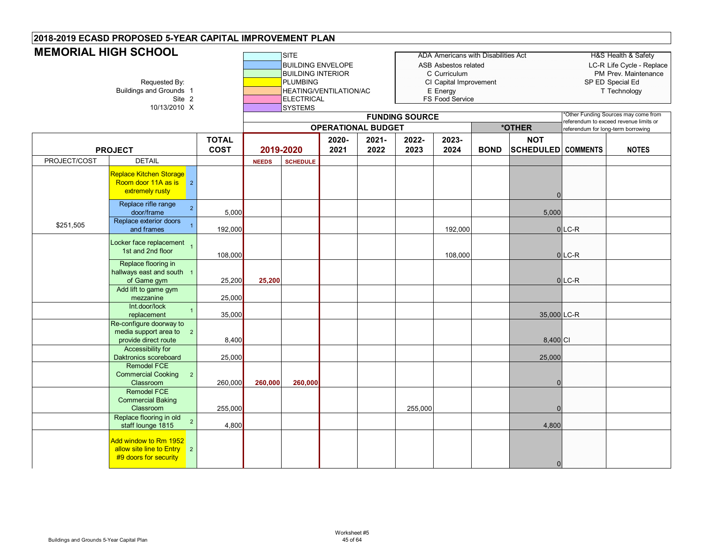| <u>MEMONIAL TIIOH JOHOOL</u> | Requested By:<br>Buildings and Grounds 1<br>Site 2<br>10/13/2010 X                         |                             |              | <b>ISITE</b><br><b>BUILDING ENVELOPE</b><br><b>BUILDING INTERIOR</b><br><b>PLUMBING</b><br>HEATING/VENTILATION/AC<br><b>ELECTRICAL</b><br><b>SYSTEMS</b> |                           |               | <b>FUNDING SOURCE</b> | ADA Americans with Disabilities Act<br>ASB Asbestos related<br>C Curriculum<br>CI Capital Improvement<br>E Energy<br>FS Food Service |             |                                         |                                    | H&S Health & Safety<br>LC-R Life Cycle - Replace<br>PM Prev. Maintenance<br>SP ED Special Ed<br>T Technology<br>Other Funding Sources may come from<br>referendum to exceed revenue limits or |
|------------------------------|--------------------------------------------------------------------------------------------|-----------------------------|--------------|----------------------------------------------------------------------------------------------------------------------------------------------------------|---------------------------|---------------|-----------------------|--------------------------------------------------------------------------------------------------------------------------------------|-------------|-----------------------------------------|------------------------------------|-----------------------------------------------------------------------------------------------------------------------------------------------------------------------------------------------|
|                              |                                                                                            |                             |              |                                                                                                                                                          | <b>OPERATIONAL BUDGET</b> |               |                       |                                                                                                                                      |             | *OTHER                                  | referendum for long-term borrowing |                                                                                                                                                                                               |
|                              | <b>PROJECT</b>                                                                             | <b>TOTAL</b><br><b>COST</b> |              | 2019-2020                                                                                                                                                | 2020-<br>2021             | 2021-<br>2022 | 2022-<br>2023         | 2023-<br>2024                                                                                                                        | <b>BOND</b> | <b>NOT</b><br><b>SCHEDULED COMMENTS</b> |                                    | <b>NOTES</b>                                                                                                                                                                                  |
| PROJECT/COST                 | <b>DETAIL</b>                                                                              |                             | <b>NEEDS</b> | <b>SCHEDULE</b>                                                                                                                                          |                           |               |                       |                                                                                                                                      |             |                                         |                                    |                                                                                                                                                                                               |
|                              | Replace Kitchen Storage<br>Room door 11A as is<br>$\overline{2}$<br>extremely rusty        |                             |              |                                                                                                                                                          |                           |               |                       |                                                                                                                                      |             | <sup>0</sup>                            |                                    |                                                                                                                                                                                               |
|                              | Replace rifle range<br>$\overline{2}$<br>door/frame                                        | 5,000                       |              |                                                                                                                                                          |                           |               |                       |                                                                                                                                      |             | 5,000                                   |                                    |                                                                                                                                                                                               |
| \$251,505                    | Replace exterior doors<br>and frames                                                       | 192,000                     |              |                                                                                                                                                          |                           |               |                       | 192,000                                                                                                                              |             |                                         | $0$ <sub>LC-R</sub>                |                                                                                                                                                                                               |
|                              | Locker face replacement<br>1st and 2nd floor                                               | 108,000                     |              |                                                                                                                                                          |                           |               |                       | 108,000                                                                                                                              |             |                                         | $0$ LC-R                           |                                                                                                                                                                                               |
|                              | Replace flooring in<br>hallways east and south 1<br>of Game gym                            | 25,200                      | 25,200       |                                                                                                                                                          |                           |               |                       |                                                                                                                                      |             |                                         | $0$ LC-R                           |                                                                                                                                                                                               |
|                              | Add lift to game gym<br>mezzanine                                                          | 25,000                      |              |                                                                                                                                                          |                           |               |                       |                                                                                                                                      |             |                                         |                                    |                                                                                                                                                                                               |
|                              | Int.door/lock<br>$\mathbf{1}$<br>replacement                                               | 35,000                      |              |                                                                                                                                                          |                           |               |                       |                                                                                                                                      |             | 35,000 LC-R                             |                                    |                                                                                                                                                                                               |
|                              | Re-configure doorway to<br>media support area to<br>$\overline{2}$<br>provide direct route | 8,400                       |              |                                                                                                                                                          |                           |               |                       |                                                                                                                                      |             | 8,400 CI                                |                                    |                                                                                                                                                                                               |
|                              | <b>Accessibility for</b><br>Daktronics scoreboard                                          | 25,000                      |              |                                                                                                                                                          |                           |               |                       |                                                                                                                                      |             | 25,000                                  |                                    |                                                                                                                                                                                               |
|                              | Remodel FCE<br><b>Commercial Cooking</b><br>$\overline{2}$<br>Classroom                    | 260,000                     | 260,000      | 260,000                                                                                                                                                  |                           |               |                       |                                                                                                                                      |             | n                                       |                                    |                                                                                                                                                                                               |
|                              | <b>Remodel FCE</b><br><b>Commercial Baking</b><br>Classroom                                | 255,000                     |              |                                                                                                                                                          |                           |               | 255,000               |                                                                                                                                      |             |                                         |                                    |                                                                                                                                                                                               |
|                              | Replace flooring in old<br>$\overline{2}$<br>staff lounge 1815                             | 4,800                       |              |                                                                                                                                                          |                           |               |                       |                                                                                                                                      |             | 4,800                                   |                                    |                                                                                                                                                                                               |
|                              | Add window to Rm 1952<br>allow site line to Entry 2<br>#9 doors for security               |                             |              |                                                                                                                                                          |                           |               |                       |                                                                                                                                      |             | $\overline{0}$                          |                                    |                                                                                                                                                                                               |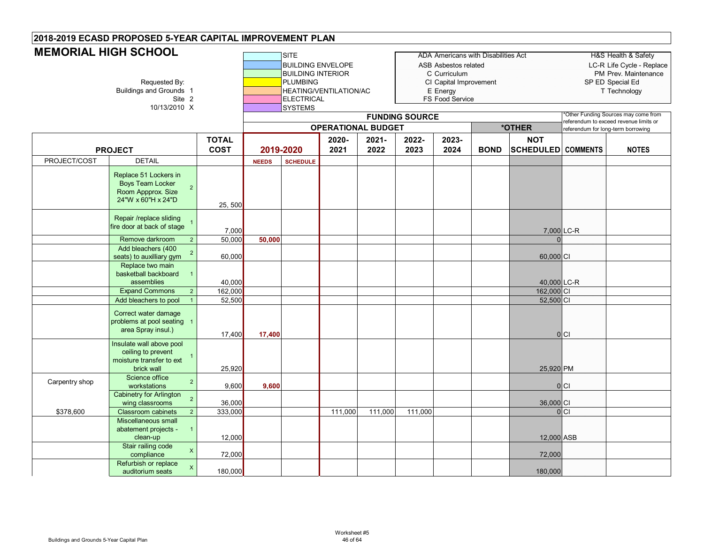| <b>MEMORIAL HIGH SCHOOL</b> | Requested By:<br><b>Buildings and Grounds 1</b><br>Site 2<br>10/13/2010 X                                      |              |              | <b>SITE</b><br><b>BUILDING ENVELOPE</b><br><b>BUILDING INTERIOR</b><br><b>PLUMBING</b><br><b>ELECTRICAL</b><br><b>SYSTEMS</b> | HEATING/VENTILATION/AC    |         |                       | ASB Asbestos related<br>C Curriculum<br>CI Capital Improvement<br>E Energy<br>FS Food Service | <b>ADA Americans with Disabilities Act</b> |                           | SP ED Special Ed                       | H&S Health & Safety<br>LC-R Life Cycle - Replace<br>PM Prev. Maintenance<br>T Technology<br>Other Funding Sources may come from |
|-----------------------------|----------------------------------------------------------------------------------------------------------------|--------------|--------------|-------------------------------------------------------------------------------------------------------------------------------|---------------------------|---------|-----------------------|-----------------------------------------------------------------------------------------------|--------------------------------------------|---------------------------|----------------------------------------|---------------------------------------------------------------------------------------------------------------------------------|
|                             |                                                                                                                |              |              |                                                                                                                               | <b>OPERATIONAL BUDGET</b> |         | <b>FUNDING SOURCE</b> |                                                                                               |                                            | *OTHER                    | referendum to exceed revenue limits or |                                                                                                                                 |
|                             |                                                                                                                | <b>TOTAL</b> |              |                                                                                                                               | 2020-                     | 2021-   | 2022-                 | 2023-                                                                                         |                                            | <b>NOT</b>                | referendum for long-term borrowing     |                                                                                                                                 |
|                             | <b>PROJECT</b>                                                                                                 | <b>COST</b>  | 2019-2020    |                                                                                                                               | 2021                      | 2022    | 2023                  | 2024                                                                                          | <b>BOND</b>                                | <b>SCHEDULED</b> COMMENTS |                                        | <b>NOTES</b>                                                                                                                    |
| PROJECT/COST                | <b>DETAIL</b>                                                                                                  |              | <b>NEEDS</b> | <b>SCHEDULE</b>                                                                                                               |                           |         |                       |                                                                                               |                                            |                           |                                        |                                                                                                                                 |
|                             | Replace 51 Lockers in<br><b>Boys Team Locker</b><br>$\overline{2}$<br>Room Appprox. Size<br>24"W x 60"H x 24"D | 25, 500      |              |                                                                                                                               |                           |         |                       |                                                                                               |                                            |                           |                                        |                                                                                                                                 |
|                             | Repair /replace sliding<br>fire door at back of stage                                                          | 7,000        |              |                                                                                                                               |                           |         |                       |                                                                                               |                                            | 7,000 LC-R                |                                        |                                                                                                                                 |
|                             | Remove darkroom<br>$\overline{2}$                                                                              | 50,000       | 50,000       |                                                                                                                               |                           |         |                       |                                                                                               |                                            |                           |                                        |                                                                                                                                 |
|                             | Add bleachers (400<br>$\overline{2}$<br>seats) to auxilliary gym                                               | 60,000       |              |                                                                                                                               |                           |         |                       |                                                                                               |                                            | 60,000 CI                 |                                        |                                                                                                                                 |
|                             | Replace two main<br>basketball backboard<br>assemblies                                                         | 40,000       |              |                                                                                                                               |                           |         |                       |                                                                                               |                                            | 40,000 LC-R               |                                        |                                                                                                                                 |
|                             | <b>Expand Commons</b><br>$\overline{2}$                                                                        | 162,000      |              |                                                                                                                               |                           |         |                       |                                                                                               |                                            | 162,000 CI                |                                        |                                                                                                                                 |
|                             | Add bleachers to pool                                                                                          | 52,500       |              |                                                                                                                               |                           |         |                       |                                                                                               |                                            | 52,500 CI                 |                                        |                                                                                                                                 |
|                             | Correct water damage<br>problems at pool seating 1<br>area Spray insul.)                                       | 17,400       | 17,400       |                                                                                                                               |                           |         |                       |                                                                                               |                                            |                           | 0 C                                    |                                                                                                                                 |
|                             | Insulate wall above pool<br>ceiling to prevent<br>$\overline{1}$<br>moisture transfer to ext<br>brick wall     | 25,920       |              |                                                                                                                               |                           |         |                       |                                                                                               |                                            | 25,920 PM                 |                                        |                                                                                                                                 |
| Carpentry shop              | Science office<br>$\overline{2}$<br>workstations                                                               | 9,600        | 9,600        |                                                                                                                               |                           |         |                       |                                                                                               |                                            |                           | $ 0 $ Cl                               |                                                                                                                                 |
|                             | <b>Cabinetry for Arlington</b><br>$\overline{2}$                                                               | 36,000       |              |                                                                                                                               |                           |         |                       |                                                                                               |                                            | 36,000 CI                 |                                        |                                                                                                                                 |
| \$378,600                   | wing classrooms<br><b>Classroom cabinets</b><br>$\overline{2}$                                                 | 333,000      |              |                                                                                                                               | 111,000                   | 111,000 | 111,000               |                                                                                               |                                            |                           | 0 C                                    |                                                                                                                                 |
|                             | Miscellaneous small<br>abatement projects -<br>$\overline{1}$<br>clean-up                                      | 12,000       |              |                                                                                                                               |                           |         |                       |                                                                                               |                                            | 12,000 ASB                |                                        |                                                                                                                                 |
|                             | Stair railing code<br>$\boldsymbol{\mathsf{X}}$<br>compliance                                                  | 72,000       |              |                                                                                                                               |                           |         |                       |                                                                                               |                                            | 72,000                    |                                        |                                                                                                                                 |
|                             | Refurbish or replace<br>X<br>auditorium seats                                                                  | 180,000      |              |                                                                                                                               |                           |         |                       |                                                                                               |                                            | 180,000                   |                                        |                                                                                                                                 |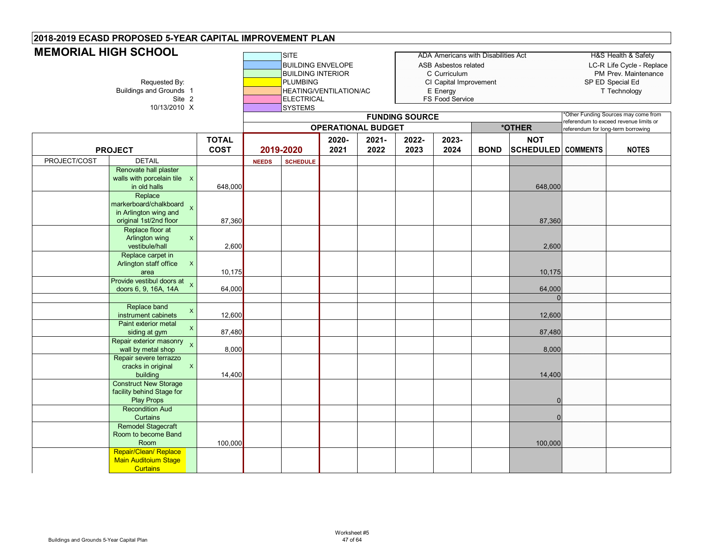| <b>MEMORIAL HIGH SCHOOL</b> | Requested By:<br>Buildings and Grounds 1<br>Site 2<br>10/13/2010 X                             |                             |              | SITE<br><b>BUILDING ENVELOPE</b><br><b>BUILDING INTERIOR</b><br><b>PLUMBING</b><br>HEATING/VENTILATION/AC<br>ELECTRICAL<br><b>SYSTEMS</b> |               |                           |                       | ADA Americans with Disabilities Act<br><b>ASB Asbestos related</b><br>C Curriculum<br>CI Capital Improvement<br>E Energy<br>FS Food Service |             |                                         | SP ED Special Ed                      | <b>H&amp;S Health &amp; Safety</b><br>LC-R Life Cycle - Replace<br>PM Prev. Maintenance<br>T Technology |
|-----------------------------|------------------------------------------------------------------------------------------------|-----------------------------|--------------|-------------------------------------------------------------------------------------------------------------------------------------------|---------------|---------------------------|-----------------------|---------------------------------------------------------------------------------------------------------------------------------------------|-------------|-----------------------------------------|---------------------------------------|---------------------------------------------------------------------------------------------------------|
|                             |                                                                                                |                             |              |                                                                                                                                           |               |                           | <b>FUNDING SOURCE</b> |                                                                                                                                             |             |                                         | eferendum to exceed revenue limits or | Other Funding Sources may come from                                                                     |
|                             |                                                                                                |                             |              |                                                                                                                                           |               | <b>OPERATIONAL BUDGET</b> |                       |                                                                                                                                             |             | *OTHER                                  | referendum for long-term borrowing    |                                                                                                         |
|                             | <b>PROJECT</b>                                                                                 | <b>TOTAL</b><br><b>COST</b> |              | 2019-2020                                                                                                                                 | 2020-<br>2021 | 2021-<br>2022             | 2022-<br>2023         | 2023-<br>2024                                                                                                                               | <b>BOND</b> | <b>NOT</b><br><b>SCHEDULED</b> COMMENTS |                                       | <b>NOTES</b>                                                                                            |
| PROJECT/COST                | <b>DETAIL</b>                                                                                  |                             | <b>NEEDS</b> | <b>SCHEDULE</b>                                                                                                                           |               |                           |                       |                                                                                                                                             |             |                                         |                                       |                                                                                                         |
|                             | Renovate hall plaster<br>walls with porcelain tile X<br>in old halls                           | 648,000                     |              |                                                                                                                                           |               |                           |                       |                                                                                                                                             |             | 648,000                                 |                                       |                                                                                                         |
|                             | Replace<br>markerboard/chalkboard<br>$\pmb{\times}$<br>in Arlington wing and                   |                             |              |                                                                                                                                           |               |                           |                       |                                                                                                                                             |             |                                         |                                       |                                                                                                         |
|                             | original 1st/2nd floor<br>Replace floor at<br>Arlington wing<br>X<br>vestibule/hall            | 87,360<br>2,600             |              |                                                                                                                                           |               |                           |                       |                                                                                                                                             |             | 87,360<br>2,600                         |                                       |                                                                                                         |
|                             | Replace carpet in<br>Arlington staff office<br>$\boldsymbol{\mathsf{X}}$<br>area               | 10,175                      |              |                                                                                                                                           |               |                           |                       |                                                                                                                                             |             | 10,175                                  |                                       |                                                                                                         |
|                             | Provide vestibul doors at $\chi$<br>doors 6, 9, 16A, 14A                                       | 64,000                      |              |                                                                                                                                           |               |                           |                       |                                                                                                                                             |             | 64,000<br>$\Omega$                      |                                       |                                                                                                         |
|                             | Replace band<br>$\mathsf X$<br>instrument cabinets<br>Paint exterior metal                     | 12,600                      |              |                                                                                                                                           |               |                           |                       |                                                                                                                                             |             | 12,600                                  |                                       |                                                                                                         |
|                             | $\mathsf X$<br>siding at gym<br>Repair exterior masonry<br>$\mathsf{x}$                        | 87,480                      |              |                                                                                                                                           |               |                           |                       |                                                                                                                                             |             | 87,480                                  |                                       |                                                                                                         |
|                             | wall by metal shop<br>Repair severe terrazzo<br>cracks in original<br>$\mathsf{X}$<br>building | 8,000<br>14,400             |              |                                                                                                                                           |               |                           |                       |                                                                                                                                             |             | 8,000<br>14,400                         |                                       |                                                                                                         |
|                             | <b>Construct New Storage</b><br>facility behind Stage for<br><b>Play Props</b>                 |                             |              |                                                                                                                                           |               |                           |                       |                                                                                                                                             |             | $\Omega$                                |                                       |                                                                                                         |
|                             | <b>Recondition Aud</b><br>Curtains                                                             |                             |              |                                                                                                                                           |               |                           |                       |                                                                                                                                             |             | $\Omega$                                |                                       |                                                                                                         |
|                             | <b>Remodel Stagecraft</b><br>Room to become Band<br>Room                                       | 100,000                     |              |                                                                                                                                           |               |                           |                       |                                                                                                                                             |             | 100,000                                 |                                       |                                                                                                         |
|                             | Repair/Clean/ Replace<br><b>Main Auditoium Stage</b><br><b>Curtains</b>                        |                             |              |                                                                                                                                           |               |                           |                       |                                                                                                                                             |             |                                         |                                       |                                                                                                         |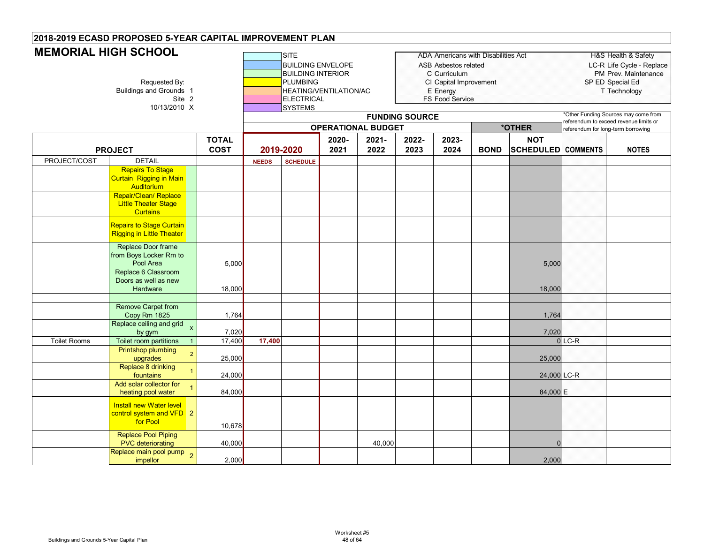| שובשט ושט ו שטוועש  | Requested By:<br>Buildings and Grounds 1<br>Site 2<br>10/13/2010 X                           |                             |              | SITE<br><b>BUILDING ENVELOPE</b><br><b>BUILDING INTERIOR</b><br><b>PLUMBING</b><br><b>ELECTRICAL</b><br><b>SYSTEMS</b> | <b>HEATING/VENTILATION/AC</b> |                           |                       | ADA Americans with Disabilities Act<br>ASB Asbestos related<br>C Curriculum<br>CI Capital Improvement<br>E Energy<br>FS Food Service |             |                                         | SP ED Special Ed                                                              | H&S Health & Safety<br>LC-R Life Cycle - Replace<br>PM Prev. Maintenance<br>T Technology |
|---------------------|----------------------------------------------------------------------------------------------|-----------------------------|--------------|------------------------------------------------------------------------------------------------------------------------|-------------------------------|---------------------------|-----------------------|--------------------------------------------------------------------------------------------------------------------------------------|-------------|-----------------------------------------|-------------------------------------------------------------------------------|------------------------------------------------------------------------------------------|
|                     |                                                                                              |                             |              |                                                                                                                        |                               |                           | <b>FUNDING SOURCE</b> |                                                                                                                                      |             |                                         | Other Funding Sources may come from<br>referendum to exceed revenue limits or |                                                                                          |
|                     |                                                                                              |                             |              |                                                                                                                        |                               | <b>OPERATIONAL BUDGET</b> |                       |                                                                                                                                      |             | *OTHER                                  | referendum for long-term borrowing                                            |                                                                                          |
|                     | <b>PROJECT</b>                                                                               | <b>TOTAL</b><br><b>COST</b> |              | 2019-2020                                                                                                              | 2020-<br>2021                 | $2021 -$<br>2022          | 2022-<br>2023         | 2023-<br>2024                                                                                                                        | <b>BOND</b> | <b>NOT</b><br><b>SCHEDULED</b> COMMENTS |                                                                               | <b>NOTES</b>                                                                             |
| PROJECT/COST        | <b>DETAIL</b>                                                                                |                             | <b>NEEDS</b> | <b>SCHEDULE</b>                                                                                                        |                               |                           |                       |                                                                                                                                      |             |                                         |                                                                               |                                                                                          |
|                     | <b>Repairs To Stage</b><br><b>Curtain Rigging in Main</b><br>Auditorium                      |                             |              |                                                                                                                        |                               |                           |                       |                                                                                                                                      |             |                                         |                                                                               |                                                                                          |
|                     | Repair/Clean/ Replace<br><b>Little Theater Stage</b><br><b>Curtains</b>                      |                             |              |                                                                                                                        |                               |                           |                       |                                                                                                                                      |             |                                         |                                                                               |                                                                                          |
|                     | <b>Repairs to Stage Curtain</b><br><b>Rigging in Little Theater</b>                          |                             |              |                                                                                                                        |                               |                           |                       |                                                                                                                                      |             |                                         |                                                                               |                                                                                          |
|                     | Replace Door frame<br>from Boys Locker Rm to<br>Pool Area                                    | 5,000                       |              |                                                                                                                        |                               |                           |                       |                                                                                                                                      |             | 5,000                                   |                                                                               |                                                                                          |
|                     | Replace 6 Classroom<br>Doors as well as new<br>Hardware                                      | 18,000                      |              |                                                                                                                        |                               |                           |                       |                                                                                                                                      |             | 18,000                                  |                                                                               |                                                                                          |
|                     | Remove Carpet from<br>Copy Rm 1825                                                           | 1,764                       |              |                                                                                                                        |                               |                           |                       |                                                                                                                                      |             | 1,764                                   |                                                                               |                                                                                          |
| <b>Toilet Rooms</b> | Replace ceiling and grid<br>$\mathsf{x}$<br>by gym<br>Toilet room partitions<br>$\mathbf{1}$ | 7,020<br>17,400             | 17,400       |                                                                                                                        |                               |                           |                       |                                                                                                                                      |             | 7,020                                   | $0$ LC-R                                                                      |                                                                                          |
|                     | <b>Printshop plumbing</b><br>$\overline{2}$<br>upgrades                                      | 25,000                      |              |                                                                                                                        |                               |                           |                       |                                                                                                                                      |             | 25,000                                  |                                                                               |                                                                                          |
|                     | Replace 8 drinking<br>fountains<br>Add solar collector for                                   | 24,000                      |              |                                                                                                                        |                               |                           |                       |                                                                                                                                      |             | 24,000 LC-R                             |                                                                               |                                                                                          |
|                     | heating pool water                                                                           | 84,000                      |              |                                                                                                                        |                               |                           |                       |                                                                                                                                      |             | 84,000 E                                |                                                                               |                                                                                          |
|                     | <b>Install new Water level</b><br>control system and VFD 2<br>for Pool                       | 10,678                      |              |                                                                                                                        |                               |                           |                       |                                                                                                                                      |             |                                         |                                                                               |                                                                                          |
|                     | Replace Pool Piping<br><b>PVC</b> deteriorating                                              | 40,000                      |              |                                                                                                                        |                               | 40,000                    |                       |                                                                                                                                      |             | $\Omega$                                |                                                                               |                                                                                          |
|                     | Replace main pool pump <sub>2</sub><br>impellor                                              | 2,000                       |              |                                                                                                                        |                               |                           |                       |                                                                                                                                      |             | 2,000                                   |                                                                               |                                                                                          |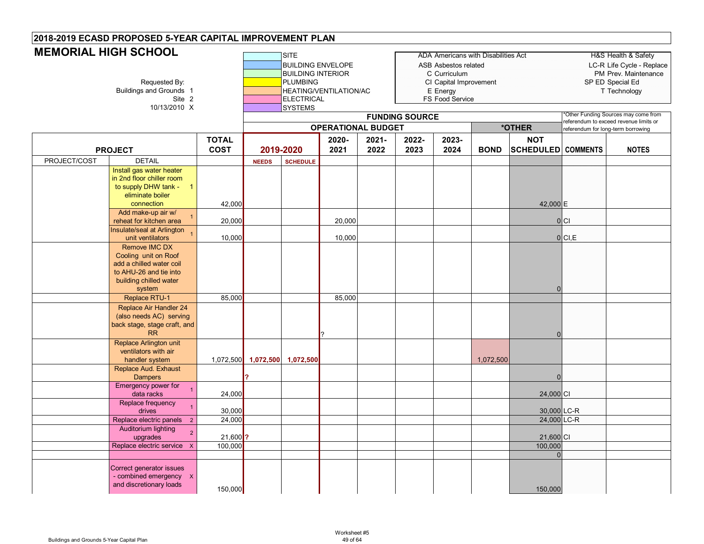| <b>MEMORIAL HIGH SCHOOL</b> | Requested By:<br>Buildings and Grounds 1<br>Site 2<br>10/13/2010 X                                                                               |                             |              | <b>SITE</b><br><b>BUILDING ENVELOPE</b><br><b>BUILDING INTERIOR</b><br><b>PLUMBING</b><br><b>ELECTRICAL</b><br><b>SYSTEMS</b> | HEATING/VENTILATION/AC    |               | <b>FUNDING SOURCE</b> | ASB Asbestos related<br>C Curriculum<br>CI Capital Improvement<br>E Energy<br>FS Food Service | <b>ADA Americans with Disabilities Act</b> |                                  | SP ED Special Ed<br>Other Funding Sources may come from                     | <b>H&amp;S Health &amp; Safety</b><br>LC-R Life Cycle - Replace<br>PM Prev. Maintenance<br>T Technology |
|-----------------------------|--------------------------------------------------------------------------------------------------------------------------------------------------|-----------------------------|--------------|-------------------------------------------------------------------------------------------------------------------------------|---------------------------|---------------|-----------------------|-----------------------------------------------------------------------------------------------|--------------------------------------------|----------------------------------|-----------------------------------------------------------------------------|---------------------------------------------------------------------------------------------------------|
|                             |                                                                                                                                                  |                             |              |                                                                                                                               | <b>OPERATIONAL BUDGET</b> |               |                       |                                                                                               |                                            | *OTHER                           | eferendum to exceed revenue limits or<br>referendum for long-term borrowing |                                                                                                         |
|                             | <b>PROJECT</b>                                                                                                                                   | <b>TOTAL</b><br><b>COST</b> |              | 2019-2020                                                                                                                     | 2020-<br>2021             | 2021-<br>2022 | 2022-<br>2023         | 2023-<br>2024                                                                                 | <b>BOND</b>                                | <b>NOT</b><br>SCHEDULED COMMENTS |                                                                             | <b>NOTES</b>                                                                                            |
| PROJECT/COST                | <b>DETAIL</b>                                                                                                                                    |                             | <b>NEEDS</b> | <b>SCHEDULE</b>                                                                                                               |                           |               |                       |                                                                                               |                                            |                                  |                                                                             |                                                                                                         |
|                             | Install gas water heater<br>in 2nd floor chiller room<br>to supply DHW tank - 1<br>eliminate boiler<br>connection                                | 42,000                      |              |                                                                                                                               |                           |               |                       |                                                                                               |                                            | 42,000 E                         |                                                                             |                                                                                                         |
|                             | Add make-up air w/<br>$\overline{1}$                                                                                                             |                             |              |                                                                                                                               |                           |               |                       |                                                                                               |                                            |                                  |                                                                             |                                                                                                         |
|                             | reheat for kitchen area<br>Insulate/seal at Arlington<br>unit ventilators                                                                        | 20,000<br>10,000            |              |                                                                                                                               | 20,000<br>10,000          |               |                       |                                                                                               |                                            |                                  | 0 C <br>$0$ CI, E                                                           |                                                                                                         |
|                             | Remove IMC DX<br>Cooling unit on Roof<br>add a chilled water coil<br>to AHU-26 and tie into<br>building chilled water<br>system<br>Replace RTU-1 | 85,000                      |              |                                                                                                                               | 85,000                    |               |                       |                                                                                               |                                            | $\Omega$                         |                                                                             |                                                                                                         |
|                             | <b>Replace Air Handler 24</b><br>(also needs AC) serving<br>back stage, stage craft, and<br><b>RR</b>                                            |                             |              |                                                                                                                               |                           |               |                       |                                                                                               |                                            | $\Omega$                         |                                                                             |                                                                                                         |
|                             | Replace Arlington unit<br>ventilators with air<br>handler system<br>Replace Aud. Exhaust                                                         |                             |              | 1,072,500 1,072,500 1,072,500                                                                                                 |                           |               |                       |                                                                                               | 1,072,500                                  |                                  |                                                                             |                                                                                                         |
|                             | <b>Dampers</b>                                                                                                                                   |                             |              |                                                                                                                               |                           |               |                       |                                                                                               |                                            | $\overline{0}$                   |                                                                             |                                                                                                         |
|                             | Emergency power for<br>$\overline{1}$<br>data racks                                                                                              | 24,000                      |              |                                                                                                                               |                           |               |                       |                                                                                               |                                            | 24,000 CI                        |                                                                             |                                                                                                         |
|                             | Replace frequency<br>drives                                                                                                                      | 30,000                      |              |                                                                                                                               |                           |               |                       |                                                                                               |                                            | 30,000 LC-R                      |                                                                             |                                                                                                         |
|                             | Replace electric panels<br>$\overline{2}$                                                                                                        | 24,000                      |              |                                                                                                                               |                           |               |                       |                                                                                               |                                            | 24,000 LC-R                      |                                                                             |                                                                                                         |
|                             | Auditorium lighting<br>$\overline{2}$<br>upgrades<br>Replace electric service X                                                                  | $21,600$ ?<br>100,000       |              |                                                                                                                               |                           |               |                       |                                                                                               |                                            | 21,600 CI<br>100,000             |                                                                             |                                                                                                         |
|                             |                                                                                                                                                  |                             |              |                                                                                                                               |                           |               |                       |                                                                                               |                                            | $\Omega$                         |                                                                             |                                                                                                         |
|                             | Correct generator issues<br>- combined emergency X<br>and discretionary loads                                                                    | 150,000                     |              |                                                                                                                               |                           |               |                       |                                                                                               |                                            | 150,000                          |                                                                             |                                                                                                         |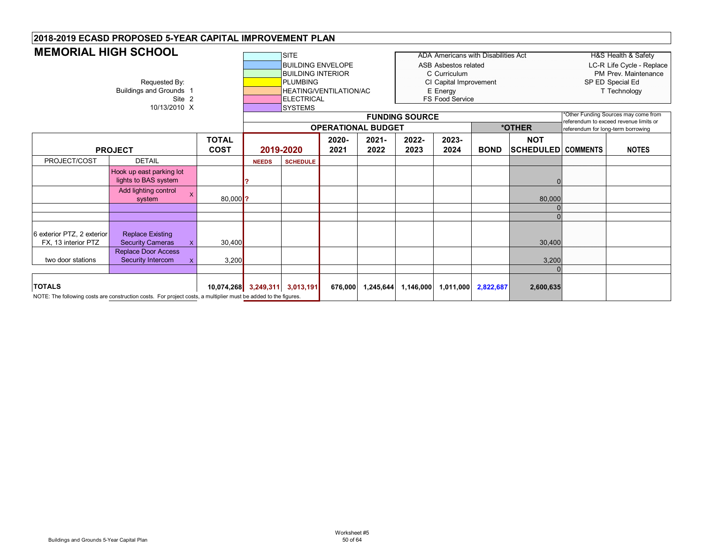| <b>MEMORIAL HIGH SCHOOL</b>                       | Requested By:<br><b>Buildings and Grounds 1</b><br>Site 2<br>10/13/2010 X                                       |              |                             |              | <b>SITE</b><br><b>BUILDING ENVELOPE</b><br><b>BUILDING INTERIOR</b><br><b>PLUMBING</b><br><b>ELECTRICAL</b><br><b>SYSTEMS</b> | <b>HEATING/VENTILATION/AC</b><br><b>OPERATIONAL BUDGET</b> |                  | <b>FUNDING SOURCE</b> | <b>ADA Americans with Disabilities Act</b><br><b>ASB Asbestos related</b><br>C Curriculum<br>CI Capital Improvement<br>E Energy<br>FS Food Service |             | *OTHER                                  | referendum for long-term borrowing | <b>H&amp;S Health &amp; Safety</b><br>LC-R Life Cycle - Replace<br>PM Prev. Maintenance<br>SP ED Special Ed<br>T Technology<br>Other Funding Sources may come from<br>referendum to exceed revenue limits or |
|---------------------------------------------------|-----------------------------------------------------------------------------------------------------------------|--------------|-----------------------------|--------------|-------------------------------------------------------------------------------------------------------------------------------|------------------------------------------------------------|------------------|-----------------------|----------------------------------------------------------------------------------------------------------------------------------------------------|-------------|-----------------------------------------|------------------------------------|--------------------------------------------------------------------------------------------------------------------------------------------------------------------------------------------------------------|
|                                                   | <b>PROJECT</b>                                                                                                  |              | <b>TOTAL</b><br><b>COST</b> |              | 2019-2020                                                                                                                     | 2020-<br>2021                                              | $2021 -$<br>2022 | 2022-<br>2023         | 2023-<br>2024                                                                                                                                      | <b>BOND</b> | <b>NOT</b><br><b>SCHEDULED COMMENTS</b> |                                    | <b>NOTES</b>                                                                                                                                                                                                 |
| PROJECT/COST                                      | <b>DETAIL</b>                                                                                                   |              |                             | <b>NEEDS</b> | <b>SCHEDULE</b>                                                                                                               |                                                            |                  |                       |                                                                                                                                                    |             |                                         |                                    |                                                                                                                                                                                                              |
|                                                   | Hook up east parking lot<br>lights to BAS system                                                                |              |                             |              |                                                                                                                               |                                                            |                  |                       |                                                                                                                                                    |             |                                         |                                    |                                                                                                                                                                                                              |
|                                                   | Add lighting control<br>$\boldsymbol{\mathsf{x}}$<br>$80,000$ ?<br>system                                       |              |                             |              |                                                                                                                               |                                                            |                  |                       |                                                                                                                                                    |             | 80,000                                  |                                    |                                                                                                                                                                                                              |
|                                                   |                                                                                                                 |              |                             |              |                                                                                                                               |                                                            |                  |                       |                                                                                                                                                    |             |                                         |                                    |                                                                                                                                                                                                              |
| 6 exterior PTZ, 2 exterior<br>FX, 13 interior PTZ | <b>Replace Existing</b><br><b>Security Cameras</b>                                                              | $\mathsf{x}$ | 30,400                      |              |                                                                                                                               |                                                            |                  |                       |                                                                                                                                                    |             | 30,400                                  |                                    |                                                                                                                                                                                                              |
| two door stations                                 | <b>Replace Door Access</b><br>Security Intercom                                                                 |              | 3,200                       |              |                                                                                                                               |                                                            |                  |                       |                                                                                                                                                    |             | 3,200                                   |                                    |                                                                                                                                                                                                              |
| <b>TOTALS</b>                                     | NOTE: The following costs are construction costs. For project costs, a multiplier must be added to the figures. |              |                             |              | 10,074,268 3,249,311 3,013,191                                                                                                | 676,000                                                    | 1,245,644        | 1,146,000             | 1,011,000                                                                                                                                          | 2,822,687   | 2,600,635                               |                                    |                                                                                                                                                                                                              |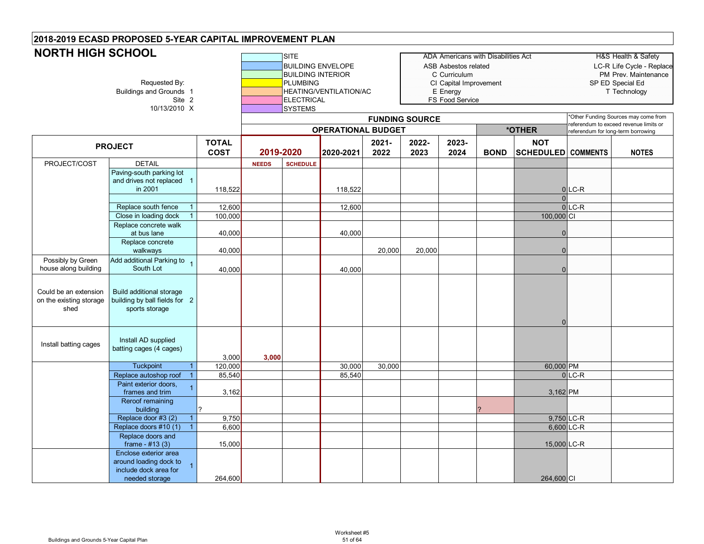| <b>NORTH HIGH SCHOOL</b>                                 | Requested By:<br><b>Buildings and Grounds 1</b><br>Site 2<br>10/13/2010 X                  |                             |              | <b>SITE</b><br><b>BUILDING INTERIOR</b><br><b>PLUMBING</b><br><b>ELECTRICAL</b><br><b>SYSTEMS</b> | <b>BUILDING ENVELOPE</b><br><b>HEATING/VENTILATION/AC</b> |                  | <b>FUNDING SOURCE</b> | ASB Asbestos related<br>C Curriculum<br>CI Capital Improvement<br>E Energy<br>FS Food Service | <b>ADA Americans with Disabilities Act</b> |                                         |                                   | <b>H&amp;S Health &amp; Safety</b><br>LC-R Life Cycle - Replace<br>PM Prev. Maintenance<br>SP ED Special Ed<br>T Technology<br>'Other Funding Sources may come from |
|----------------------------------------------------------|--------------------------------------------------------------------------------------------|-----------------------------|--------------|---------------------------------------------------------------------------------------------------|-----------------------------------------------------------|------------------|-----------------------|-----------------------------------------------------------------------------------------------|--------------------------------------------|-----------------------------------------|-----------------------------------|---------------------------------------------------------------------------------------------------------------------------------------------------------------------|
|                                                          |                                                                                            |                             |              |                                                                                                   | <b>OPERATIONAL BUDGET</b>                                 |                  |                       |                                                                                               |                                            | *OTHER                                  | eferendum for long-term borrowing | eferendum to exceed revenue limits or                                                                                                                               |
|                                                          | <b>PROJECT</b>                                                                             | <b>TOTAL</b><br><b>COST</b> |              | 2019-2020                                                                                         | 2020-2021                                                 | $2021 -$<br>2022 | 2022-<br>2023         | 2023-<br>2024                                                                                 | <b>BOND</b>                                | <b>NOT</b><br><b>SCHEDULED</b> COMMENTS |                                   | <b>NOTES</b>                                                                                                                                                        |
| PROJECT/COST                                             | <b>DETAIL</b>                                                                              |                             | <b>NEEDS</b> | <b>SCHEDULE</b>                                                                                   |                                                           |                  |                       |                                                                                               |                                            |                                         |                                   |                                                                                                                                                                     |
|                                                          | Paving-south parking lot<br>and drives not replaced 1<br>in 2001                           | 118,522                     |              |                                                                                                   | 118,522                                                   |                  |                       |                                                                                               |                                            | $\Omega$                                | $0$ LC-R                          |                                                                                                                                                                     |
|                                                          | Replace south fence                                                                        | 12,600                      |              |                                                                                                   | 12,600                                                    |                  |                       |                                                                                               |                                            |                                         | $0$ LC-R                          |                                                                                                                                                                     |
|                                                          | Close in loading dock                                                                      | 100,000                     |              |                                                                                                   |                                                           |                  |                       |                                                                                               |                                            | 100,000 CI                              |                                   |                                                                                                                                                                     |
|                                                          | Replace concrete walk                                                                      |                             |              |                                                                                                   |                                                           |                  |                       |                                                                                               |                                            |                                         |                                   |                                                                                                                                                                     |
|                                                          | at bus lane                                                                                | 40,000                      |              |                                                                                                   | 40,000                                                    |                  |                       |                                                                                               |                                            | $\Omega$                                |                                   |                                                                                                                                                                     |
|                                                          | Replace concrete<br>walkways                                                               | 40,000                      |              |                                                                                                   |                                                           | 20,000           | 20,000                |                                                                                               |                                            | $\Omega$                                |                                   |                                                                                                                                                                     |
| Possibly by Green                                        | Add additional Parking to 1                                                                |                             |              |                                                                                                   |                                                           |                  |                       |                                                                                               |                                            |                                         |                                   |                                                                                                                                                                     |
| house along building                                     | South Lot                                                                                  | 40,000                      |              |                                                                                                   | 40,000                                                    |                  |                       |                                                                                               |                                            | $\mathbf{0}$                            |                                   |                                                                                                                                                                     |
| Could be an extension<br>on the existing storage<br>shed | <b>Build additional storage</b><br>building by ball fields for 2<br>sports storage         |                             |              |                                                                                                   |                                                           |                  |                       |                                                                                               |                                            | $\mathbf{0}$                            |                                   |                                                                                                                                                                     |
| Install batting cages                                    | Install AD supplied<br>batting cages (4 cages)                                             | 3,000                       | 3.000        |                                                                                                   |                                                           |                  |                       |                                                                                               |                                            |                                         |                                   |                                                                                                                                                                     |
|                                                          | Tuckpoint                                                                                  | 120,000                     |              |                                                                                                   | 30,000                                                    | 30,000           |                       |                                                                                               |                                            | 60,000 PM                               |                                   |                                                                                                                                                                     |
|                                                          | Replace autoshop roof<br>$\overline{1}$                                                    | 85,540                      |              |                                                                                                   | 85,540                                                    |                  |                       |                                                                                               |                                            |                                         | $0$ <sub>LC-R</sub>               |                                                                                                                                                                     |
|                                                          | Paint exterior doors,<br>frames and trim                                                   | 3,162                       |              |                                                                                                   |                                                           |                  |                       |                                                                                               |                                            | 3,162 PM                                |                                   |                                                                                                                                                                     |
|                                                          | Reroof remaining<br>building                                                               |                             |              |                                                                                                   |                                                           |                  |                       |                                                                                               |                                            |                                         |                                   |                                                                                                                                                                     |
|                                                          | Replace door #3 (2)                                                                        | 9,750                       |              |                                                                                                   |                                                           |                  |                       |                                                                                               |                                            |                                         | 9,750 LC-R                        |                                                                                                                                                                     |
|                                                          | Replace doors #10 (1)                                                                      | 6,600                       |              |                                                                                                   |                                                           |                  |                       |                                                                                               |                                            |                                         | 6,600 LC-R                        |                                                                                                                                                                     |
|                                                          | Replace doors and<br>frame - $#13(3)$                                                      | 15,000                      |              |                                                                                                   |                                                           |                  |                       |                                                                                               |                                            | 15,000 LC-R                             |                                   |                                                                                                                                                                     |
|                                                          | Enclose exterior area<br>around loading dock to<br>include dock area for<br>needed storage | 264,600                     |              |                                                                                                   |                                                           |                  |                       |                                                                                               |                                            | 264,600 CI                              |                                   |                                                                                                                                                                     |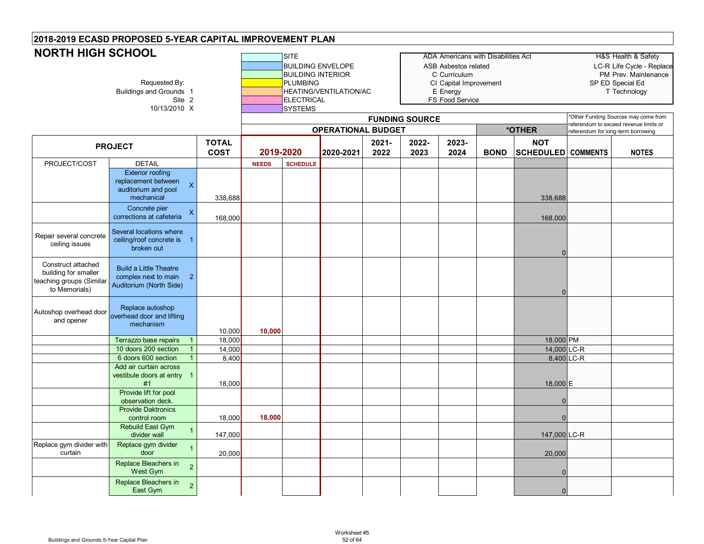| <b>NORTH HIGH SCHOOL</b>                                                                |                                                                                                                |                             |              | <b>SITE</b><br><b>BUILDING ENVELOPE</b>                                            |                               |                  |                       | <b>ADA Americans with Disabilities Act</b><br>ASB Asbestos related    |             |                                         |                                   | <b>H&amp;S Health &amp; Safety</b><br>LC-R Life Cycle - Replace               |
|-----------------------------------------------------------------------------------------|----------------------------------------------------------------------------------------------------------------|-----------------------------|--------------|------------------------------------------------------------------------------------|-------------------------------|------------------|-----------------------|-----------------------------------------------------------------------|-------------|-----------------------------------------|-----------------------------------|-------------------------------------------------------------------------------|
|                                                                                         | Requested By:<br><b>Buildings and Grounds 1</b><br>Site 2<br>10/13/2010 X                                      |                             |              | <b>BUILDING INTERIOR</b><br><b>PLUMBING</b><br><b>ELECTRICAL</b><br><b>SYSTEMS</b> | <b>HEATING/VENTILATION/AC</b> |                  |                       | C Curriculum<br>CI Capital Improvement<br>E Energy<br>FS Food Service |             |                                         |                                   | PM Prev. Maintenance<br>SP ED Special Ed<br>T Technology                      |
|                                                                                         |                                                                                                                |                             |              |                                                                                    |                               |                  | <b>FUNDING SOURCE</b> |                                                                       |             |                                         |                                   | Other Funding Sources may come from<br>referendum to exceed revenue limits or |
|                                                                                         |                                                                                                                |                             |              |                                                                                    | <b>OPERATIONAL BUDGET</b>     |                  |                       |                                                                       |             | *OTHER                                  | eferendum for long-term borrowing |                                                                               |
|                                                                                         | <b>PROJECT</b>                                                                                                 | <b>TOTAL</b><br><b>COST</b> | 2019-2020    |                                                                                    | 2020-2021                     | $2021 -$<br>2022 | 2022-<br>2023         | 2023-<br>2024                                                         | <b>BOND</b> | <b>NOT</b><br><b>SCHEDULED</b> COMMENTS |                                   | <b>NOTES</b>                                                                  |
| PROJECT/COST                                                                            | <b>DETAIL</b>                                                                                                  |                             | <b>NEEDS</b> | <b>SCHEDULE</b>                                                                    |                               |                  |                       |                                                                       |             |                                         |                                   |                                                                               |
|                                                                                         | <b>Exterior roofing</b><br>replacement between<br>$\overline{\mathsf{x}}$<br>auditorium and pool<br>mechanical | 338,688                     |              |                                                                                    |                               |                  |                       |                                                                       |             | 338,688                                 |                                   |                                                                               |
|                                                                                         | Concrete pier<br>$\pmb{\mathsf{X}}$<br>corrections at cafeteria                                                | 168,000                     |              |                                                                                    |                               |                  |                       |                                                                       |             | 168,000                                 |                                   |                                                                               |
| Repair several concrete<br>ceiling issues                                               | Several locations where<br>ceiling/roof concrete is 1<br>broken out                                            |                             |              |                                                                                    |                               |                  |                       |                                                                       |             | $\mathbf 0$                             |                                   |                                                                               |
| Construct attached<br>building for smaller<br>teaching groups (Similar<br>to Memorials) | <b>Build a Little Theatre</b><br>complex next to main 2<br>Auditorium (North Side)                             |                             |              |                                                                                    |                               |                  |                       |                                                                       |             | $\Omega$                                |                                   |                                                                               |
| Autoshop overhead door<br>and opener                                                    | Replace autoshop<br>overhead door and lifting<br>mechanism                                                     | 10,000                      | 10,000       |                                                                                    |                               |                  |                       |                                                                       |             |                                         |                                   |                                                                               |
|                                                                                         | Terrazzo base repairs                                                                                          | 18,000                      |              |                                                                                    |                               |                  |                       |                                                                       |             | 18,000 PM                               |                                   |                                                                               |
|                                                                                         | 10 doors 200 section                                                                                           | 14,000                      |              |                                                                                    |                               |                  |                       |                                                                       |             | 14,000 LC-R                             |                                   |                                                                               |
|                                                                                         | 6 doors 600 section                                                                                            | 8,400                       |              |                                                                                    |                               |                  |                       |                                                                       |             |                                         | 8,400 LC-R                        |                                                                               |
|                                                                                         | Add air curtain across<br>vestibule doors at entry 1<br>#1                                                     | 18,000                      |              |                                                                                    |                               |                  |                       |                                                                       |             | 18,000 E                                |                                   |                                                                               |
|                                                                                         | Provide lift for pool<br>observation deck.                                                                     |                             |              |                                                                                    |                               |                  |                       |                                                                       |             | $\mathbf 0$                             |                                   |                                                                               |
|                                                                                         | <b>Provide Daktronics</b>                                                                                      |                             |              |                                                                                    |                               |                  |                       |                                                                       |             |                                         |                                   |                                                                               |
|                                                                                         | control room<br><b>Rebuild East Gym</b><br>divider wall                                                        | 18,000<br>147,000           | 18,000       |                                                                                    |                               |                  |                       |                                                                       |             | $\mathbf 0$<br>147,000 LC-R             |                                   |                                                                               |
| Replace gym divider with<br>curtain                                                     | Replace gym divider<br>door                                                                                    | 20,000                      |              |                                                                                    |                               |                  |                       |                                                                       |             | 20,000                                  |                                   |                                                                               |
|                                                                                         | Replace Bleachers in<br>$\overline{2}$<br><b>West Gym</b>                                                      |                             |              |                                                                                    |                               |                  |                       |                                                                       |             | $\Omega$                                |                                   |                                                                               |
|                                                                                         | Replace Bleachers in<br>$\overline{2}$<br>East Gym                                                             |                             |              |                                                                                    |                               |                  |                       |                                                                       |             | $\mathbf 0$                             |                                   |                                                                               |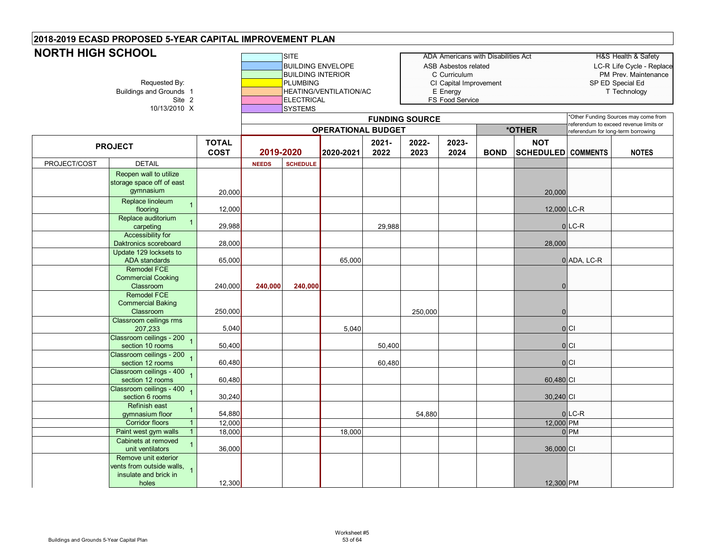| <b>NORTH HIGH SCHOOL</b> | Requested By:<br>Buildings and Grounds 1<br>Site 2<br>10/13/2010 X                                  |                  |              | <b>SITE</b><br><b>BUILDING ENVELOPE</b><br><b>BUILDING INTERIOR</b><br><b>PLUMBING</b><br><b>ELECTRICAL</b><br>SYSTEMS | HEATING/VENTILATION/AC    |          |                       | ASB Asbestos related<br>C Curriculum<br>CI Capital Improvement<br>E Energy<br>FS Food Service | <b>ADA Americans with Disabilities Act</b> |                           |                                    | H&S Health & Safety<br>LC-R Life Cycle - Replace<br>PM Prev. Maintenance<br>SP ED Special Ed<br>T Technology<br>Other Funding Sources may come from |
|--------------------------|-----------------------------------------------------------------------------------------------------|------------------|--------------|------------------------------------------------------------------------------------------------------------------------|---------------------------|----------|-----------------------|-----------------------------------------------------------------------------------------------|--------------------------------------------|---------------------------|------------------------------------|-----------------------------------------------------------------------------------------------------------------------------------------------------|
|                          |                                                                                                     |                  |              |                                                                                                                        |                           |          | <b>FUNDING SOURCE</b> |                                                                                               |                                            |                           |                                    | referendum to exceed revenue limits or                                                                                                              |
|                          |                                                                                                     | <b>TOTAL</b>     |              |                                                                                                                        | <b>OPERATIONAL BUDGET</b> | $2021 -$ | 2022-                 | 2023-                                                                                         |                                            | *OTHER<br><b>NOT</b>      | referendum for long-term borrowing |                                                                                                                                                     |
|                          | <b>PROJECT</b>                                                                                      | <b>COST</b>      | 2019-2020    |                                                                                                                        | 2020-2021                 | 2022     | 2023                  | 2024                                                                                          | <b>BOND</b>                                | <b>SCHEDULED COMMENTS</b> |                                    | <b>NOTES</b>                                                                                                                                        |
| PROJECT/COST             | <b>DETAIL</b>                                                                                       |                  | <b>NEEDS</b> | <b>SCHEDULE</b>                                                                                                        |                           |          |                       |                                                                                               |                                            |                           |                                    |                                                                                                                                                     |
|                          | Reopen wall to utilize<br>storage space off of east<br>gymnasium                                    | 20,000           |              |                                                                                                                        |                           |          |                       |                                                                                               |                                            | 20,000                    |                                    |                                                                                                                                                     |
|                          | Replace linoleum<br>$\overline{1}$<br>flooring                                                      | 12,000           |              |                                                                                                                        |                           |          |                       |                                                                                               |                                            | 12,000 LC-R               |                                    |                                                                                                                                                     |
|                          | Replace auditorium<br>$\overline{1}$<br>carpeting                                                   | 29,988           |              |                                                                                                                        |                           | 29,988   |                       |                                                                                               |                                            |                           | $0$ LC-R                           |                                                                                                                                                     |
|                          | <b>Accessibility for</b><br>Daktronics scoreboard                                                   | 28,000           |              |                                                                                                                        |                           |          |                       |                                                                                               |                                            | 28,000                    |                                    |                                                                                                                                                     |
|                          | Update 129 locksets to<br><b>ADA</b> standards                                                      | 65,000           |              |                                                                                                                        | 65,000                    |          |                       |                                                                                               |                                            |                           | 0 ADA, LC-R                        |                                                                                                                                                     |
|                          | <b>Remodel FCE</b><br><b>Commercial Cooking</b><br>Classroom                                        | 240,000          | 240,000      | 240,000                                                                                                                |                           |          |                       |                                                                                               |                                            | $\mathbf 0$               |                                    |                                                                                                                                                     |
|                          | <b>Remodel FCE</b><br><b>Commercial Baking</b><br>Classroom                                         | 250,000          |              |                                                                                                                        |                           |          | 250,000               |                                                                                               |                                            | $\mathbf 0$               |                                    |                                                                                                                                                     |
|                          | Classroom ceilings rms<br>207,233                                                                   | 5,040            |              |                                                                                                                        | 5,040                     |          |                       |                                                                                               |                                            |                           | 0                                  |                                                                                                                                                     |
|                          | Classroom ceilings - 200<br>section 10 rooms                                                        | 50,400           |              |                                                                                                                        |                           | 50,400   |                       |                                                                                               |                                            |                           | 0 C                                |                                                                                                                                                     |
|                          | Classroom ceilings - 200<br>section 12 rooms                                                        | 60,480           |              |                                                                                                                        |                           | 60,480   |                       |                                                                                               |                                            |                           | 0 C                                |                                                                                                                                                     |
|                          | Classroom ceilings - 400<br>section 12 rooms                                                        | 60,480           |              |                                                                                                                        |                           |          |                       |                                                                                               |                                            | 60,480 CI                 |                                    |                                                                                                                                                     |
|                          | Classroom ceilings - 400<br>$\overline{1}$<br>section 6 rooms                                       | 30,240           |              |                                                                                                                        |                           |          |                       |                                                                                               |                                            | 30,240 CI                 |                                    |                                                                                                                                                     |
|                          | Refinish east<br>$\overline{1}$<br>gymnasium floor                                                  | 54,880           |              |                                                                                                                        |                           |          | 54,880                |                                                                                               |                                            |                           | $0$ LC-R                           |                                                                                                                                                     |
|                          | $\overline{1}$<br><b>Corridor floors</b>                                                            | 12,000           |              |                                                                                                                        |                           |          |                       |                                                                                               |                                            | 12,000 PM                 |                                    |                                                                                                                                                     |
|                          | $\overline{1}$<br>Paint west gym walls<br>Cabinets at removed<br>$\overline{1}$<br>unit ventilators | 18,000<br>36,000 |              |                                                                                                                        | 18,000                    |          |                       |                                                                                               |                                            | 36,000 CI                 | 0 <sub>PM</sub>                    |                                                                                                                                                     |
|                          | Remove unit exterior<br>vents from outside walls, 1<br>insulate and brick in<br>holes               | 12,300           |              |                                                                                                                        |                           |          |                       |                                                                                               |                                            | 12,300 PM                 |                                    |                                                                                                                                                     |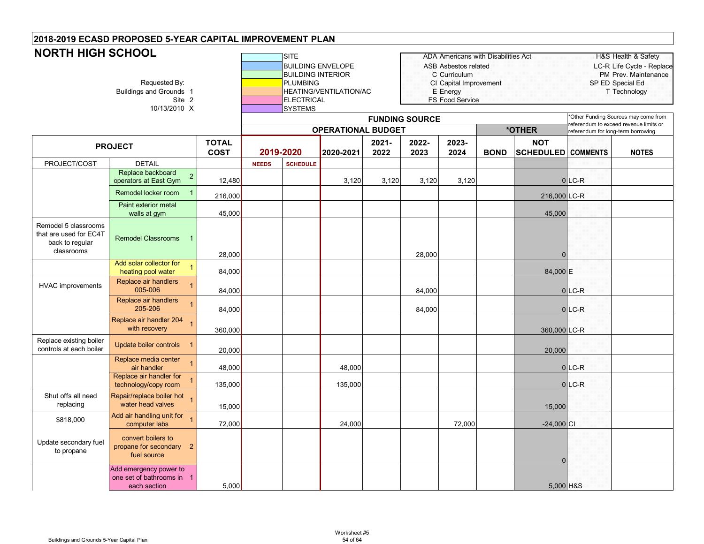| <b>NORTH HIGH SCHOOL</b>                                                        | Requested By:<br>Buildings and Grounds 1<br>Site 2<br>10/13/2010 X           |                             |              | <b>SITE</b><br><b>BUILDING INTERIOR</b><br><b>PLUMBING</b><br><b>ELECTRICAL</b><br><b>SYSTEMS</b> | <b>BUILDING ENVELOPE</b><br>HEATING/VENTILATION/AC |                  | <b>FUNDING SOURCE</b> | <b>ADA Americans with Disabilities Act</b><br>ASB Asbestos related<br>C Curriculum<br>CI Capital Improvement<br>E Energy<br>FS Food Service |             |                                         |                                   | <b>H&amp;S Health &amp; Safety</b><br>LC-R Life Cycle - Replace<br>PM Prev. Maintenance<br>SP ED Special Ed<br>T Technology<br>'Other Funding Sources may come from<br>eferendum to exceed revenue limits or |
|---------------------------------------------------------------------------------|------------------------------------------------------------------------------|-----------------------------|--------------|---------------------------------------------------------------------------------------------------|----------------------------------------------------|------------------|-----------------------|---------------------------------------------------------------------------------------------------------------------------------------------|-------------|-----------------------------------------|-----------------------------------|--------------------------------------------------------------------------------------------------------------------------------------------------------------------------------------------------------------|
|                                                                                 |                                                                              |                             |              |                                                                                                   | <b>OPERATIONAL BUDGET</b>                          |                  |                       |                                                                                                                                             |             | *OTHER                                  | eferendum for long-term borrowing |                                                                                                                                                                                                              |
|                                                                                 | <b>PROJECT</b>                                                               | <b>TOTAL</b><br><b>COST</b> | 2019-2020    |                                                                                                   | 2020-2021                                          | $2021 -$<br>2022 | 2022-<br>2023         | 2023-<br>2024                                                                                                                               | <b>BOND</b> | <b>NOT</b><br><b>SCHEDULED COMMENTS</b> |                                   | <b>NOTES</b>                                                                                                                                                                                                 |
| PROJECT/COST                                                                    | <b>DETAIL</b>                                                                |                             | <b>NEEDS</b> | <b>SCHEDULE</b>                                                                                   |                                                    |                  |                       |                                                                                                                                             |             |                                         |                                   |                                                                                                                                                                                                              |
|                                                                                 | Replace backboard<br>$\overline{2}$<br>operators at East Gym                 | 12,480                      |              |                                                                                                   | 3,120                                              | 3,120            | 3,120                 | 3,120                                                                                                                                       |             |                                         | $0$ LC-R                          |                                                                                                                                                                                                              |
|                                                                                 | Remodel locker room                                                          | 216,000                     |              |                                                                                                   |                                                    |                  |                       |                                                                                                                                             |             | 216,000 LC-R                            |                                   |                                                                                                                                                                                                              |
|                                                                                 | Paint exterior metal<br>walls at gym                                         | 45,000                      |              |                                                                                                   |                                                    |                  |                       |                                                                                                                                             |             | 45,000                                  |                                   |                                                                                                                                                                                                              |
| Remodel 5 classrooms<br>that are used for EC4T<br>back to regular<br>classrooms | <b>Remodel Classrooms</b>                                                    | 28,000                      |              |                                                                                                   |                                                    |                  | 28,000                |                                                                                                                                             |             | $\Omega$                                |                                   |                                                                                                                                                                                                              |
|                                                                                 | Add solar collector for<br>$\overline{1}$<br>heating pool water              | 84,000                      |              |                                                                                                   |                                                    |                  |                       |                                                                                                                                             |             | 84,000E                                 |                                   |                                                                                                                                                                                                              |
| <b>HVAC</b> improvements                                                        | Replace air handlers<br>005-006                                              | 84,000                      |              |                                                                                                   |                                                    |                  | 84,000                |                                                                                                                                             |             |                                         | $0$ LC-R                          |                                                                                                                                                                                                              |
|                                                                                 | Replace air handlers<br>205-206                                              | 84,000                      |              |                                                                                                   |                                                    |                  | 84,000                |                                                                                                                                             |             |                                         | $0$ LC-R                          |                                                                                                                                                                                                              |
|                                                                                 | Replace air handler 204<br>with recovery                                     | 360,000                     |              |                                                                                                   |                                                    |                  |                       |                                                                                                                                             |             | 360,000 LC-R                            |                                   |                                                                                                                                                                                                              |
| Replace existing boiler<br>controls at each boiler                              | Update boiler controls 1                                                     | 20,000                      |              |                                                                                                   |                                                    |                  |                       |                                                                                                                                             |             | 20,000                                  |                                   |                                                                                                                                                                                                              |
|                                                                                 | Replace media center<br>air handler                                          | 48,000                      |              |                                                                                                   | 48,000                                             |                  |                       |                                                                                                                                             |             |                                         | $0$ LC-R                          |                                                                                                                                                                                                              |
|                                                                                 | Replace air handler for<br>technology/copy room                              | 135,000                     |              |                                                                                                   | 135,000                                            |                  |                       |                                                                                                                                             |             |                                         | $0$ LC-R                          |                                                                                                                                                                                                              |
| Shut offs all need<br>replacing                                                 | Repair/replace boiler hot<br>water head valves                               | 15,000                      |              |                                                                                                   |                                                    |                  |                       |                                                                                                                                             |             | 15,000                                  |                                   |                                                                                                                                                                                                              |
| \$818,000                                                                       | Add air handling unit for<br>computer labs                                   | 72,000                      |              |                                                                                                   | 24,000                                             |                  |                       | 72,000                                                                                                                                      |             | $-24,000$ CI                            |                                   |                                                                                                                                                                                                              |
| Update secondary fuel<br>to propane                                             | convert boilers to<br>propane for secondary<br>$\overline{2}$<br>fuel source |                             |              |                                                                                                   |                                                    |                  |                       |                                                                                                                                             |             | $\Omega$                                |                                   |                                                                                                                                                                                                              |
|                                                                                 | Add emergency power to<br>one set of bathrooms in 1<br>each section          | 5,000                       |              |                                                                                                   |                                                    |                  |                       |                                                                                                                                             |             | 5,000 H&S                               |                                   |                                                                                                                                                                                                              |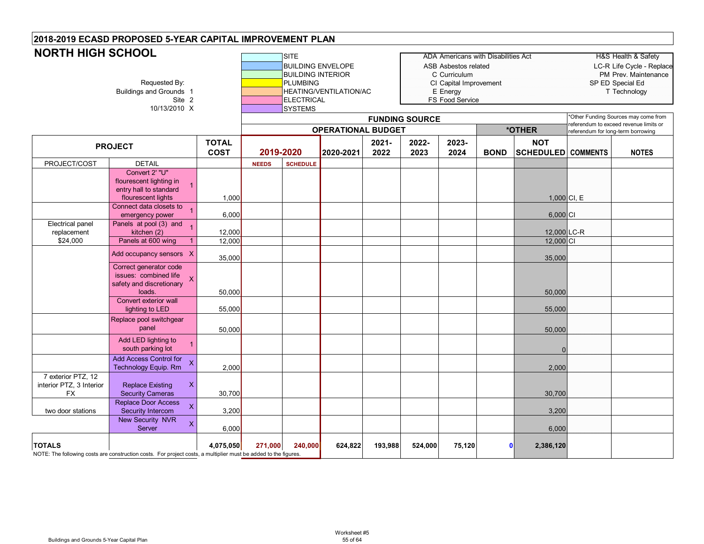| <b>NORTH HIGH SCHOOL</b>                                    | Requested By:<br><b>Buildings and Grounds 1</b><br>Site 2<br>10/13/2010 X                                        |                             |              | <b>SITE</b><br><b>BUILDING ENVELOPE</b><br><b>BUILDING INTERIOR</b><br><b>PLUMBING</b><br><b>ELECTRICAL</b><br><b>SYSTEMS</b> | <b>HEATING/VENTILATION/AC</b> |               |                       | <b>ADA Americans with Disabilities Act</b><br><b>ASB Asbestos related</b><br>C Curriculum<br>CI Capital Improvement<br>E Energy<br>FS Food Service |             |                                         |                                    | H&S Health & Safety<br>LC-R Life Cycle - Replace<br>PM Prev. Maintenance<br>SP ED Special Ed<br>T Technology |
|-------------------------------------------------------------|------------------------------------------------------------------------------------------------------------------|-----------------------------|--------------|-------------------------------------------------------------------------------------------------------------------------------|-------------------------------|---------------|-----------------------|----------------------------------------------------------------------------------------------------------------------------------------------------|-------------|-----------------------------------------|------------------------------------|--------------------------------------------------------------------------------------------------------------|
|                                                             |                                                                                                                  |                             |              |                                                                                                                               | <b>OPERATIONAL BUDGET</b>     |               | <b>FUNDING SOURCE</b> |                                                                                                                                                    |             | *OTHER                                  |                                    | Other Funding Sources may come from<br>referendum to exceed revenue limits or                                |
|                                                             | <b>PROJECT</b>                                                                                                   | <b>TOTAL</b><br><b>COST</b> | 2019-2020    |                                                                                                                               | 2020-2021                     | 2021-<br>2022 | 2022-<br>2023         | 2023-<br>2024                                                                                                                                      | <b>BOND</b> | <b>NOT</b><br><b>SCHEDULED COMMENTS</b> | referendum for long-term borrowing | <b>NOTES</b>                                                                                                 |
| PROJECT/COST                                                | <b>DETAIL</b>                                                                                                    |                             | <b>NEEDS</b> | <b>SCHEDULE</b>                                                                                                               |                               |               |                       |                                                                                                                                                    |             |                                         |                                    |                                                                                                              |
|                                                             | Convert 2' "U"<br>flourescent lighting in<br>entry hall to standard<br>flourescent lights                        | 1,000                       |              |                                                                                                                               |                               |               |                       |                                                                                                                                                    |             |                                         | $1,000$ CI, E                      |                                                                                                              |
|                                                             | Connect data closets to<br>emergency power                                                                       | 6,000                       |              |                                                                                                                               |                               |               |                       |                                                                                                                                                    |             | $6,000$ CI                              |                                    |                                                                                                              |
| Electrical panel<br>replacement<br>\$24,000                 | Panels at pool (3) and<br>kitchen (2)<br>Panels at 600 wing                                                      | 12,000<br>12,000            |              |                                                                                                                               |                               |               |                       |                                                                                                                                                    |             | 12,000 LC-R<br>12,000 CI                |                                    |                                                                                                              |
|                                                             | Add occupancy sensors X                                                                                          | 35,000                      |              |                                                                                                                               |                               |               |                       |                                                                                                                                                    |             | 35,000                                  |                                    |                                                                                                              |
|                                                             | Correct generator code<br>issues: combined life<br>$\overline{\mathsf{x}}$<br>safety and discretionary<br>loads. | 50,000                      |              |                                                                                                                               |                               |               |                       |                                                                                                                                                    |             | 50,000                                  |                                    |                                                                                                              |
|                                                             | Convert exterior wall<br>lighting to LED                                                                         | 55,000                      |              |                                                                                                                               |                               |               |                       |                                                                                                                                                    |             | 55,000                                  |                                    |                                                                                                              |
|                                                             | Replace pool switchgear<br>panel                                                                                 | 50,000                      |              |                                                                                                                               |                               |               |                       |                                                                                                                                                    |             | 50,000                                  |                                    |                                                                                                              |
|                                                             | Add LED lighting to<br>south parking lot                                                                         |                             |              |                                                                                                                               |                               |               |                       |                                                                                                                                                    |             | $\Omega$                                |                                    |                                                                                                              |
|                                                             | Add Access Control for<br><b>Technology Equip. Rm</b>                                                            | 2,000                       |              |                                                                                                                               |                               |               |                       |                                                                                                                                                    |             | 2,000                                   |                                    |                                                                                                              |
| 7 exterior PTZ, 12<br>interior PTZ, 3 Interior<br><b>FX</b> | <b>Replace Existing</b><br>X<br><b>Security Cameras</b>                                                          | 30,700                      |              |                                                                                                                               |                               |               |                       |                                                                                                                                                    |             | 30,700                                  |                                    |                                                                                                              |
| two door stations                                           | Replace Door Access<br>$\boldsymbol{\mathsf{x}}$<br>Security Intercom                                            | 3,200                       |              |                                                                                                                               |                               |               |                       |                                                                                                                                                    |             | 3,200                                   |                                    |                                                                                                              |
|                                                             | <b>New Security NVR</b><br>X<br>Server                                                                           | 6,000                       |              |                                                                                                                               |                               |               |                       |                                                                                                                                                    |             | 6,000                                   |                                    |                                                                                                              |
| <b>TOTALS</b>                                               | NOTE: The following costs are construction costs. For project costs, a multiplier must be added to the figures.  | 4,075,050                   | 271,000      | 240,000                                                                                                                       | 624,822                       | 193,988       | 524,000               | 75,120                                                                                                                                             |             | 2,386,120<br>$\mathbf{0}$               |                                    |                                                                                                              |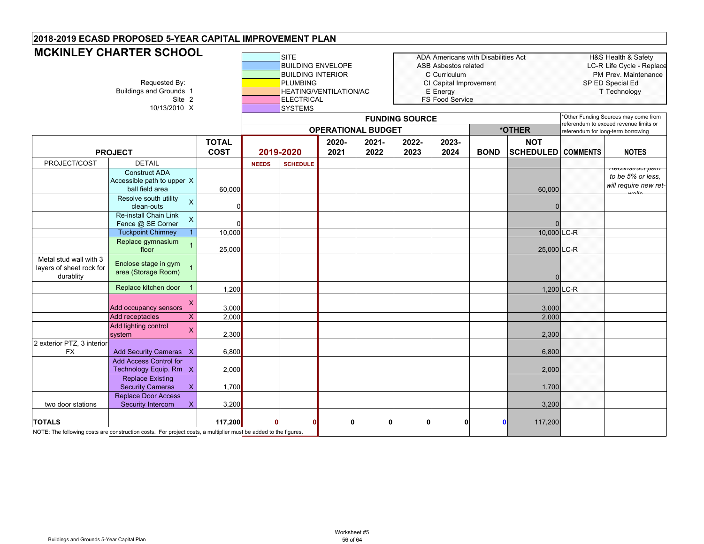#### SITE **ADA Americans with Disabilities Act** H&S Health & Safety<br>BUILDING ENVELOPE ASB Asbestos related LC-R Life Cycle - Rep ASB Asbestos related LC-R Life Cycle - Replace BUILDING INTERIOR **COMPUTE INCOMPUTE INCOMPUTE INCOMPUTE INTERIOR** COUNTIES CONTROLLER THE PREV. Maintenance Requested By: **PLUMBING** PUMBING CI Capital Improvement SP ED Special Ed<br>HEATING/VENTILATION/AC E Energy E Energy T Technology T Technology unds 1 Grounds and Grounds 1 HEATING/VENTILATION/AC<br>Site 2 Ground ELECTRICAL **FS Food Service** 10/13/2010 X **SYSTEMS TOTAL COST2020-20212021-20222022-20232023-2024 BOND NOT SCHEDULED COMMENTS NOTES** PROJECT/COST DETAIL **NEEDS SCHEDULE** Construct ADA Accessible path to upper Xball field area 60,000 | | | | | | | | | | | 60,000 *Reconstruct path to be 5% or less, will require new retwalls*Resolve south utility  $\sim$  , and a set of the contract of the contract of the contract of the contract of the contract of the contract of the contract of the contract of the contract of the contract of the contract of the clean-outsX $\sim$  0 0 | | | | | | | | | | | | 0 Re-install Chain Link Fence @ SE Corner X $\sim$  0 0 | | | | | | | | | | | | 0 Tuckpoint Chimney 1 10,000 10,000 LC-R Replace gymnasium floor <sup>1</sup> 25,000 25,000 LC-R Metal stud wall with 3 layers of sheet rock for durablity Enclose stage in gym area (Storage Room) <sup>1</sup>  $\Omega$ Replace kitchen door 1 1,200 1,200 1 1 1,200 1,200 1,200 1,200 1,200 1,200 1,200 1,200 1,200 1,200 1,200 1,200 1,200 1,200 1,200 1,200 1,200 1,200 1,200 1,200 1,200 1,200 1,200 1,200 1,200 1,200 1,200 1,200 1,200 1,200 1,2 Add occupancy sensors<br>Add receptacles X 3,000 | | | | | | | | | | 3,000 Add receptacles X 2,000 2,000 Add lighting control system X 2,300 2,300 2 exterior PTZ, 3 interior FX Add Security Cameras X 6,800 6,800 6,800 6,800 6,800 6,800 6,800 6,800 6,800 6,800 6,800 6,800 6,800 6,800 6, Add Access Control for Technology Equip. Rm X <sup>2</sup> 2,000 2,000 2,000 2,000 2,000 2,000 2,000 2,000 2,000 2,000 Replace Existing Security Cameras X 1,700 1,700 1,700 1,700 1,700 1,700 1,700 1,700 1,700 1,700 1,700 1,700 1,700 1,700 1,700 1, two door stations Replace Door Access Security Intercom X 3,200 3,200 3,200 3,200 3,200 3,200 3,200 3,200 3,200 3,200 3,200 3,200 3,200 3,200 3,200 3,200 3,200 3,200 3,200 3,200 3,200 3,200 3,200 3,200 3,200 3,200 3,200 3,200 3,200 3,200 3,200 3,200 3,200 3,20 **TOTALS 117,200 0 0 0000 0** 117,200 NOTE: The following costs are construction costs. For project costs, a multiplier must be added to the figures. **PROJECT 2019-2020 OPERATIONAL BUDGETFUNDING SOURCE** \*Other Funding Sources may come from referendum to exceed revenue limits or **\*OTHER** referendum for long-term borrowing **MCKINLEY CHARTER SCHOOL**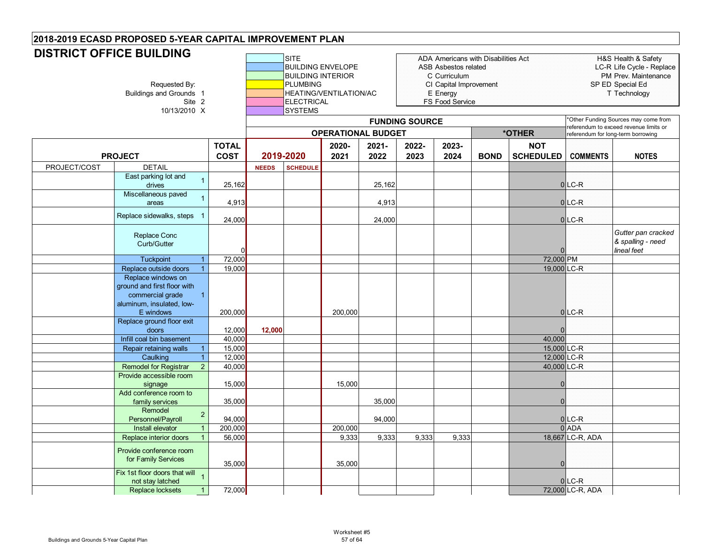#### SITE ADA Americans with Disabilities Act H&S Health & Safety BUILDING ENVELOPE ASB Asbestos related and the LC-R Life Cycle - Replace BUILDING INTERIOR **Network C** Curriculum **C** Curriculum **PM Prev. Maintenance** Requested By: Networks 1 CI Capital Improvement SPED Special Educations 1 CI Capital Improvement SPED Special Ed<br>E Energy E Energy Technology Tiechnology HEATING/VENTILATION/AC E Energy Execution of the T Technology<br>ELECTRICAL EXECTRICAL ES Food Service Site 2 **ELECTRICAL** FS Food Service 10/13/2010 X **SYSTEMS TOTAL COST2020-20212021-20222022-20232023-2024 BOND NOT SCHEDULED COMMENTS NOTES** PROJECT/COST DETAIL **NEEDS SCHEDULE** East parking lot and drivess = 1 25,162 | 25,162 | 25,162 | 25,162 | 25,162 | 25,162 | 25,162 | 25,162 | 25,1 Miscellaneous paved areas <sup>1</sup> 4,913 4,913 <sup>0</sup> LC-R Replace sidewalks, steps 1  $_{\rm 24,000}$   $_{\rm 24,000}$   $_{\rm 24,000}$   $_{\rm 24,000}$   $_{\rm 24,000}$ Replace Conc Curb/Gutter $\Omega$ 0 | | | | | | | | | | | | 0 *Gutter pan cracked & spalling - need lineal feet*Tuckpoint 1 72,000 72,000 PM Replace outside doors 1 19,000 | | | | | | | | | | 19,000 LC-R Replace windows on ground and first floor with commercial grade aluminum, insulated, low-E windows1200,000 200,000 0 LC-R Replace ground floor exit doors 12,000 **12,000** 0 **Infill coal bin basement 40,000 40,000 40,000 40,000 40,000 40,000 40,000 40,000** Repair retaining walls 1 | 15,000 | | | | | | | | | | | | | | | 15,000 | LC-R Caulking 1 12,000 12,000 LC-R Remodel for Registrar 2 40,000 | | | | | | | | | | 40,000 LC-R Provide accessible room signage 15,000 15,000 0 Add conference room to family services | 35,000 | | | 35,000 | | | 0 Remodel Personnel/Payroll <sup>2</sup> 94,000 94,000 <sup>0</sup> LC-R Install elevator 1 | 200,000 | | | 200,000 | | | 0|ADA **Replace interior doors 1 56,000 9,333 9,333 9,333 9,333 9,333** 18.667 LC-R. ADA Provide conference room **PROJECT 2019-2020 OPERATIONAL BUDGET2018-2019 ECASD PROPOSED 5-YEAR CAPITAL IMPROVEMENT PLAN FUNDING SOURCE** \*Other Funding Sources may come from referendum to exceed revenue limits or **\*OTHER** referendum for long-term borrowing **DISTRICT OFFICE BUILDING**

Fix 1st floor doors that will

not stay latched 1 0 LC-R<br>not stay latched 1 0 LC-R Replace locksets 1 72,000 72,000 LC-R, ADA

for Family Services <sub>35,000</sub> 35,000 0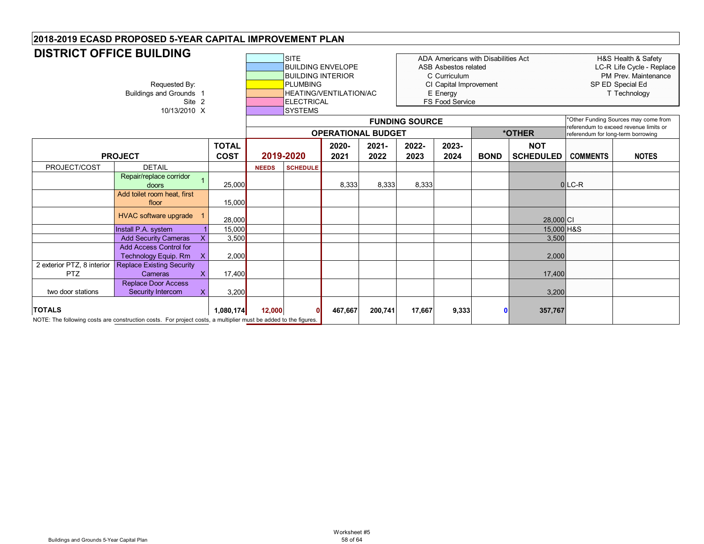#### SITE ADA Americans with Disabilities Act H&S Health & Safety BUILDING ENVELOPE ASB Asbestos related and the cycle - Replace **BUILDING INTERIOR COUNTIER COUNTIER COUNTIER COUNTIER COUNTIER COUNTIER COUNTIER COUNTIER COUNTIER COUNTIER COUNTIER** Requested By: **PLUMBING CI Capital Improvement** SP ED Special Ed Buildings and Grounds 1 **HEATING/VENTILATION/AC** E Energy **T** Technology **T** Technology **Site 2 HEATING/VENTILATION/AC** E Energy **T** Technology **FS Food Service** 10/13/2010 X **SYSTEMS TOTAL COST2020-20212021-20222022-20232023-2024 BOND NOT SCHEDULED COMMENTS NOTES** PROJECT/COST DETAIL **NEEDS SCHEDULE PROJECT 2019-2020 OPERATIONAL BUDGET2018-2019 ECASD PROPOSED 5-YEAR CAPITAL IMPROVEMENT PLAN FUNDING SOURCE** \*Other Funding Sources may come from referendum to exceed revenue limits or **\*OTHER** referendum for long-term borrowing **DISTRICT OFFICE BUILDING**Repair/replace corridor doors <sup>1</sup> 25,000 8,333 8,333 8,333 <sup>0</sup> LC-R Add toilet room heat, first floor 15,000 HVAC software upgrade <sup>1</sup> 28,000 28,000 CI Install P.A. system 1 15,000 15,000 H&S Add Security Cameras X 3,500 3,500 3,500 3,500 3,500 3,500 3,500 3,500 3,500 3,500 3,500 3,500 3,500 3,500 3,500 3,500 3,500 3,500 3,500 3,500 3,500 3,500 3,500 3,500 3,500 3,500 3,500 3,500 3,500 3,500 3,500 3,500 3,500 3 Add Access Control for Technology Equip. Rm X 2,000 2,000 2 exterior PTZ, 8 interior PTZReplace Existing Security **Cameras** s X | 17,400 | | | | | | | | | | | | 17,400 two door stationsReplace Door Access Security Intercom X 3,200 3,200 3,200 3,200 3,200 3,200 3,200 3,200 3,200 3,200 3,200 3,200 3,200 3,200 3,200 3,200 3,200 3,200 3,200 3,200 3,200 3,200 3,200 3,200 3,200 3,200 3,200 3,200 3,200 3,200 3,200 3,200 3,200 3,20 **TOTALS 1,080,174 12,000 0 467,667 200,741 17,667 9,333 0 357,767** NOTE: The following costs are construction costs. For project costs, a multiplier must be added to the figures.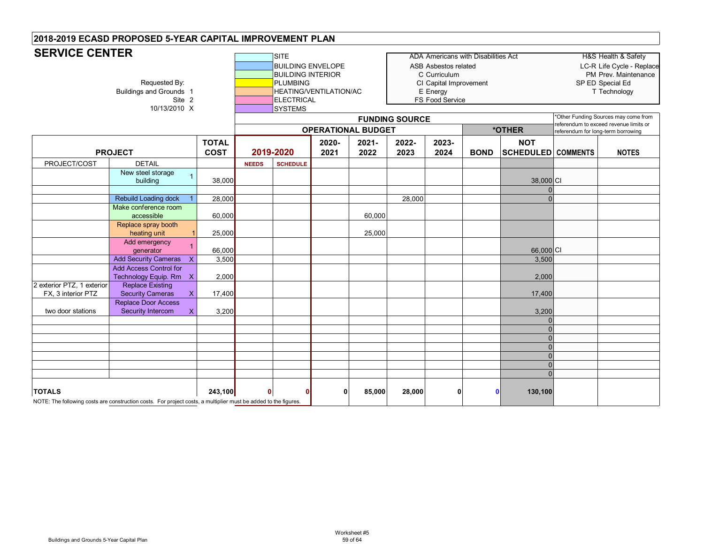| <b>SERVICE CENTER</b>                            |                                                                                                                 | ADA Americans with Disabilities Act<br><b>SITE</b><br><b>BUILDING ENVELOPE</b><br>ASB Asbestos related<br><b>BUILDING INTERIOR</b><br>C Curriculum<br><b>PLUMBING</b><br>CI Capital Improvement<br><b>HEATING/VENTILATION/AC</b><br>E Energy<br>FS Food Service<br><b>ELECTRICAL</b><br><b>SYSTEMS</b><br><b>FUNDING SOURCE</b><br><b>OPERATIONAL BUDGET</b><br>*OTHER |              |                 |               |                  |               |               | H&S Health & Safety<br>LC-R Life Cycle - Replace<br>PM Prev. Maintenance<br>SP ED Special Ed<br>T Technology<br>*Other Funding Sources may come from<br>referendum to exceed revenue limits or<br>referendum for long-term borrowing |                                         |  |              |
|--------------------------------------------------|-----------------------------------------------------------------------------------------------------------------|------------------------------------------------------------------------------------------------------------------------------------------------------------------------------------------------------------------------------------------------------------------------------------------------------------------------------------------------------------------------|--------------|-----------------|---------------|------------------|---------------|---------------|--------------------------------------------------------------------------------------------------------------------------------------------------------------------------------------------------------------------------------------|-----------------------------------------|--|--------------|
|                                                  | <b>PROJECT</b>                                                                                                  | <b>TOTAL</b><br><b>COST</b>                                                                                                                                                                                                                                                                                                                                            |              | 2019-2020       | 2020-<br>2021 | $2021 -$<br>2022 | 2022-<br>2023 | 2023-<br>2024 | <b>BOND</b>                                                                                                                                                                                                                          | <b>NOT</b><br><b>SCHEDULED COMMENTS</b> |  | <b>NOTES</b> |
| PROJECT/COST                                     | <b>DETAIL</b>                                                                                                   |                                                                                                                                                                                                                                                                                                                                                                        | <b>NEEDS</b> | <b>SCHEDULE</b> |               |                  |               |               |                                                                                                                                                                                                                                      |                                         |  |              |
|                                                  | New steel storage<br>building                                                                                   | 38,000                                                                                                                                                                                                                                                                                                                                                                 |              |                 |               |                  |               |               |                                                                                                                                                                                                                                      | 38,000 CI                               |  |              |
|                                                  |                                                                                                                 |                                                                                                                                                                                                                                                                                                                                                                        |              |                 |               |                  |               |               |                                                                                                                                                                                                                                      |                                         |  |              |
|                                                  | <b>Rebuild Loading dock</b>                                                                                     | 28,000                                                                                                                                                                                                                                                                                                                                                                 |              |                 |               |                  | 28,000        |               |                                                                                                                                                                                                                                      |                                         |  |              |
|                                                  | Make conference room<br>accessible                                                                              | 60,000                                                                                                                                                                                                                                                                                                                                                                 |              |                 |               | 60,000           |               |               |                                                                                                                                                                                                                                      |                                         |  |              |
|                                                  | Replace spray booth<br>heating unit                                                                             | 25,000                                                                                                                                                                                                                                                                                                                                                                 |              |                 |               | 25,000           |               |               |                                                                                                                                                                                                                                      |                                         |  |              |
|                                                  | Add emergency<br>qenerator                                                                                      | 66,000                                                                                                                                                                                                                                                                                                                                                                 |              |                 |               |                  |               |               |                                                                                                                                                                                                                                      | 66,000 CI                               |  |              |
|                                                  | <b>Add Security Cameras</b>                                                                                     | 3,500                                                                                                                                                                                                                                                                                                                                                                  |              |                 |               |                  |               |               |                                                                                                                                                                                                                                      | 3,500                                   |  |              |
|                                                  | Add Access Control for<br>Technology Equip. Rm X                                                                | 2,000                                                                                                                                                                                                                                                                                                                                                                  |              |                 |               |                  |               |               |                                                                                                                                                                                                                                      | 2,000                                   |  |              |
| 2 exterior PTZ, 1 exterior<br>FX, 3 interior PTZ | <b>Replace Existing</b><br><b>Security Cameras</b><br>X.                                                        | 17,400                                                                                                                                                                                                                                                                                                                                                                 |              |                 |               |                  |               |               |                                                                                                                                                                                                                                      | 17,400                                  |  |              |
| two door stations                                | <b>Replace Door Access</b><br><b>Security Intercom</b>                                                          | 3,200                                                                                                                                                                                                                                                                                                                                                                  |              |                 |               |                  |               |               |                                                                                                                                                                                                                                      | 3,200                                   |  |              |
|                                                  |                                                                                                                 |                                                                                                                                                                                                                                                                                                                                                                        |              |                 |               |                  |               |               |                                                                                                                                                                                                                                      |                                         |  |              |
|                                                  |                                                                                                                 |                                                                                                                                                                                                                                                                                                                                                                        |              |                 |               |                  |               |               |                                                                                                                                                                                                                                      |                                         |  |              |
|                                                  |                                                                                                                 |                                                                                                                                                                                                                                                                                                                                                                        |              |                 |               |                  |               |               |                                                                                                                                                                                                                                      |                                         |  |              |
|                                                  |                                                                                                                 |                                                                                                                                                                                                                                                                                                                                                                        |              |                 |               |                  |               |               |                                                                                                                                                                                                                                      |                                         |  |              |
|                                                  |                                                                                                                 |                                                                                                                                                                                                                                                                                                                                                                        |              |                 |               |                  |               |               |                                                                                                                                                                                                                                      |                                         |  |              |
|                                                  |                                                                                                                 |                                                                                                                                                                                                                                                                                                                                                                        |              |                 |               |                  |               |               |                                                                                                                                                                                                                                      |                                         |  |              |
| <b>TOTALS</b>                                    | NOTE: The following costs are construction costs. For project costs, a multiplier must be added to the figures. | 243,100                                                                                                                                                                                                                                                                                                                                                                | O            |                 | ŋ             | 85,000           | 28,000        | 0             | $\mathbf 0$                                                                                                                                                                                                                          | 130,100                                 |  |              |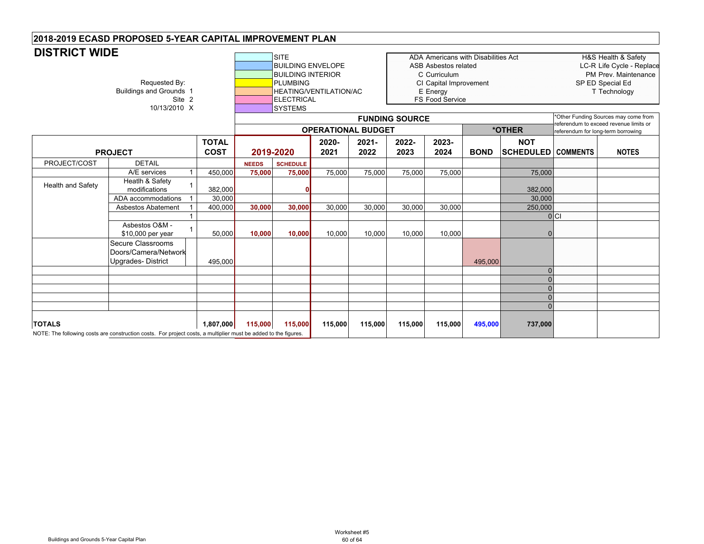| <b>DISTRICT WIDE</b> |                                                                                                                 |                             | <b>SITE</b><br><b>PLUMBING</b><br><b>ELECTRICAL</b><br><b>SYSTEMS</b> | ADA Americans with Disabilities Act<br><b>BUILDING ENVELOPE</b><br><b>ASB Asbestos related</b><br><b>BUILDING INTERIOR</b><br>C Curriculum<br>CI Capital Improvement<br><b>HEATING/VENTILATION/AC</b><br>E Energy<br><b>FS Food Service</b><br><b>FUNDING SOURCE</b><br>*OTHER<br><b>OPERATIONAL BUDGET</b> |               |                  |               |               |             |                                | H&S Health & Safety<br>LC-R Life Cycle - Replace<br>PM Prev. Maintenance<br>SP ED Special Ed<br>T Technology<br>*Other Funding Sources may come from<br>referendum to exceed revenue limits or<br>referendum for long-term borrowing |              |
|----------------------|-----------------------------------------------------------------------------------------------------------------|-----------------------------|-----------------------------------------------------------------------|-------------------------------------------------------------------------------------------------------------------------------------------------------------------------------------------------------------------------------------------------------------------------------------------------------------|---------------|------------------|---------------|---------------|-------------|--------------------------------|--------------------------------------------------------------------------------------------------------------------------------------------------------------------------------------------------------------------------------------|--------------|
|                      | <b>PROJECT</b>                                                                                                  | <b>TOTAL</b><br><b>COST</b> |                                                                       | 2019-2020                                                                                                                                                                                                                                                                                                   | 2020-<br>2021 | $2021 -$<br>2022 | 2022-<br>2023 | 2023-<br>2024 | <b>BOND</b> | <b>NOT</b><br><b>SCHEDULED</b> | <b>COMMENTS</b>                                                                                                                                                                                                                      | <b>NOTES</b> |
| PROJECT/COST         | <b>DETAIL</b>                                                                                                   |                             | <b>NEEDS</b>                                                          | <b>SCHEDULE</b>                                                                                                                                                                                                                                                                                             |               |                  |               |               |             |                                |                                                                                                                                                                                                                                      |              |
|                      | A/E services                                                                                                    | 450,000                     | 75,000                                                                | 75,000                                                                                                                                                                                                                                                                                                      | 75,000        | 75,000           | 75,000        | 75,000        |             | 75,000                         |                                                                                                                                                                                                                                      |              |
| Health and Safety    | Heatlh & Safety<br>modifications                                                                                | 382,000                     |                                                                       |                                                                                                                                                                                                                                                                                                             |               |                  |               |               |             | 382,000                        |                                                                                                                                                                                                                                      |              |
|                      | ADA accommodations                                                                                              | 30.000                      |                                                                       |                                                                                                                                                                                                                                                                                                             |               |                  |               |               |             | 30,000                         |                                                                                                                                                                                                                                      |              |
|                      | <b>Asbestos Abatement</b>                                                                                       | 400.000                     | 30,000                                                                | 30.000                                                                                                                                                                                                                                                                                                      | 30,000        | 30,000           | 30,000        | 30,000        |             | 250,000                        |                                                                                                                                                                                                                                      |              |
|                      | Asbestos O&M -<br>\$10,000 per year                                                                             | 50,000                      | 10,000                                                                | 10,000                                                                                                                                                                                                                                                                                                      | 10,000        | 10,000           | 10,000        | 10,000        |             |                                | $ 0 $ $C $                                                                                                                                                                                                                           |              |
|                      | Secure Classrooms<br>Doors/Camera/Network<br>Upgrades-District                                                  | 495,000                     |                                                                       |                                                                                                                                                                                                                                                                                                             |               |                  |               |               | 495,000     | $\Omega$                       |                                                                                                                                                                                                                                      |              |
|                      |                                                                                                                 |                             |                                                                       |                                                                                                                                                                                                                                                                                                             |               |                  |               |               |             |                                |                                                                                                                                                                                                                                      |              |
|                      |                                                                                                                 |                             |                                                                       |                                                                                                                                                                                                                                                                                                             |               |                  |               |               |             |                                |                                                                                                                                                                                                                                      |              |
|                      |                                                                                                                 |                             |                                                                       |                                                                                                                                                                                                                                                                                                             |               |                  |               |               |             |                                |                                                                                                                                                                                                                                      |              |
|                      |                                                                                                                 |                             |                                                                       |                                                                                                                                                                                                                                                                                                             |               |                  |               |               |             |                                |                                                                                                                                                                                                                                      |              |
| <b>TOTALS</b>        | NOTE: The following costs are construction costs. For project costs, a multiplier must be added to the figures. | 1,807,000                   | 115,000                                                               | 115,000                                                                                                                                                                                                                                                                                                     | 115,000       | 115,000          | 115,000       | 115,000       | 495,000     | 737,000                        |                                                                                                                                                                                                                                      |              |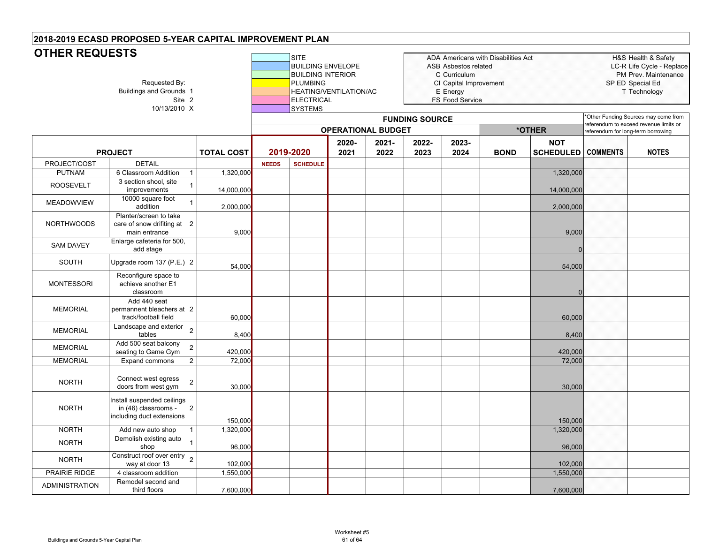# **OTHER REQUESTS**

| <b><i>UITER REQUESIS</i></b><br>Requested By:<br><b>Buildings and Grounds 1</b><br>Site 2<br>10/13/2010 X |                                                                                                   |                   | <b>SITE</b><br><b>BUILDING ENVELOPE</b><br><b>BUILDING INTERIOR</b><br><b>PLUMBING</b><br><b>ELECTRICAL</b><br><b>SYSTEMS</b> | HEATING/VENTILATION/AC |               |                  | ADA Americans with Disabilities Act<br>ASB Asbestos related<br>C Curriculum<br>CI Capital Improvement<br>E Energy<br>FS Food Service | H&S Health & Safety<br>LC-R Life Cycle - Replace<br>PM Prev. Maintenance<br>SP ED Special Ed<br>T Technology |                                    |                                         |                                        |                                      |
|-----------------------------------------------------------------------------------------------------------|---------------------------------------------------------------------------------------------------|-------------------|-------------------------------------------------------------------------------------------------------------------------------|------------------------|---------------|------------------|--------------------------------------------------------------------------------------------------------------------------------------|--------------------------------------------------------------------------------------------------------------|------------------------------------|-----------------------------------------|----------------------------------------|--------------------------------------|
|                                                                                                           |                                                                                                   |                   |                                                                                                                               |                        |               |                  | <b>FUNDING SOURCE</b>                                                                                                                |                                                                                                              |                                    |                                         | referendum to exceed revenue limits or | *Other Funding Sources may come from |
|                                                                                                           | <b>OPERATIONAL BUDGET</b>                                                                         |                   |                                                                                                                               |                        |               |                  |                                                                                                                                      | *OTHER                                                                                                       | referendum for long-term borrowing |                                         |                                        |                                      |
|                                                                                                           | <b>PROJECT</b>                                                                                    | <b>TOTAL COST</b> |                                                                                                                               | 2019-2020              | 2020-<br>2021 | $2021 -$<br>2022 | 2022-<br>2023                                                                                                                        | 2023-<br>2024                                                                                                | <b>BOND</b>                        | <b>NOT</b><br><b>SCHEDULED</b> COMMENTS |                                        | <b>NOTES</b>                         |
| PROJECT/COST                                                                                              | <b>DETAIL</b>                                                                                     |                   | <b>NEEDS</b>                                                                                                                  | <b>SCHEDULE</b>        |               |                  |                                                                                                                                      |                                                                                                              |                                    |                                         |                                        |                                      |
| <b>PUTNAM</b>                                                                                             | 6 Classroom Addition<br>$\mathbf{1}$                                                              | 1,320,000         |                                                                                                                               |                        |               |                  |                                                                                                                                      |                                                                                                              |                                    | 1,320,000                               |                                        |                                      |
| <b>ROOSEVELT</b>                                                                                          | 3 section shool, site<br>$\mathbf{1}$<br>improvements                                             | 14,000,000        |                                                                                                                               |                        |               |                  |                                                                                                                                      |                                                                                                              |                                    | 14,000,000                              |                                        |                                      |
| <b>MEADOWVIEW</b>                                                                                         | 10000 square foot<br>$\mathbf{1}$<br>addition                                                     | 2,000,000         |                                                                                                                               |                        |               |                  |                                                                                                                                      |                                                                                                              |                                    | 2,000,000                               |                                        |                                      |
| <b>NORTHWOODS</b>                                                                                         | Planter/screen to take<br>care of snow drifiting at 2<br>main entrance                            | 9,000             |                                                                                                                               |                        |               |                  |                                                                                                                                      |                                                                                                              |                                    | 9,000                                   |                                        |                                      |
| <b>SAM DAVEY</b>                                                                                          | Enlarge cafeteria for 500,<br>add stage                                                           |                   |                                                                                                                               |                        |               |                  |                                                                                                                                      |                                                                                                              |                                    |                                         |                                        |                                      |
| SOUTH                                                                                                     | Upgrade room 137 (P.E.) 2                                                                         | 54,000            |                                                                                                                               |                        |               |                  |                                                                                                                                      |                                                                                                              |                                    | 54,000                                  |                                        |                                      |
| <b>MONTESSORI</b>                                                                                         | Reconfigure space to<br>achieve another E1<br>classroom                                           |                   |                                                                                                                               |                        |               |                  |                                                                                                                                      |                                                                                                              |                                    |                                         |                                        |                                      |
| <b>MEMORIAL</b>                                                                                           | Add 440 seat<br>permannent bleachers at 2<br>track/football field                                 | 60,000            |                                                                                                                               |                        |               |                  |                                                                                                                                      |                                                                                                              |                                    | 60,000                                  |                                        |                                      |
| <b>MEMORIAL</b>                                                                                           | Landscape and exterior<br>$\overline{2}$<br>tables                                                | 8,400             |                                                                                                                               |                        |               |                  |                                                                                                                                      |                                                                                                              |                                    | 8,400                                   |                                        |                                      |
| <b>MEMORIAL</b>                                                                                           | Add 500 seat balcony<br>$\mathbf 2$<br>seating to Game Gym                                        | 420,000           |                                                                                                                               |                        |               |                  |                                                                                                                                      |                                                                                                              |                                    | 420,000                                 |                                        |                                      |
| <b>MEMORIAL</b>                                                                                           | Expand commons<br>$\overline{c}$                                                                  | 72,000            |                                                                                                                               |                        |               |                  |                                                                                                                                      |                                                                                                              |                                    | 72,000                                  |                                        |                                      |
| <b>NORTH</b>                                                                                              | Connect west egress<br>$\mathbf 2$<br>doors from west gym                                         | 30,000            |                                                                                                                               |                        |               |                  |                                                                                                                                      |                                                                                                              |                                    | 30,000                                  |                                        |                                      |
| <b>NORTH</b>                                                                                              | Install suspended ceilings<br>in (46) classrooms -<br>$\overline{2}$<br>including duct extensions | 150,000           |                                                                                                                               |                        |               |                  |                                                                                                                                      |                                                                                                              |                                    | 150,000                                 |                                        |                                      |
| <b>NORTH</b>                                                                                              | Add new auto shop<br>$\mathbf{1}$                                                                 | 1,320,000         |                                                                                                                               |                        |               |                  |                                                                                                                                      |                                                                                                              |                                    | 1,320,000                               |                                        |                                      |
| <b>NORTH</b>                                                                                              | Demolish existing auto<br>shop                                                                    | 96,000            |                                                                                                                               |                        |               |                  |                                                                                                                                      |                                                                                                              |                                    | 96,000                                  |                                        |                                      |
| <b>NORTH</b>                                                                                              | Construct roof over entry $\overline{2}$<br>way at door 13                                        | 102,000           |                                                                                                                               |                        |               |                  |                                                                                                                                      |                                                                                                              |                                    | 102,000                                 |                                        |                                      |
| PRAIRIE RIDGE                                                                                             | 4 classroom addition                                                                              | 1,550,000         |                                                                                                                               |                        |               |                  |                                                                                                                                      |                                                                                                              |                                    | 1,550,000                               |                                        |                                      |
| <b>ADMINISTRATION</b>                                                                                     | Remodel second and<br>third floors                                                                | 7,600,000         |                                                                                                                               |                        |               |                  |                                                                                                                                      |                                                                                                              |                                    | 7,600,000                               |                                        |                                      |